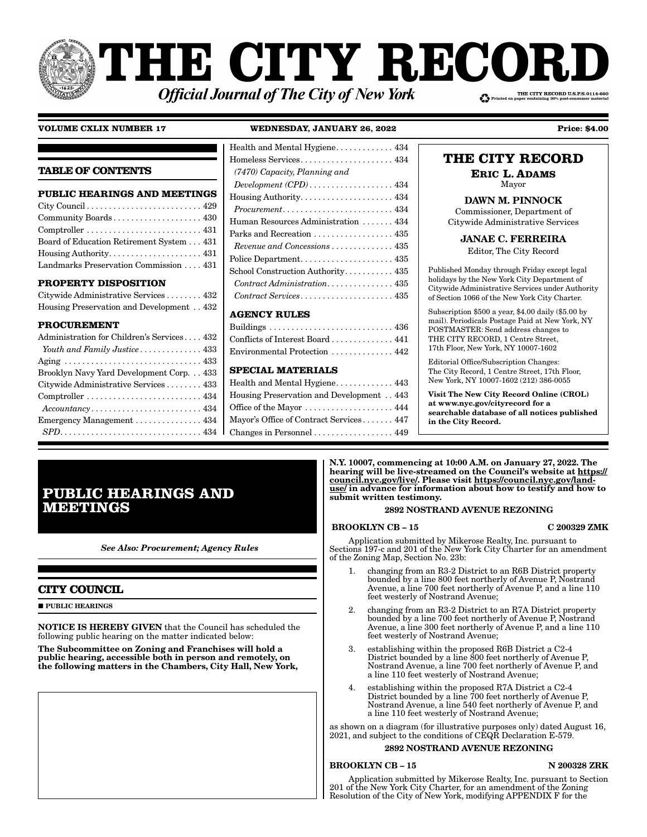# **THE CITY RECOI** THE CITY RECORD U.S.P.S.0114-660 **Official Journal of The City of New York**

## **VOLUME CXLIX NUMBER 17 WEDNESDAY, JANUARY 26, 2022 Price: \$4.00**

## **TABLE OF CONTENTS**

| <b>PUBLIC HEARINGS AND MEETINGS</b>                                              |
|----------------------------------------------------------------------------------|
|                                                                                  |
| Community Boards 430                                                             |
| $Comptroller \ldots \ldots \ldots \ldots \ldots \ldots \ldots \ldots \ldots 431$ |
| Board of Education Retirement System 431                                         |
|                                                                                  |
| Landmarks Preservation Commission  431                                           |

## **PROPERTY DISPOSITION**

| Citywide Administrative Services  432    |  |
|------------------------------------------|--|
| Housing Preservation and Development 432 |  |

## **PROCUREMENT**

| Administration for Children's Services 432                                       |
|----------------------------------------------------------------------------------|
| Youth and Family Justice 433                                                     |
|                                                                                  |
| Brooklyn Navy Yard Development Corp. 433                                         |
| Citywide Administrative Services  433                                            |
| $Comptroller \ldots \ldots \ldots \ldots \ldots \ldots \ldots \ldots \ldots 434$ |
| $Accountancy \ldots \ldots \ldots \ldots \ldots \ldots \ldots \ldots \ldots 434$ |
| Emergency Management $\ldots \ldots \ldots \ldots$ 434                           |
|                                                                                  |

| Health and Mental Hygiene. 434                                    |
|-------------------------------------------------------------------|
| Homeless Services 434                                             |
| (7470) Capacity, Planning and                                     |
|                                                                   |
| $Houseing \x + 434$                                               |
| $Procurrent \ldots \ldots \ldots \ldots \ldots \ldots \ldots 434$ |
| Human Resources Administration 434                                |
| Parks and Recreation  435                                         |
| Revenue and Concessions 435                                       |
|                                                                   |
| School Construction Authority. 435                                |
| Contract Administration 435                                       |
| Contract Services 435                                             |
| A CENCY DIII FC                                                   |

## **AGENCY RULES**

| Conflicts of Interest Board 441 |  |
|---------------------------------|--|
| Environmental Protection  442   |  |

## **SPECIAL MATERIALS**

| Health and Mental Hygiene 443                                 |  |
|---------------------------------------------------------------|--|
| Housing Preservation and Development 443                      |  |
| Office of the Mayor 444                                       |  |
| Mayor's Office of Contract Services 447                       |  |
| Changes in Personnel $\ldots \ldots \ldots \ldots \ldots$ 449 |  |

# **THE CITY RECORD**

**ERIC L. ADAMS** Mayor

DAWN M. PINNOCK Commissioner, Department of Citywide Administrative Services

JANAE C. FERREIRA

Editor, The City Record

Published Monday through Friday except legal holidays by the New York City Department of Citywide Administrative Services under Authority of Section 1066 of the New York City Charter.

Subscription \$500 a year, \$4.00 daily (\$5.00 by mail). Periodicals Postage Paid at New York, NY POSTMASTER: Send address changes to THE CITY RECORD, 1 Centre Street, 17th Floor, New York, NY 10007-1602

Editorial Office/Subscription Changes: The City Record, 1 Centre Street, 17th Floor, New York, NY 10007-1602 (212) 386-0055

Visit The New City Record Online (CROL) at www.nyc.gov/cityrecord for a searchable database of all notices published in the City Record.

#### N.Y. 10007, commencing at 10:00 A.M. on January 27, 2022. The hearing will be live-streamed on the Council's website at https:// council.nyc.gov/live/. Please visit https://council.nyc.gov/landuse/ in advance for information about how to testify and how to submit written testimony.

## 2892 NOSTRAND AVENUE REZONING

## BROOKLYN CB – 15 C 200329 ZMK

Application submitted by Mikerose Realty, Inc. pursuant to Sections 197-c and 201 of the New York City Charter for an amendment of the Zoning Map, Section No. 23b:

- 1. changing from an R3-2 District to an R6B District property bounded by a line 800 feet northerly of Avenue P, Nostrand Avenue, a line 700 feet northerly of Avenue P, and a line 110 feet westerly of Nostrand Avenue;
- 2. changing from an R3-2 District to an R7A District property bounded by a line 700 feet northerly of Avenue P, Nostrand Avenue, a line 300 feet northerly of Avenue P, and a line 110 feet westerly of Nostrand Avenue;
- 3. establishing within the proposed R6B District a C2-4 District bounded by a line 800 feet northerly of Avenue P, Nostrand Avenue, a line 700 feet northerly of Avenue P, and a line 110 feet westerly of Nostrand Avenue;
- 4. establishing within the proposed R7A District a C2-4 District bounded by a line 700 feet northerly of Avenue P, Nostrand Avenue, a line 540 feet northerly of Avenue P, and a line 110 feet westerly of Nostrand Avenue;

as shown on a diagram (for illustrative purposes only) dated August 16, 2021, and subject to the conditions of CEQR Declaration E-579.

# 2892 NOSTRAND AVENUE REZONING

# BROOKLYN CB – 15 N 200328 ZRK

Application submitted by Mikerose Realty, Inc. pursuant to Section 201 of the New York City Charter, for an amendment of the Zoning Resolution of the City of New York, modifying APPENDIX F for the

# **PUBLIC HEARINGS AND MEETINGS**

*See Also: Procurement; Agency Rules*

## **CITY COUNCIL**

**PUBLIC HEARINGS** 

NOTICE IS HEREBY GIVEN that the Council has scheduled the following public hearing on the matter indicated below:

The Subcommittee on Zoning and Franchises will hold a public hearing, accessible both in person and remotely, on the following matters in the Chambers, City Hall, New York,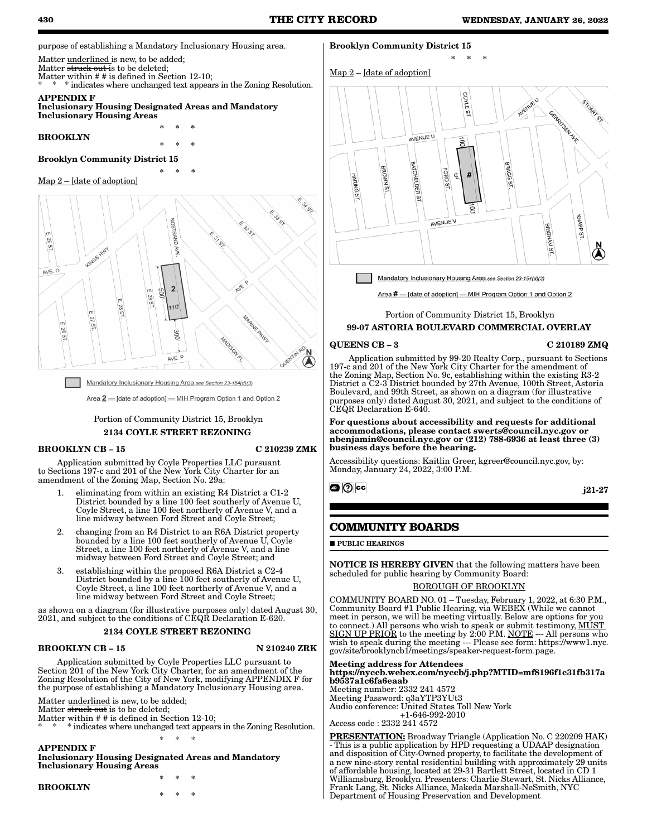purpose of establishing a Mandatory Inclusionary Housing area.

Matter <u>underlined</u> is new, to be added;

Matter struck out is to be deleted:

Matter within # # is defined in Section 12-10; \* indicates where unchanged text appears in the Zoning Resolution.

APPENDIX F

### Inclusionary Housing Designated Areas and Mandatory Inclusionary Housing Areas

\* \* \*

\* \* \*

BROOKLYN

\* \* \*

# Brooklyn Community District 15

## Map 2 – [date of adoption]



Mandatory Inclusionary Housing Area see Section 23-154(d)(3)

Area 2 - [date of adoption] - MIH Program Option 1 and Option 2

## Portion of Community District 15, Brooklyn 2134 COYLE STREET REZONING

#### BROOKLYN CB – 15 C 210239 ZMK

Application submitted by Coyle Properties LLC pursuant to Sections 197-c and 201 of the New York City Charter for an amendment of the Zoning Map, Section No. 29a:

- 1. eliminating from within an existing R4 District a C1-2 District bounded by a line 100 feet southerly of Avenue U, Coyle Street, a line 100 feet northerly of Avenue V, and a line midway between Ford Street and Coyle Street;
- 2. changing from an R4 District to an R6A District property bounded by a line 100 feet southerly of Avenue  $\dot{U}$ , Coyle Street, a line 100 feet northerly of Avenue V, and a line midway between Ford Street and Coyle Street; and
- 3. establishing within the proposed R6A District a C2-4 District bounded by a line 100 feet southerly of Avenue U, Coyle Street, a line 100 feet northerly of Avenue V, and a line midway between Ford Street and Coyle Street;

as shown on a diagram (for illustrative purposes only) dated August 30, 2021, and subject to the conditions of CEQR Declaration E-620.

## 2134 COYLE STREET REZONING

## BROOKLYN CB – 15 N 210240 ZRK

Application submitted by Coyle Properties LLC pursuant to Section 201 of the New York City Charter, for an amendment of the Zoning Resolution of the City of New York, modifying APPENDIX F for the purpose of establishing a Mandatory Inclusionary Housing area.

Matter **underlined** is new, to be added;

Matter struck out is to be deleted;

Matter within # # is defined in Section 12-10;

\* \* \* indicates where unchanged text appears in the Zoning Resolution. \* \* \*

APPENDIX F

Inclusionary Housing Designated Areas and Mandatory Inclusionary Housing Areas

#### BROOKLYN

\* \* \* \* \* \*

## Brooklyn Community District 15





\* \* \*

Mandatory Inclusionary Housing Area see Section 23-154(d)(3)

Area # - [date of adoption] - MIH Program Option 1 and Option 2

## Portion of Community District 15, Brooklyn 99-07 ASTORIA BOULEVARD COMMERCIAL OVERLAY

#### QUEENS CB – 3 C 210189 ZMQ

Application submitted by 99-20 Realty Corp., pursuant to Sections 197-c and 201 of the New York City Charter for the amendment of the Zoning Map, Section No. 9c, establishing within the existing R3-2 District a C2-3 District bounded by 27th Avenue, 100th Street, Astoria Boulevard, and 99th Street, as shown on a diagram (for illustrative purposes only) dated August 30, 2021, and subject to the conditions of CEQR Declaration E-640.

For questions about accessibility and requests for additional accommodations, please contact swerts@council.nyc.gov or nbenjamin@council.nyc.gov or (212) 788-6936 at least three (3) business days before the hearing.

Accessibility questions: Kaitlin Greer, kgreer@council.nyc.gov, by: Monday, January 24, 2022, 3:00 P.M.

## **@** ⑦ cc

j21-27

## **COMMUNITY BOARDS**

**PUBLIC HEARINGS** 

NOTICE IS HEREBY GIVEN that the following matters have been scheduled for public hearing by Community Board:

## BOROUGH OF BROOKLYN

COMMUNITY BOARD NO. 01 – Tuesday, February 1, 2022, at 6:30 P.M., Community Board #1 Public Hearing, via WEBEX (While we cannot meet in person, we will be meeting virtually. Below are options for you to connect.) All persons who wish to speak or submit testimony, MUST SIGN UP PRIOR to the meeting by 2:00 P.M. NOTE --- All persons who wish to speak during the meeting --- Please see form: https://www1.nyc. gov/site/brooklyncb1/meetings/speaker-request-form.page.

#### Meeting address for Attendees https://nyccb.webex.com/nyccb/j.php?MTID=mf8196f1c31fb317a b9537a1c6fa6eaab

Meeting number: 2332 241 4572 Meeting Password: q3aYTP3YUt3 Audio conference: United States Toll New York +1-646-992-2010

Access code : 2332 241 4572

PRESENTATION: Broadway Triangle (Application No. C 220209 HAK) This is a public application by HPD requesting a UDAAP designation and disposition of City-Owned property, to facilitate the development of a new nine-story rental residential building with approximately 29 units of affordable housing, located at 29-31 Bartlett Street, located in CD 1 Williamsburg, Brooklyn. Presenters: Charlie Stewart, St. Nicks Alliance, Frank Lang, St. Nicks Alliance, Makeda Marshall-NeSmith, NYC Department of Housing Preservation and Development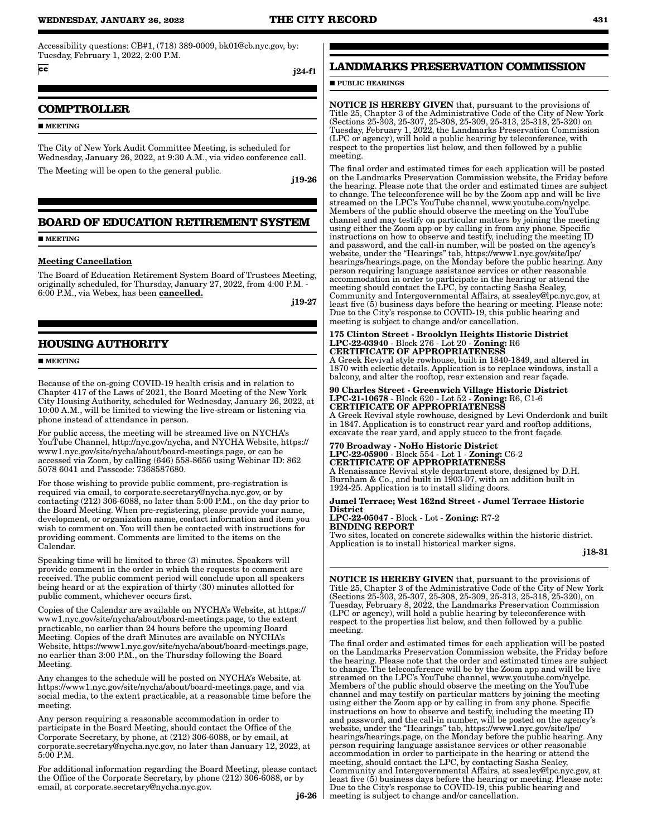## **WEDNESDAY, JANUARY 26, 2022 THE CITY RECORD 431**

Accessibility questions: CB#1, (718) 389-0009, bk01@cb.nyc.gov, by: Tuesday, February 1, 2022, 2:00 P.M.

 $cc$ 

#### j24-f1

## **COMPTROLLER**

**MEETING** 

The City of New York Audit Committee Meeting, is scheduled for Wednesday, January 26, 2022, at 9:30 A.M., via video conference call. The Meeting will be open to the general public.

j19-26

## **BOARD OF EDUCATION RETIREMENT SYSTEM**

**MEETING** 

#### Meeting Cancellation

The Board of Education Retirement System Board of Trustees Meeting, originally scheduled, for Thursday, January 27, 2022, from 4:00 P.M. - 6:00 P.M., via Webex, has been **cancelled.** 

j19-27

## **HOUSING AUTHORITY**

**MEETING** 

Because of the on-going COVID-19 health crisis and in relation to Chapter 417 of the Laws of 2021, the Board Meeting of the New York City Housing Authority, scheduled for Wednesday, January 26, 2022, at 10:00 A.M., will be limited to viewing the live-stream or listening via phone instead of attendance in person.

For public access, the meeting will be streamed live on NYCHA's YouTube Channel, http://nyc.gov/nycha, and NYCHA Website, https:// www1.nyc.gov/site/nycha/about/board-meetings.page, or can be accessed via Zoom, by calling (646) 558-8656 using Webinar ID: 862 5078 6041 and Passcode: 7368587680.

For those wishing to provide public comment, pre-registration is required via email, to corporate.secretary@nycha.nyc.gov, or by contacting (212) 306-6088, no later than 5:00 P.M., on the day prior to the Board Meeting. When pre-registering, please provide your name, development, or organization name, contact information and item you wish to comment on. You will then be contacted with instructions for providing comment. Comments are limited to the items on the Calendar.

Speaking time will be limited to three (3) minutes. Speakers will provide comment in the order in which the requests to comment are received. The public comment period will conclude upon all speakers being heard or at the expiration of thirty (30) minutes allotted for public comment, whichever occurs first.

Copies of the Calendar are available on NYCHA's Website, at https:// www1.nyc.gov/site/nycha/about/board-meetings.page, to the extent practicable, no earlier than 24 hours before the upcoming Board Meeting. Copies of the draft Minutes are available on NYCHA's Website, https://www1.nyc.gov/site/nycha/about/board-meetings.page, no earlier than 3:00 P.M., on the Thursday following the Board Meeting.

Any changes to the schedule will be posted on NYCHA's Website, at https://www1.nyc.gov/site/nycha/about/board-meetings.page, and via social media, to the extent practicable, at a reasonable time before the meeting.

Any person requiring a reasonable accommodation in order to participate in the Board Meeting, should contact the Office of the Corporate Secretary, by phone, at (212) 306-6088, or by email, at corporate.secretary@nycha.nyc.gov, no later than January 12, 2022, at 5:00 P.M.

For additional information regarding the Board Meeting, please contact the Office of the Corporate Secretary, by phone (212) 306-6088, or by email, at corporate.secretary@nycha.nyc.gov.

## **LANDMARKS PRESERVATION COMMISSION**

### **PUBLIC HEARINGS**

NOTICE IS HEREBY GIVEN that, pursuant to the provisions of Title 25, Chapter 3 of the Administrative Code of the City of New York (Sections 25-303, 25-307, 25-308, 25-309, 25-313, 25-318, 25-320) on Tuesday, February 1, 2022, the Landmarks Preservation Commission (LPC or agency), will hold a public hearing by teleconference, with respect to the properties list below, and then followed by a public meeting.

The final order and estimated times for each application will be posted on the Landmarks Preservation Commission website, the Friday before the hearing. Please note that the order and estimated times are subject to change. The teleconference will be by the Zoom app and will be live streamed on the LPC's YouTube channel, www.youtube.com/nyclpc. Members of the public should observe the meeting on the YouTube channel and may testify on particular matters by joining the meeting using either the Zoom app or by calling in from any phone. Specific instructions on how to observe and testify, including the meeting ID and password, and the call-in number, will be posted on the agency's website, under the "Hearings" tab, https://www1.nyc.gov/site/lpc/ hearings/hearings.page, on the Monday before the public hearing. Any person requiring language assistance services or other reasonable accommodation in order to participate in the hearing or attend the meeting should contact the LPC, by contacting Sasha Sealey, Community and Intergovernmental Affairs, at ssealey@lpc.nyc.gov, at least five  $(5)$  business days before the hearing or meeting. Please note: Due to the City's response to COVID-19, this public hearing and meeting is subject to change and/or cancellation.

#### 175 Clinton Street - Brooklyn Heights Historic District LPC-22-03940 - Block 276 - Lot 20 - Zoning: R6 CERTIFICATE OF APPROPRIATENESS

A Greek Revival style rowhouse, built in 1840-1849, and altered in 1870 with eclectic details. Application is to replace windows, install a balcony, and alter the rooftop, rear extension and rear façade.

# 90 Charles Street - Greenwich Village Historic District LPC-21-10678 - Block 620 - Lot 52 - Zoning: R6, C1-6 CERTIFICATE OF APPROPRIATENESS

A Greek Revival style rowhouse, designed by Levi Onderdonk and built in 1847. Application is to construct rear yard and rooftop additions, excavate the rear yard, and apply stucco to the front façade.

## 770 Broadway - NoHo Historic District LPC-22-05900 - Block 554 - Lot 1 - Zoning: C6-2 CERTIFICATE OF APPROPRIATENESS

A Renaissance Revival style department store, designed by D.H. Burnham & Co., and built in 1903-07, with an addition built in 1924-25. Application is to install sliding doors.

#### Jumel Terrace; West 162nd Street - Jumel Terrace Historic District

LPC-22-05047 - Block - Lot - Zoning: R7-2 BINDING REPORT

Two sites, located on concrete sidewalks within the historic district. Application is to install historical marker signs.

NOTICE IS HEREBY GIVEN that, pursuant to the provisions of Title 25, Chapter 3 of the Administrative Code of the City of New York (Sections 25-303, 25-307, 25-308, 25-309, 25-313, 25-318, 25-320), on Tuesday, February 8, 2022, the Landmarks Preservation Commission (LPC or agency), will hold a public hearing by teleconference with respect to the properties list below, and then followed by a public meeting.

The final order and estimated times for each application will be posted on the Landmarks Preservation Commission website, the Friday before the hearing. Please note that the order and estimated times are subject to change. The teleconference will be by the Zoom app and will be live streamed on the LPC's YouTube channel, www.youtube.com/nyclpc. Members of the public should observe the meeting on the YouTube channel and may testify on particular matters by joining the meeting using either the Zoom app or by calling in from any phone. Specific instructions on how to observe and testify, including the meeting ID and password, and the call-in number, will be posted on the agency's website, under the "Hearings" tab, https://www1.nyc.gov/site/lpc/ hearings/hearings.page, on the Monday before the public hearing. Any person requiring language assistance services or other reasonable accommodation in order to participate in the hearing or attend the meeting, should contact the LPC, by contacting Sasha Sealey, Community and Intergovernmental Affairs, at ssealey@lpc.nyc.gov, at least five (5) business days before the hearing or meeting. Please note: Due to the City's response to COVID-19, this public hearing and meeting is subject to change and/or cancellation.

j18-31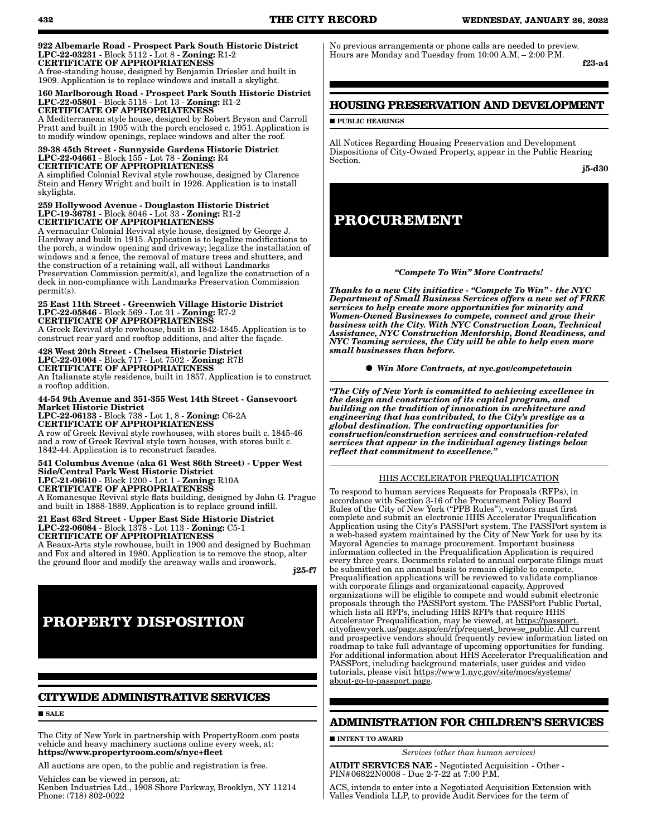#### 922 Albemarle Road - Prospect Park South Historic District LPC-22-03231 - Block 5112 - Lot 8 - Zoning: R1-2 CERTIFICATE OF APPROPRIATENESS

A free-standing house, designed by Benjamin Driesler and built in 1909. Application is to replace windows and install a skylight.

#### 160 Marlborough Road - Prospect Park South Historic District LPC-22-05801 - Block 5118 - Lot 13 - Zoning: R1-2 CERTIFICATE OF APPROPRIATENESS

A Mediterranean style house, designed by Robert Bryson and Carroll Pratt and built in 1905 with the porch enclosed c. 1951. Application is to modify window openings, replace windows and alter the roof.

#### 39-38 45th Street - Sunnyside Gardens Historic District LPC-22-04661 - Block 155 - Lot 78 - Zoning: R4 CERTIFICATE OF APPROPRIATENESS

A simplified Colonial Revival style rowhouse, designed by Clarence Stein and Henry Wright and built in 1926. Application is to install skylights.

#### 259 Hollywood Avenue - Douglaston Historic District LPC-19-36781 - Block 8046 - Lot 33 - Zoning: R1-2 CERTIFICATE OF APPROPRIATENESS

A vernacular Colonial Revival style house, designed by George J. Hardway and built in 1915. Application is to legalize modifications to the porch, a window opening and driveway; legalize the installation of windows and a fence, the removal of mature trees and shutters, and the construction of a retaining wall, all without Landmarks Preservation Commission permit(s), and legalize the construction of a deck in non-compliance with Landmarks Preservation Commission permit(s).

#### 25 East 11th Street - Greenwich Village Historic District LPC-22-05846 - Block 569 - Lot 31 - Zoning: R7-2 CERTIFICATE OF APPROPRIATENESS

A Greek Revival style rowhouse, built in 1842-1845. Application is to construct rear yard and rooftop additions, and alter the façade.

428 West 20th Street - Chelsea Historic District LPC-22-01004 - Block 717 - Lot 7502 - Zoning: R7B CERTIFICATE OF APPROPRIATENESS

An Italianate style residence, built in 1857. Application is to construct a rooftop addition.

#### 44-54 9th Avenue and 351-355 West 14th Street - Gansevoort Market Historic District

LPC-22-06133 - Block 738 - Lot 1, 8 - Zoning: C6-2A CERTIFICATE OF APPROPRIATENESS A row of Greek Revival style rowhouses, with stores built c. 1845-46 and a row of Greek Revival style town houses, with stores built c. 1842-44. Application is to reconstruct facades.

#### 541 Columbus Avenue (aka 61 West 86th Street) - Upper West Side/Central Park West Historic District LPC-21-06610 - Block 1200 - Lot 1 - Zoning: R10A CERTIFICATE OF APPROPRIATENESS A Romanesque Revival style flats building, designed by John G. Prague

and built in 1888-1889. Application is to replace ground infill.

21 East 63rd Street - Upper East Side Historic District LPC-22-06084 - Block 1378 - Lot 113 - Zoning: C5-1 CERTIFICATE OF APPROPRIATENESS

A Beaux-Arts style rowhouse, built in 1900 and designed by Buchman and Fox and altered in 1980. Application is to remove the stoop, alter the ground floor and modify the areaway walls and ironwork.

j25-f7

# **PROPERTY DISPOSITION**

# **CITYWIDE ADMINISTRATIVE SERVICES**

**SALE** 

The City of New York in partnership with PropertyRoom.com posts vehicle and heavy machinery auctions online every week, at: https://www.propertyroom.com/s/nyc+fleet

All auctions are open, to the public and registration is free.

Vehicles can be viewed in person, at:

Kenben Industries Ltd., 1908 Shore Parkway, Brooklyn, NY 11214 Phone: (718) 802-0022

No previous arrangements or phone calls are needed to preview. Hours are Monday and Tuesday from 10:00 A.M. – 2:00 P.M.

f23-a4

## **HOUSING PRESERVATION AND DEVELOPMENT**

**PUBLIC HEARINGS** 

All Notices Regarding Housing Preservation and Development Dispositions of City-Owned Property, appear in the Public Hearing Section.

j5-d30

# **PROCUREMENT**

## *"Compete To Win" More Contracts!*

*Thanks to a new City initiative - "Compete To Win" - the NYC Department of Small Business Services offers a new set of FREE services to help create more opportunities for minority and Women-Owned Businesses to compete, connect and grow their business with the City. With NYC Construction Loan, Technical Assistance, NYC Construction Mentorship, Bond Readiness, and NYC Teaming services, the City will be able to help even more small businesses than before.*

*Win More Contracts, at nyc.gov/competetowin*

*"The City of New York is committed to achieving excellence in the design and construction of its capital program, and building on the tradition of innovation in architecture and engineering that has contributed, to the City's prestige as a global destination. The contracting opportunities for construction/construction services and construction-related services that appear in the individual agency listings below reflect that commitment to excellence."*

## HHS ACCELERATOR PREQUALIFICATION

To respond to human services Requests for Proposals (RFPs), in accordance with Section 3-16 of the Procurement Policy Board Rules of the City of New York ("PPB Rules"), vendors must first complete and submit an electronic HHS Accelerator Prequalification Application using the City's PASSPort system. The PASSPort system is a web-based system maintained by the City of New York for use by its Mayoral Agencies to manage procurement. Important business information collected in the Prequalification Application is required every three years. Documents related to annual corporate filings must be submitted on an annual basis to remain eligible to compete. Prequalification applications will be reviewed to validate compliance with corporate filings and organizational capacity. Approved organizations will be eligible to compete and would submit electronic proposals through the PASSPort system. The PASSPort Public Portal, which lists all RFPs, including HHS RFPs that require HHS Accelerator Prequalification, may be viewed, at https://passport. cityofnewyork.us/page.aspx/en/rfp/request\_browse\_public. All current and prospective vendors should frequently review information listed on roadmap to take full advantage of upcoming opportunities for funding. For additional information about HHS Accelerator Prequalification and PASSPort, including background materials, user guides and video tutorials, please visit https://www1.nyc.gov/site/mocs/systems/ about-go-to-passport.page.

## **ADMINISTRATION FOR CHILDREN'S SERVICES**

**INTENT TO AWARD** 

*Services (other than human services)*

AUDIT SERVICES NAE - Negotiated Acquisition - Other - PIN#06822N0008 - Due 2-7-22 at 7:00 P.M.

ACS, intends to enter into a Negotiated Acquisition Extension with Valles Vendiola LLP, to provide Audit Services for the term of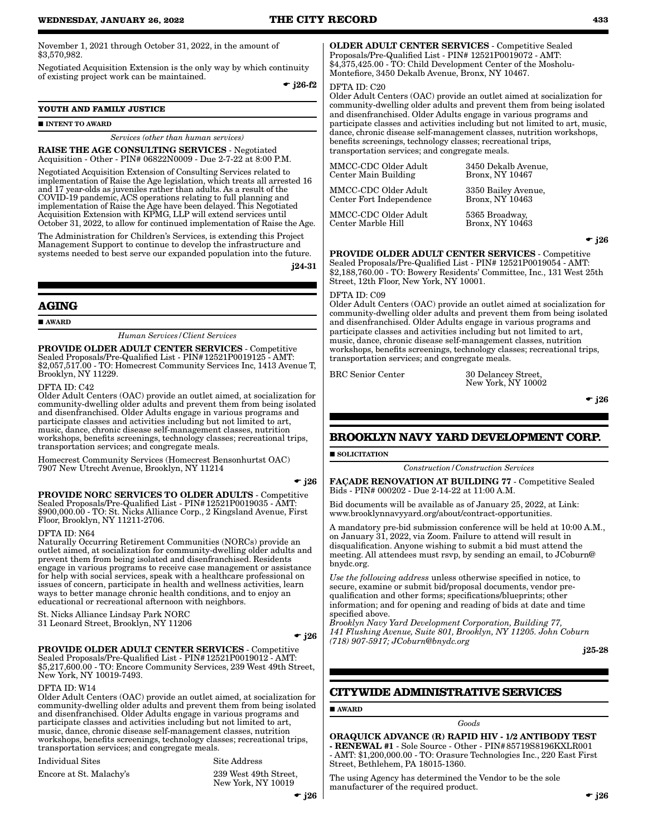November 1, 2021 through October 31, 2022, in the amount of \$3,570,982.

Negotiated Acquisition Extension is the only way by which continuity of existing project work can be maintained.

 $\bullet$  j26-f2

### **YOUTH AND FAMILY JUSTICE**

#### **INTENT TO AWARD**

*Services (other than human services)*

RAISE THE AGE CONSULTING SERVICES - Negotiated Acquisition - Other - PIN# 06822N0009 - Due 2-7-22 at 8:00 P.M.

Negotiated Acquisition Extension of Consulting Services related to implementation of Raise the Age legislation, which treats all arrested 16 and 17 year-olds as juveniles rather than adults. As a result of the COVID-19 pandemic, ACS operations relating to full planning and implementation of Raise the Age have been delayed. This Negotiated Acquisition Extension with KPMG, LLP will extend services until October 31, 2022, to allow for continued implementation of Raise the Age.

The Administration for Children's Services, is extending this Project Management Support to continue to develop the infrastructure and systems needed to best serve our expanded population into the future.

j24-31

## **AGING**

**AWARD** 

*Human Services/Client Services*

PROVIDE OLDER ADULT CENTER SERVICES - Competitive Sealed Proposals/Pre-Qualified List - PIN#12521P0019125 - AMT: \$2,057,517.00 - TO: Homecrest Community Services Inc, 1413 Avenue T, Brooklyn, NY 11229.

DFTA ID: C42

Older Adult Centers (OAC) provide an outlet aimed, at socialization for community-dwelling older adults and prevent them from being isolated and disenfranchised. Older Adults engage in various programs and participate classes and activities including but not limited to art, music, dance, chronic disease self-management classes, nutrition workshops, benefits screenings, technology classes; recreational trips, transportation services; and congregate meals.

Homecrest Community Services (Homecrest Bensonhurtst OAC) 7907 New Utrecht Avenue, Brooklyn, NY 11214

 $\div$  j26

PROVIDE NORC SERVICES TO OLDER ADULTS - Competitive Sealed Proposals/Pre-Qualified List - PIN#12521P0019035 - AMT: \$900,000.00 - TO: St. Nicks Alliance Corp., 2 Kingsland Avenue, First Floor, Brooklyn, NY 11211-2706.

DFTA ID: N64

Naturally Occurring Retirement Communities (NORCs) provide an outlet aimed, at socialization for community-dwelling older adults and prevent them from being isolated and disenfranchised. Residents engage in various programs to receive case management or assistance for help with social services, speak with a healthcare professional on issues of concern, participate in health and wellness activities, learn ways to better manage chronic health conditions, and to enjoy an educational or recreational afternoon with neighbors.

St. Nicks Alliance Lindsay Park NORC

31 Leonard Street, Brooklyn, NY 11206

 $\div$  j26

## PROVIDE OLDER ADULT CENTER SERVICES - Competitive Sealed Proposals/Pre-Qualified List - PIN#12521P0019012 - AMT:

\$5,217,600.00 - TO: Encore Community Services, 239 West 49th Street, New York, NY 10019-7493.

#### DFTA ID: W14

Older Adult Centers (OAC) provide an outlet aimed, at socialization for community-dwelling older adults and prevent them from being isolated and disenfranchised. Older Adults engage in various programs and participate classes and activities including but not limited to art, music, dance, chronic disease self-management classes, nutrition workshops, benefits screenings, technology classes; recreational trips, transportation services; and congregate meals.

Individual Sites Site Address

Encore at St. Malachy's 239 West 49th Street,

New York, NY 10019

OLDER ADULT CENTER SERVICES - Competitive Sealed Proposals/Pre-Qualified List - PIN# 12521P0019072 - AMT: \$4,375,425.00 - TO: Child Development Center of the Mosholu-Montefiore, 3450 Dekalb Avenue, Bronx, NY 10467.

#### DFTA ID: C20

Older Adult Centers (OAC) provide an outlet aimed at socialization for community-dwelling older adults and prevent them from being isolated and disenfranchised. Older Adults engage in various programs and participate classes and activities including but not limited to art, music, dance, chronic disease self-management classes, nutrition workshops, benefits screenings, technology classes; recreational trips, transportation services; and congregate meals.

MMCC-CDC Older Adult Center Main Building 3450 Dekalb Avenue, Bronx, NY 10467 MMCC-CDC Older Adult Center Fort Independence 3350 Bailey Avenue, Bronx, NY 10463 MMCC-CDC Older Adult Center Marble Hill 5365 Broadway, Bronx, NY 10463

 $\bullet$  j26

PROVIDE OLDER ADULT CENTER SERVICES - Competitive Sealed Proposals/Pre-Qualified List - PIN# 12521P0019054 - AMT: \$2,188,760.00 - TO: Bowery Residents' Committee, Inc., 131 West 25th Street, 12th Floor, New York, NY 10001.

#### DFTA ID: C09

Older Adult Centers (OAC) provide an outlet aimed at socialization for community-dwelling older adults and prevent them from being isolated and disenfranchised. Older Adults engage in various programs and participate classes and activities including but not limited to art, music, dance, chronic disease self-management classes, nutrition workshops, benefits screenings, technology classes; recreational trips, transportation services; and congregate meals.

BRC Senior Center 30 Delancey Street, New York, NY 10002

 $\div$  j26

## **BROOKLYN NAVY YARD DEVELOPMENT CORP.**

SOLICITATION

*Construction/Construction Services*

FAÇADE RENOVATION AT BUILDING 77 - Competitive Sealed Bids - PIN# 000202 - Due 2-14-22 at 11:00 A.M.

Bid documents will be available as of January 25, 2022, at Link: www.brooklynnavyyard.org/about/contract-opportunities.

A mandatory pre-bid submission conference will be held at 10:00 A.M., on January 31, 2022, via Zoom. Failure to attend will result in disqualification. Anyone wishing to submit a bid must attend the meeting. All attendees must rsvp, by sending an email, to JCoburn@ bnydc.org.

*Use the following address* unless otherwise specified in notice, to secure, examine or submit bid/proposal documents, vendor prequalification and other forms; specifications/blueprints; other information; and for opening and reading of bids at date and time specified above.

*Brooklyn Navy Yard Development Corporation, Building 77, 141 Flushing Avenue, Suite 801, Brooklyn, NY 11205. John Coburn (718) 907-5917; JCoburn@bnydc.org*

j25-28

## **CITYWIDE ADMINISTRATIVE SERVICES**

## ■ AWARD

#### *Goods*

ORAQUICK ADVANCE (R) RAPID HIV - 1/2 ANTIBODY TEST - RENEWAL #1 - Sole Source - Other - PIN#85719S8196KXLR001 - AMT: \$1,200,000.00 - TO: Orasure Technologies Inc., 220 East First Street, Bethlehem, PA 18015-1360.

The using Agency has determined the Vendor to be the sole manufacturer of the required product.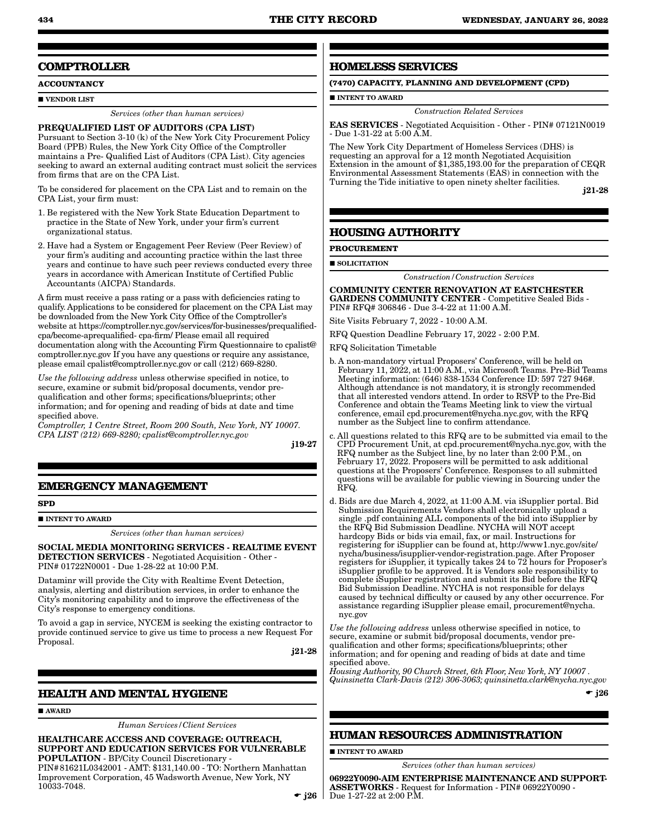# **COMPTROLLER**

**ACCOUNTANCY**

**UVENDOR LIST** 

*Services (other than human services)*

## PREQUALIFIED LIST OF AUDITORS (CPA LIST)

Pursuant to Section 3-10 (k) of the New York City Procurement Policy Board (PPB) Rules, the New York City Office of the Comptroller maintains a Pre- Qualified List of Auditors (CPA List). City agencies seeking to award an external auditing contract must solicit the services from firms that are on the CPA List.

To be considered for placement on the CPA List and to remain on the CPA List, your firm must:

- 1. Be registered with the New York State Education Department to practice in the State of New York, under your firm's current organizational status.
- 2. Have had a System or Engagement Peer Review (Peer Review) of your firm's auditing and accounting practice within the last three years and continue to have such peer reviews conducted every three years in accordance with American Institute of Certified Public Accountants (AICPA) Standards.

A firm must receive a pass rating or a pass with deficiencies rating to qualify. Applications to be considered for placement on the CPA List may be downloaded from the New York City Office of the Comptroller's website at https://comptroller.nyc.gov/services/for-businesses/prequalifiedcpa/become-aprequalified- cpa-firm/ Please email all required documentation along with the Accounting Firm Questionnaire to cpalist@ comptroller.nyc.gov If you have any questions or require any assistance, please email cpalist@comptroller.nyc.gov or call (212) 669-8280.

*Use the following address* unless otherwise specified in notice, to secure, examine or submit bid/proposal documents, vendor prequalification and other forms; specifications/blueprints; other information; and for opening and reading of bids at date and time specified above.

*Comptroller, 1 Centre Street, Room 200 South, New York, NY 10007. CPA LIST (212) 669-8280; cpalist@comptroller.nyc.gov*

j19-27

## **EMERGENCY MANAGEMENT**

**SPD**

**INTENT TO AWARD** 

*Services (other than human services)*

SOCIAL MEDIA MONITORING SERVICES - REALTIME EVENT DETECTION SERVICES - Negotiated Acquisition - Other - PIN# 01722N0001 - Due 1-28-22 at 10:00 P.M.

Dataminr will provide the City with Realtime Event Detection, analysis, alerting and distribution services, in order to enhance the City's monitoring capability and to improve the effectiveness of the City's response to emergency conditions.

To avoid a gap in service, NYCEM is seeking the existing contractor to provide continued service to give us time to process a new Request For Proposal.

j21-28

## **HEALTH AND MENTAL HYGIENE**

AWARD

*Human Services/Client Services*

HEALTHCARE ACCESS AND COVERAGE: OUTREACH, SUPPORT AND EDUCATION SERVICES FOR VULNERABLE POPULATION - BP/City Council Discretionary - PIN#81621L0342001 - AMT: \$131,140.00 - TO: Northern Manhattan Improvement Corporation, 45 Wadsworth Avenue, New York, NY 10033-7048.

## **HOMELESS SERVICES**

**(7470) CAPACITY, PLANNING AND DEVELOPMENT (CPD)**

**INTENT TO AWARD** 

## *Construction Related Services*

EAS SERVICES - Negotiated Acquisition - Other - PIN# 07121N0019 - Due 1-31-22 at 5:00 A.M.

The New York City Department of Homeless Services (DHS) is requesting an approval for a 12 month Negotiated Acquisition Extension in the amount of \$1,385,193.00 for the preparation of CEQR Environmental Assessment Statements (EAS) in connection with the Turning the Tide initiative to open ninety shelter facilities.

j21-28

## **HOUSING AUTHORITY**

**PROCUREMENT**

**SOLICITATION** 

*Construction/Construction Services*

COMMUNITY CENTER RENOVATION AT EASTCHESTER GARDENS COMMUNITY CENTER - Competitive Sealed Bids - PIN# RFQ# 306846 - Due 3-4-22 at 11:00 A.M.

Site Visits February 7, 2022 - 10:00 A.M.

RFQ Question Deadline February 17, 2022 - 2:00 P.M.

RFQ Solicitation Timetable

- b. A non-mandatory virtual Proposers' Conference, will be held on February 11, 2022, at 11:00 A.M., via Microsoft Teams. Pre-Bid Teams Meeting information: (646) 838-1534 Conference ID: 597 727 946#. Although attendance is not mandatory, it is strongly recommended that all interested vendors attend. In order to RSVP to the Pre-Bid Conference and obtain the Teams Meeting link to view the virtual conference, email cpd.procurement@nycha.nyc.gov, with the RFQ number as the Subject line to confirm attendance.
- c. All questions related to this RFQ are to be submitted via email to the CPD Procurement Unit, at cpd.procurement@nycha.nyc.gov, with the RFQ number as the Subject line, by no later than 2:00 P.M., on February 17, 2022. Proposers will be permitted to ask additional questions at the Proposers' Conference. Responses to all submitted questions will be available for public viewing in Sourcing under the RFQ.
- d. Bids are due March 4, 2022, at 11:00 A.M. via iSupplier portal. Bid Submission Requirements Vendors shall electronically upload a single .pdf containing ALL components of the bid into iSupplier by the RFQ Bid Submission Deadline. NYCHA will NOT accept hardcopy Bids or bids via email, fax, or mail. Instructions for registering for iSupplier can be found at, http://www1.nyc.gov/site/ nycha/business/isupplier-vendor-registration.page. After Proposer registers for iSupplier, it typically takes 24 to 72 hours for Proposer's iSupplier profile to be approved. It is Vendors sole responsibility to complete iSupplier registration and submit its Bid before the RFQ Bid Submission Deadline. NYCHA is not responsible for delays caused by technical difficulty or caused by any other occurrence. For assistance regarding iSupplier please email, procurement@nycha. nyc.gov

*Use the following address* unless otherwise specified in notice, to secure, examine or submit bid/proposal documents, vendor prequalification and other forms; specifications/blueprints; other information; and for opening and reading of bids at date and time specified above.

*Housing Authority, 90 Church Street, 6th Floor, New York, NY 10007 . Quinsinetta Clark-Davis (212) 306-3063; quinsinetta.clark@nycha.nyc.gov*

 $\bullet$  j26

## **HUMAN RESOURCES ADMINISTRATION**

**INTENT TO AWARD** 

*Services (other than human services)*

 $\bullet$  j26 | Due 1-27-22 at 2:00 P.M. 06922Y0090-AIM ENTERPRISE MAINTENANCE AND SUPPORT-ASSETWORKS - Request for Information - PIN# 06922Y0090 -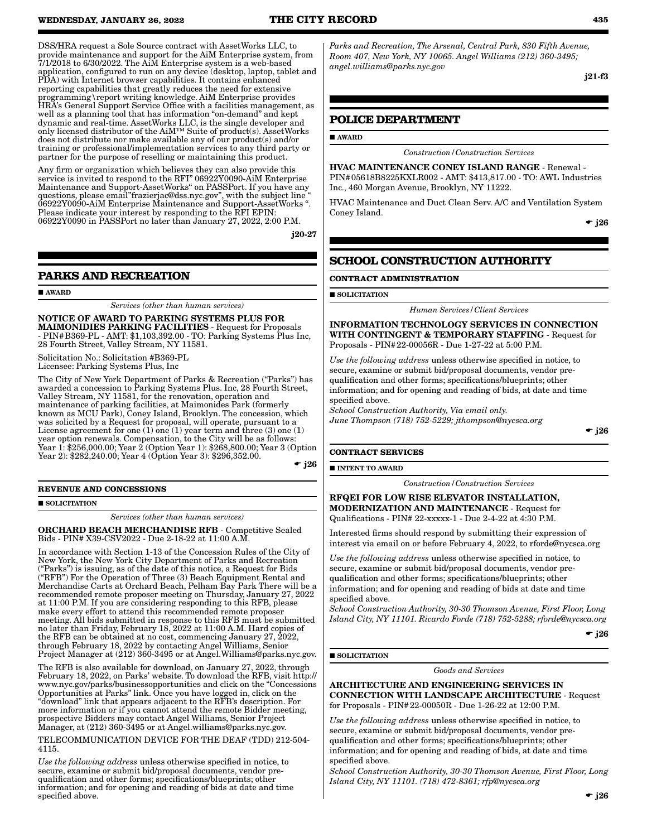DSS/HRA request a Sole Source contract with AssetWorks LLC, to provide maintenance and support for the AiM Enterprise system, from 7/1/2018 to 6/30/2022. The AiM Enterprise system is a web-based application, configured to run on any device (desktop, laptop, tablet and PDA) with Internet browser capabilities. It contains enhanced reporting capabilities that greatly reduces the need for extensive programming\report writing knowledge. AiM Enterprise provides HRA's General Support Service Office with a facilities management, as well as a planning tool that has information "on-demand" and kept dynamic and real-time. AssetWorks LLC, is the single developer and only licensed distributor of the AiM™ Suite of product(s). AssetWorks does not distribute nor make available any of our product(s) and/or training or professional/implementation services to any third party or partner for the purpose of reselling or maintaining this product.

Any firm or organization which believes they can also provide this service is invited to respond to the RFI" 06922Y0090-AiM Enterprise Maintenance and Support-AssetWorks" on PASSPort. If you have any questions, please email"frazierjac@dss.nyc.gov", with the subject line " 06922Y0090-AiM Enterprise Maintenance and Support-AssetWorks ". Please indicate your interest by responding to the RFI EPIN: 06922Y0090 in PASSPort no later than January 27, 2022, 2:00 P.M.

j20-27

## **PARKS AND RECREATION**

#### AWARD

*Services (other than human services)*

NOTICE OF AWARD TO PARKING SYSTEMS PLUS FOR MAIMONIDIES PARKING FACILITIES - Request for Proposals - PIN#B369-PL - AMT: \$1,103,392.00 - TO: Parking Systems Plus Inc, 28 Fourth Street, Valley Stream, NY 11581.

Solicitation No.: Solicitation #B369-PL Licensee: Parking Systems Plus, Inc

The City of New York Department of Parks & Recreation ("Parks") has awarded a concession to Parking Systems Plus. Inc, 28 Fourth Street, Valley Stream, NY 11581, for the renovation, operation and maintenance of parking facilities, at Maimonides Park (formerly known as MCU Park), Coney Island, Brooklyn. The concession, which was solicited by a Request for proposal, will operate, pursuant to a License agreement for one (1) one (1) year term and three (3) one (1) year option renewals. Compensation, to the City will be as follows: Year 1: \$256,000.00; Year 2 (Option Year 1): \$268,800.00; Year 3 (Option Year 2): \$282,240.00; Year 4 (Option Year 3): \$296,352.00.

 $\div$  j26

**REVENUE AND CONCESSIONS**

#### SOLICITATION

*Services (other than human services)*

ORCHARD BEACH MERCHANDISE RFB - Competitive Sealed Bids - PIN# X39-CSV2022 - Due 2-18-22 at 11:00 A.M.

In accordance with Section 1-13 of the Concession Rules of the City of New York, the New York City Department of Parks and Recreation ("Parks") is issuing, as of the date of this notice, a Request for Bids ("RFB") For the Operation of Three (3) Beach Equipment Rental and Merchandise Carts at Orchard Beach, Pelham Bay Park There will be a recommended remote proposer meeting on Thursday, January 27, 2022 at 11:00 P.M. If you are considering responding to this RFB, please make every effort to attend this recommended remote proposer meeting. All bids submitted in response to this RFB must be submitted no later than Friday, February 18, 2022 at 11:00 A.M. Hard copies of the RFB can be obtained at no cost, commencing January 27, 2022, through February 18, 2022 by contacting Angel Williams, Senior Project Manager at (212) 360-3495 or at Angel.Williams@parks.nyc.gov.

The RFB is also available for download, on January 27, 2022, through February 18, 2022, on Parks' website. To download the RFB, visit http:// www.nyc.gov/parks/businessopportunities and click on the "Concessions Opportunities at Parks" link. Once you have logged in, click on the "download" link that appears adjacent to the RFB's description. For more information or if you cannot attend the remote Bidder meeting, prospective Bidders may contact Angel Williams, Senior Project Manager, at (212) 360-3495 or at Angel.williams@parks.nyc.gov.

TELECOMMUNICATION DEVICE FOR THE DEAF (TDD) 212-504- 4115.

*Use the following address* unless otherwise specified in notice, to secure, examine or submit bid/proposal documents, vendor prequalification and other forms; specifications/blueprints; other information; and for opening and reading of bids at date and time specified above.

*Parks and Recreation, The Arsenal, Central Park, 830 Fifth Avenue, Room 407, New York, NY 10065. Angel Williams (212) 360-3495; angel.williams@parks.nyc.gov*

j21-f3

## **POLICE DEPARTMENT**

## **AWARD**

*Construction/Construction Services*

HVAC MAINTENANCE CONEY ISLAND RANGE - Renewal - PIN#05618B8225KXLR002 - AMT: \$413,817.00 - TO: AWL Industries Inc., 460 Morgan Avenue, Brooklyn, NY 11222.

HVAC Maintenance and Duct Clean Serv. A/C and Ventilation System Coney Island.

 $\div$  j26

## **SCHOOL CONSTRUCTION AUTHORITY**

**CONTRACT ADMINISTRATION**

**SOLICITATION** 

*Human Services/Client Services*

INFORMATION TECHNOLOGY SERVICES IN CONNECTION WITH CONTINGENT & TEMPORARY STAFFING - Request for Proposals - PIN#22-00056R - Due 1-27-22 at 5:00 P.M.

*Use the following address* unless otherwise specified in notice, to secure, examine or submit bid/proposal documents, vendor prequalification and other forms; specifications/blueprints; other information; and for opening and reading of bids, at date and time specified above.

*School Construction Authority, Via email only. June Thompson (718) 752-5229; jthompson@nycsca.org*

 $\div$  i26

#### **CONTRACT SERVICES**

**INTENT TO AWARD** 

*Construction/Construction Services*

RFQEI FOR LOW RISE ELEVATOR INSTALLATION, MODERNIZATION AND MAINTENANCE - Request for Qualifications - PIN# 22-xxxxx-1 - Due 2-4-22 at 4:30 P.M.

Interested firms should respond by submitting their expression of interest via email on or before February 4, 2022, to rforde@nycsca.org

*Use the following address* unless otherwise specified in notice, to secure, examine or submit bid/proposal documents, vendor prequalification and other forms; specifications/blueprints; other information; and for opening and reading of bids at date and time specified above.

*School Construction Authority, 30-30 Thomson Avenue, First Floor, Long Island City, NY 11101. Ricardo Forde (718) 752-5288; rforde@nycsca.org*

 $\div$  j26

#### $\blacksquare$  SOLICITATION

*Goods and Services*

ARCHITECTURE AND ENGINEERING SERVICES IN CONNECTION WITH LANDSCAPE ARCHITECTURE - Request for Proposals - PIN#22-00050R - Due 1-26-22 at 12:00 P.M.

*Use the following address* unless otherwise specified in notice, to secure, examine or submit bid/proposal documents, vendor prequalification and other forms; specifications/blueprints; other information; and for opening and reading of bids, at date and time specified above.

*School Construction Authority, 30-30 Thomson Avenue, First Floor, Long Island City, NY 11101. (718) 472-8361; rfp@nycsca.org*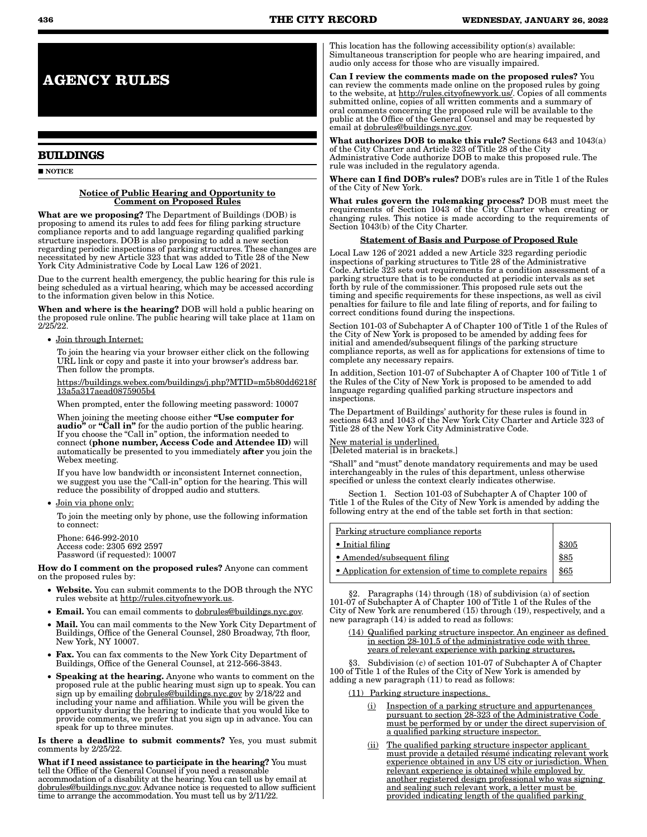**AGENCY RULES**

## **BUILDINGS**

**NOTICE** 

#### Notice of Public Hearing and Opportunity to Comment on Proposed Rules

What are we proposing? The Department of Buildings (DOB) is proposing to amend its rules to add fees for filing parking structure compliance reports and to add language regarding qualified parking structure inspectors. DOB is also proposing to add a new section regarding periodic inspections of parking structures. These changes are necessitated by new Article 323 that was added to Title 28 of the New York City Administrative Code by Local Law 126 of 2021.

Due to the current health emergency, the public hearing for this rule is being scheduled as a virtual hearing, which may be accessed according to the information given below in this Notice.

When and where is the hearing? DOB will hold a public hearing on the proposed rule online. The public hearing will take place at 11am on 2/25/22.

• Join through Internet:

To join the hearing via your browser either click on the following URL link or copy and paste it into your browser's address bar. Then follow the prompts.

https://buildings.webex.com/buildings/j.php?MTID=m5b80dd6218f 13a5a317aead0875905b4

When prompted, enter the following meeting password: 10007

When joining the meeting choose either "Use computer for audio" or "Call in" for the audio portion of the public hearing. If you choose the "Call in" option, the information needed to connect (phone number, Access Code and Attendee ID) will automatically be presented to you immediately after you join the Webex meeting.

If you have low bandwidth or inconsistent Internet connection, we suggest you use the "Call-in" option for the hearing. This will reduce the possibility of dropped audio and stutters.

• Join via phone only:

To join the meeting only by phone, use the following information to connect:

Phone: 646-992-2010 Access code: 2305 692 2597 Password (if requested): 10007

How do I comment on the proposed rules? Anyone can comment on the proposed rules by:

- Website. You can submit comments to the DOB through the NYC rules website at http://rules.cityofnewyork.us.
- Email. You can email comments to dobrules@buildings.nyc.gov.
- Mail. You can mail comments to the New York City Department of Buildings, Office of the General Counsel, 280 Broadway, 7th floor, New York, NY 10007.
- Fax. You can fax comments to the New York City Department of Buildings, Office of the General Counsel, at 212-566-3843.
- Speaking at the hearing. Anyone who wants to comment on the proposed rule at the public hearing must sign up to speak. You can sign up by emailing dobrules@buildings.nyc.gov by 2/18/22 and including your name and affiliation. While you will be given the opportunity during the hearing to indicate that you would like to provide comments, we prefer that you sign up in advance. You can speak for up to three minutes.

Is there a deadline to submit comments? Yes, you must submit comments by 2/25/22.

What if I need assistance to participate in the hearing? You must tell the Office of the General Counsel if you need a reasonable accommodation of a disability at the hearing. You can tell us by email at dobrules@buildings.nyc.gov. Advance notice is requested to allow sufficient time to arrange the accommodation. You must tell us by 2/11/22.

This location has the following accessibility option(s) available: Simultaneous transcription for people who are hearing impaired, and audio only access for those who are visually impaired.

Can I review the comments made on the proposed rules? You can review the comments made online on the proposed rules by going to the website, at http://rules.cityofnewyork.us/. Copies of all comments submitted online, copies of all written comments and a summary of oral comments concerning the proposed rule will be available to the public at the Office of the General Counsel and may be requested by email at dobrules@buildings.nyc.gov

What authorizes DOB to make this rule? Sections 643 and 1043(a) of the City Charter and Article 323 of Title 28 of the City Administrative Code authorize DOB to make this proposed rule. The rule was included in the regulatory agenda.

Where can I find DOB's rules? DOB's rules are in Title 1 of the Rules of the City of New York.

What rules govern the rulemaking process? DOB must meet the requirements of Section 1043 of the City Charter when creating or changing rules. This notice is made according to the requirements of Section 1043(b) of the City Charter.

#### Statement of Basis and Purpose of Proposed Rule

Local Law 126 of 2021 added a new Article 323 regarding periodic inspections of parking structures to Title 28 of the Administrative Code. Article 323 sets out requirements for a condition assessment of a parking structure that is to be conducted at periodic intervals as set forth by rule of the commissioner. This proposed rule sets out the timing and specific requirements for these inspections, as well as civil penalties for failure to file and late filing of reports, and for failing to correct conditions found during the inspections.

Section 101-03 of Subchapter A of Chapter 100 of Title 1 of the Rules of the City of New York is proposed to be amended by adding fees for initial and amended/subsequent filings of the parking structure compliance reports, as well as for applications for extensions of time to complete any necessary repairs.

In addition, Section 101-07 of Subchapter A of Chapter 100 of Title 1 of the Rules of the City of New York is proposed to be amended to add language regarding qualified parking structure inspectors and inspections.

The Department of Buildings' authority for these rules is found in sections 643 and 1043 of the New York City Charter and Article 323 of Title 28 of the New York City Administrative Code.

New material is underlined. [Deleted material is in brackets.]

"Shall" and "must" denote mandatory requirements and may be used interchangeably in the rules of this department, unless otherwise specified or unless the context clearly indicates otherwise.

Section 1. Section 101-03 of Subchapter A of Chapter 100 of Title 1 of the Rules of the City of New York is amended by adding the following entry at the end of the table set forth in that section:

Parking structure compliance reports

| • Initial filing                                        | \$305 |
|---------------------------------------------------------|-------|
| • Amended/subsequent filing                             | \$85  |
| • Application for extension of time to complete repairs | \$65  |

§2. Paragraphs (14) through (18) of subdivision (a) of section 101-07 of Subchapter A of Chapter 100 of Title 1 of the Rules of the City of New York are renumbered (15) through (19), respectively, and a new paragraph (14) is added to read as follows:

(14) Qualified parking structure inspector. An engineer as defined in section 28-101.5 of the administrative code with three years of relevant experience with parking structures.

Subdivision (c) of section 101-07 of Subchapter A of Chapter 100 of Title 1 of the Rules of the City of New York is amended by adding a new paragraph (11) to read as follows:

- (11) Parking structure inspections.
	- Inspection of a parking structure and appurtenances pursuant to section 28-323 of the Administrative Code must be performed by or under the direct supervision of a qualified parking structure inspector.
	- (ii) The qualified parking structure inspector applicant must provide a detailed résumé indicating relevant work experience obtained in any US city or jurisdiction. When relevant experience is obtained while employed by another registered design professional who was signing and sealing such relevant work, a letter must be provided indicating length of the qualified parking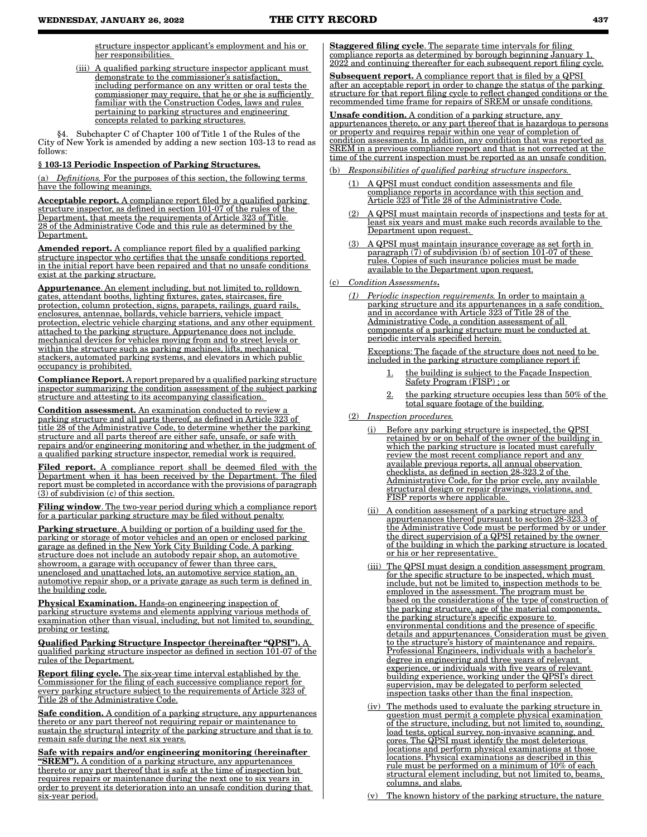structure inspector applicant's employment and his or her responsibilities.

(iii) A qualified parking structure inspector applicant must demonstrate to the commissioner's satisfaction, including performance on any written or oral tests the commissioner may require, that he or she is sufficiently familiar with the Construction Codes, laws and rules pertaining to parking structures and engineering concepts related to parking structures.

§4. Subchapter C of Chapter 100 of Title 1 of the Rules of the City of New York is amended by adding a new section 103-13 to read as follows:

#### § 103-13 Periodic Inspection of Parking Structures.

(a) *Definitions.* For the purposes of this section, the following terms have the following meanings.

Acceptable report. A compliance report filed by a qualified parking structure inspector, as defined in section 101-07 of the rules of the Department, that meets the requirements of Article 323 of Title 28 of the Administrative Code and this rule as determined by the Department.

Amended report. A compliance report filed by a qualified parking structure inspector who certifies that the unsafe conditions reported in the initial report have been repaired and that no unsafe conditions exist at the parking structure.

Appurtenance. An element including, but not limited to, rolldown gates, attendant booths, lighting fixtures, gates, staircases, fire protection, column protection, signs, parapets, railings, guard rails, enclosures, antennae, bollards, vehicle barriers, vehicle impact protection, electric vehicle charging stations, and any other equipment attached to the parking structure. Appurtenance does not include mechanical devices for vehicles moving from and to street levels or within the structure such as parking machines, lifts, mechanical stackers, automated parking systems, and elevators in which public occupancy is prohibited.

Compliance Report. A report prepared by a qualified parking structure inspector summarizing the condition assessment of the subject parking structure and attesting to its accompanying classification.

Condition assessment. An examination conducted to review a parking structure and all parts thereof, as defined in Article 323 of title 28 of the Administrative Code, to determine whether the parking structure and all parts thereof are either safe, unsafe, or safe with repairs and/or engineering monitoring and whether, in the judgment of a qualified parking structure inspector, remedial work is required.

Filed report. A compliance report shall be deemed filed with the Department when it has been received by the Department. The filed report must be completed in accordance with the provisions of paragraph  $(3)$  of subdivision (c) of this section.

Filing window. The two-year period during which a compliance report for a particular parking structure may be filed without penalty.

Parking structure. A building or portion of a building used for the parking or storage of motor vehicles and an open or enclosed parking garage as defined in the New York City Building Code. A parking structure does not include an autobody repair shop, an automotive showroom, a garage with occupancy of fewer than three cars, unenclosed and unattached lots, an automotive service station, an automotive repair shop, or a private garage as such term is defined in the building code.

Physical Examination. Hands-on engineering inspection of parking structure systems and elements applying various methods of examination other than visual, including, but not limited to, sounding, probing or testing.

Qualified Parking Structure Inspector (hereinafter "QPSI"). A qualified parking structure inspector as defined in section 101-07 of the rules of the Department.

Report filing cycle. The six-year time interval established by the Commissioner for the filing of each successive compliance report for every parking structure subject to the requirements of Article 323 of Title 28 of the Administrative Code.

Safe condition. A condition of a parking structure, any appurtenances thereto or any part thereof not requiring repair or maintenance to sustain the structural integrity of the parking structure and that is to remain safe during the next six years.

Safe with repairs and/or engineering monitoring (hereinafter **"SREM").** A condition of a parking structure, any appurtenances thereto or any part thereof that is safe at the time of inspection but requires repairs or maintenance during the next one to six years in order to prevent its deterioration into an unsafe condition during that six-year period.

Staggered filing cycle. The separate time intervals for filing compliance reports as determined by borough beginning January 1, 2022 and continuing thereafter for each subsequent report filing cycle.

**Subsequent report.** A compliance report that is filed by a QPSI after an acceptable report in order to change the status of the parking structure for that report filing cycle to reflect changed conditions or the recommended time frame for repairs of SREM or unsafe conditions.

**Unsafe condition.** A condition of a parking structure, any appurtenances thereto, or any part thereof that is hazardous to persons or property and requires repair within one year of completion of condition assessments. In addition, any condition that was reported as SREM in a previous compliance report and that is not corrected at the time of the current inspection must be reported as an unsafe condition.

- $Res points is a {\it d}$  *Responsibilities of qualified parking structure inspectors.* 
	- (1) A QPSI must conduct condition assessments and file compliance reports in accordance with this section and Article 323 of Title 28 of the Administrative Code.
	- (2) A QPSI must maintain records of inspections and tests for at least six years and must make such records available to the Department upon request.
	- (3) A QPSI must maintain insurance coverage as set forth in paragraph (7) of subdivision (b) of section 101-07 of these rules. Copies of such insurance policies must be made available to the Department upon request.

(c) *Condition Assessments*.

*(1) Periodic inspection requirements.* In order to maintain a parking structure and its appurtenances in a safe condition, and in accordance with Article 323 of Title 28 of the Administrative Code, a condition assessment of all components of a parking structure must be conducted at periodic intervals specified herein.

Exceptions: The façade of the structure does not need to be included in the parking structure compliance report if:

- the building is subject to the Façade Inspection Safety Program (FISP) ; or
- the parking structure occupies less than 50% of the total square footage of the building.
- (2) *Inspection procedures.*
	- (i) Before any parking structure is inspected, the QPSI retained by or on behalf of the owner of the building in which the parking structure is located must carefully review the most recent compliance report and any available previous reports, all annual observation checklists, as defined in section 28-323.2 of the Administrative Code, for the prior cycle, any available structural design or repair drawings, violations, and FISP reports where applicable.
	- (ii) A condition assessment of a parking structure and appurtenances thereof pursuant to section 28-323.3 of the Administrative Code must be performed by or under the direct supervision of a QPSI retained by the owner of the building in which the parking structure is located or his or her representative.
	- (iii) The QPSI must design a condition assessment program for the specific structure to be inspected, which must include, but not be limited to, inspection methods to be employed in the assessment. The program must be based on the considerations of the type of construction of the parking structure, age of the material components, the parking structure's specific exposure to environmental conditions and the presence of specific details and appurtenances. Consideration must be given to the structure's history of maintenance and repairs. Professional Engineers, individuals with a bachelor's degree in engineering and three years of relevant experience, or individuals with five years of relevant building experience, working under the QPSI's direct supervision, may be delegated to perform selected inspection tasks other than the final inspection.
	- (iv) The methods used to evaluate the parking structure in question must permit a complete physical examination of the structure, including, but not limited to, sounding, load tests, optical survey, non-invasive scanning, and cores. The QPSI must identify the most deleterious locations and perform physical examinations at those locations. Physical examinations as described in this rule must be performed on a minimum of 10% of each structural element including, but not limited to, beams, columns, and slabs.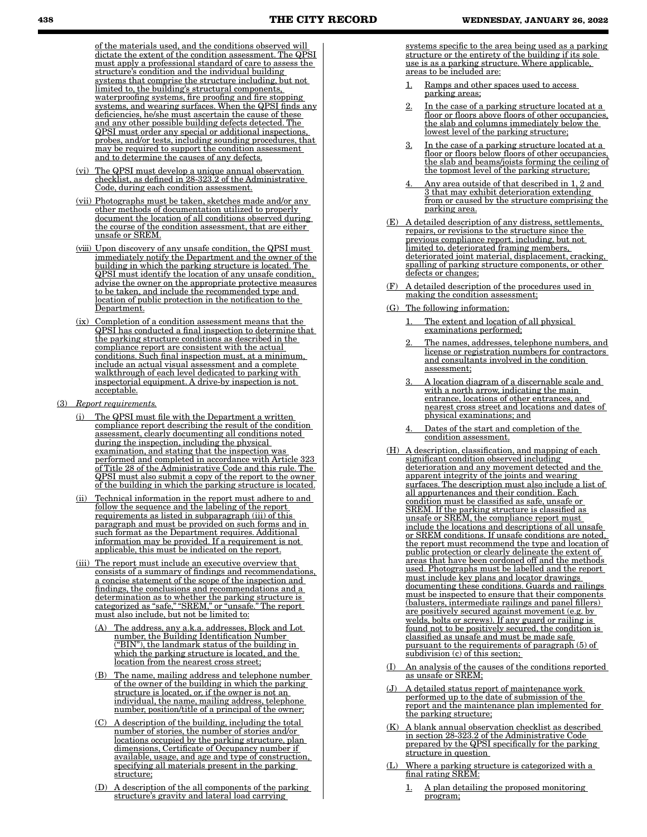of the materials used, and the conditions observed will dictate the extent of the condition assessment. The QPSI must apply a professional standard of care to assess the structure's condition and the individual building systems that comprise the structure including, but not limited to, the building's structural components, waterproofing systems, fire proofing and fire stopping systems, and wearing surfaces. When the QPSI finds any deficiencies, he/she must ascertain the cause of these and any other possible building defects detected. The QPSI must order any special or additional inspections, probes, and/or tests, including sounding procedures, that may be required to support the condition assessment and to determine the causes of any defects.

- (vi) The QPSI must develop a unique annual observation checklist, as defined in 28-323.2 of the Administrative Code, during each condition assessment.
- (vii) Photographs must be taken, sketches made and/or any other methods of documentation utilized to properly document the location of all conditions observed during the course of the condition assessment, that are either unsafe or SREM.
- (viii) Upon discovery of any unsafe condition, the QPSI must immediately notify the Department and the owner of the building in which the parking structure is located. The QPSI must identify the location of any unsafe condition, advise the owner on the appropriate protective measures to be taken, and include the recommended type and location of public protection in the notification to the Department.
- (ix) Completion of a condition assessment means that the QPSI has conducted a final inspection to determine that the parking structure conditions as described in the compliance report are consistent with the actual conditions. Such final inspection must, at a minimum, include an actual visual assessment and a complete walkthrough of each level dedicated to parking with inspectorial equipment. A drive-by inspection is not acceptable.
- (3) *Report requirements.*
	- The QPSI must file with the Department a written compliance report describing the result of the condition assessment, clearly documenting all conditions noted during the inspection, including the physical examination, and stating that the inspection was performed and completed in accordance with Article 323 of Title 28 of the Administrative Code and this rule. The QPSI must also submit a copy of the report to the owner of the building in which the parking structure is located.
	- (ii) Technical information in the report must adhere to and follow the sequence and the labeling of the report requirements as listed in subparagraph (iii) of this paragraph and must be provided on such forms and in such format as the Department requires. Additional information may be provided. If a requirement is not applicable, this must be indicated on the report.
	- (iii) The report must include an executive overview that consists of a summary of findings and recommendations, a concise statement of the scope of the inspection and findings, the conclusions and recommendations and a determination as to whether the parking structure is categorized as "safe," "SREM," or "unsafe." The report must also include, but not be limited to:
		- (A) The address, any a.k.a. addresses, Block and Lot number, the Building Identification Number ("BIN"), the landmark status of the building in which the parking structure is located, and the location from the nearest cross street;
		- (B) The name, mailing address and telephone number of the owner of the building in which the parking structure is located, or, if the owner is not an individual, the name, mailing address, telephone number, position/title of a principal of the owner;
		- (C) A description of the building, including the total number of stories, the number of stories and/or locations occupied by the parking structure, plan dimensions, Certificate of Occupancy number if available, usage, and age and type of construction, specifying all materials present in the parking structure;
		- (D) A description of the all components of the parking structure's gravity and lateral load carrying

systems specific to the area being used as a parking structure or the entirety of the building if its sole use is as a parking structure. Where applicable, areas to be included are:

- 1. Ramps and other spaces used to access parking areas;
- 2. In the case of a parking structure located at a floor or floors above floors of other occupancies, the slab and columns immediately below the lowest level of the parking structure;
- 3. In the case of a parking structure located at a floor or floors below floors of other occupancies, the slab and beams/joists forming the ceiling of the topmost level of the parking structure;
- Any area outside of that described in 1, 2 and 3 that may exhibit deterioration extending from or caused by the structure comprising the parking area.
- (E) A detailed description of any distress, settlements, repairs, or revisions to the structure since the previous compliance report, including, but not limited to, deteriorated framing members, deteriorated joint material, displacement, cracking, spalling of parking structure components, or other defects or changes;
- A detailed description of the procedures used in making the condition assessment;
- (G) The following information:
	- The extent and location of all physical examinations performed;
	- The names, addresses, telephone numbers, and license or registration numbers for contractors and consultants involved in the condition assessment;
	- 3. A location diagram of a discernable scale and with a north arrow, indicating the main entrance, locations of other entrances, and nearest cross street and locations and dates of physical examinations; and
	- Dates of the start and completion of the condition assessment.
- (H) A description, classification, and mapping of each significant condition observed including deterioration and any movement detected and the apparent integrity of the joints and wearing surfaces. The description must also include a list of all appurtenances and their condition. Each condition must be classified as safe, unsafe or SREM. If the parking structure is classified as unsafe or SREM, the compliance report must include the locations and descriptions of all unsafe or SREM conditions. If unsafe conditions are noted, the report must recommend the type and location of public protection or clearly delineate the extent of areas that have been cordoned off and the methods used. Photographs must be labelled and the report must include key plans and locator drawings documenting these conditions. Guards and railings must be inspected to ensure that their components (balusters, intermediate railings and panel fillers) are positively secured against movement (e.g. by welds, bolts or screws). If any guard or railing is found not to be positively secured, the condition is classified as unsafe and must be made safe pursuant to the requirements of paragraph (5) of subdivision (c) of this section;
- (I) An analysis of the causes of the conditions reported as unsafe or SREM;
- A detailed status report of maintenance work performed up to the date of submission of the report and the maintenance plan implemented for the parking structure;
- (K) A blank annual observation checklist as described in section 28-323.2 of the Administrative Code prepared by the QPSI specifically for the parking structure in question
- (L) Where a parking structure is categorized with a final rating SREM:
	- 1. A plan detailing the proposed monitoring program;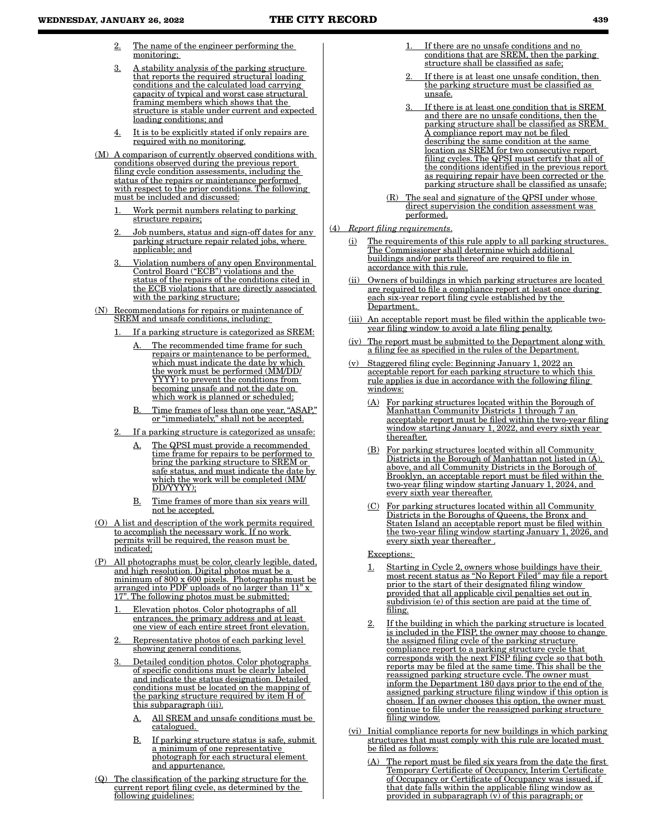- 2. The name of the engineer performing the monitoring;
- 3. A stability analysis of the parking structure that reports the required structural loading conditions and the calculated load carrying capacity of typical and worst case structural framing members which shows that the structure is stable under current and expected loading conditions; and
- 4. It is to be explicitly stated if only repairs are required with no monitoring.
- (M) A comparison of currently observed conditions with conditions observed during the previous report filing cycle condition assessments, including the status of the repairs or maintenance performed with respect to the prior conditions. The following must be included and discussed:
	- Work permit numbers relating to parking structure repairs;
	- Job numbers, status and sign-off dates for any parking structure repair related jobs, where applicable; and
	- 3. Violation numbers of any open Environmental Control Board ("ECB") violations and the status of the repairs of the conditions cited in the ECB violations that are directly associated with the parking structure;
- (N) Recommendations for repairs or maintenance of SREM and unsafe conditions, including:
	- If a parking structure is categorized as SREM:
		- A. The recommended time frame for such repairs or maintenance to be performed, which must indicate the date by which the work must be performed (MM/DD/ YYYY) to prevent the conditions from becoming unsafe and not the date on which work is planned or scheduled;
		- B. Time frames of less than one year, "ASAP," or "immediately," shall not be accepted.
	- If a parking structure is categorized as unsafe:
		- A. The QPSI must provide a recommended time frame for repairs to be performed to bring the parking structure to SREM or safe status, and must indicate the date by which the work will be completed (MM/ DD/YYYY);
		- B. Time frames of more than six years will not be accepted.
- A list and description of the work permits required to accomplish the necessary work. If no work permits will be required, the reason must be indicated;
- All photographs must be color, clearly legible, dated, and high resolution. Digital photos must be a minimum of 800 x 600 pixels. Photographs must be arranged into PDF uploads of no larger than 11" x . The following photos must be submitted:
	- 1. Elevation photos. Color photographs of all entrances, the primary address and at least one view of each entire street front elevation.
	- Representative photos of each parking level showing general conditions.
	- 3. Detailed condition photos. Color photographs of specific conditions must be clearly labeled and indicate the status designation. Detailed conditions must be located on the mapping of the parking structure required by item H of this subparagraph (iii).
		- A. All SREM and unsafe conditions must be catalogued.
		- B. If parking structure status is safe, submit a minimum of one representative photograph for each structural element and appurtenance.
- (Q) The classification of the parking structure for the current report filing cycle, as determined by the following guidelines:
- If there are no unsafe conditions and no conditions that are SREM, then the parking structure shall be classified as safe;
- If there is at least one unsafe condition, then the parking structure must be classified as unsafe.
- If there is at least one condition that is SREM and there are no unsafe conditions, then the parking structure shall be classified as SREM. A compliance report may not be filed describing the same condition at the same location as SREM for two consecutive report filing cycles. The QPSI must certify that all of the conditions identified in the previous report as requiring repair have been corrected or the parking structure shall be classified as unsafe;
- (R) The seal and signature of the QPSI under whose direct supervision the condition assessment was performed.
- (4) *Report filing requirements*.
	- (i) The requirements of this rule apply to all parking structures. The Commissioner shall determine which additional buildings and/or parts thereof are required to file in accordance with this rule.
	- Owners of buildings in which parking structures are located are required to file a compliance report at least once during each six-year report filing cycle established by the Department.
	- (iii) An acceptable report must be filed within the applicable twoyear filing window to avoid a late filing penalty.
	- (iv) The report must be submitted to the Department along with a filing fee as specified in the rules of the Department.
	- Staggered filing cycle: Beginning January 1, 2022 an acceptable report for each parking structure to which this rule applies is due in accordance with the following filing windows:
		- (A) For parking structures located within the Borough of Manhattan Community Districts 1 through 7 an acceptable report must be filed within the two-year filing window starting January 1, 2022, and every sixth year thereafter.
		- (B) For parking structures located within all Community Districts in the Borough of Manhattan not listed in (A), above, and all Community Districts in the Borough of Brooklyn, an acceptable report must be filed within the two-year filing window starting January 1, 2024, and every sixth year thereafter.
		- (C) For parking structures located within all Community Districts in the Boroughs of Queens, the Bronx and Staten Island an acceptable report must be filed within the two-year filing window starting January 1, 2026, and every sixth year thereafter .
		- Exceptions:
		- 1. Starting in Cycle 2, owners whose buildings have their most recent status as "No Report Filed" may file a report prior to the start of their designated filing window provided that all applicable civil penalties set out in subdivision (e) of this section are paid at the time of filing.
		- If the building in which the parking structure is located is included in the FISP, the owner may choose to change the assigned filing cycle of the parking structure compliance report to a parking structure cycle that corresponds with the next FISP filing cycle so that both reports may be filed at the same time. This shall be the reassigned parking structure cycle. The owner must inform the Department 180 days prior to the end of the assigned parking structure filing window if this option is chosen. If an owner chooses this option, the owner must continue to file under the reassigned parking structure filing window.
	- (vi) Initial compliance reports for new buildings in which parking structures that must comply with this rule are located must be filed as follows:
		- (A) The report must be filed six years from the date the first Temporary Certificate of Occupancy, Interim Certificate of Occupancy or Certificate of Occupancy was issued, if that date falls within the applicable filing window as provided in subparagraph  $(v)$  of this paragraph; or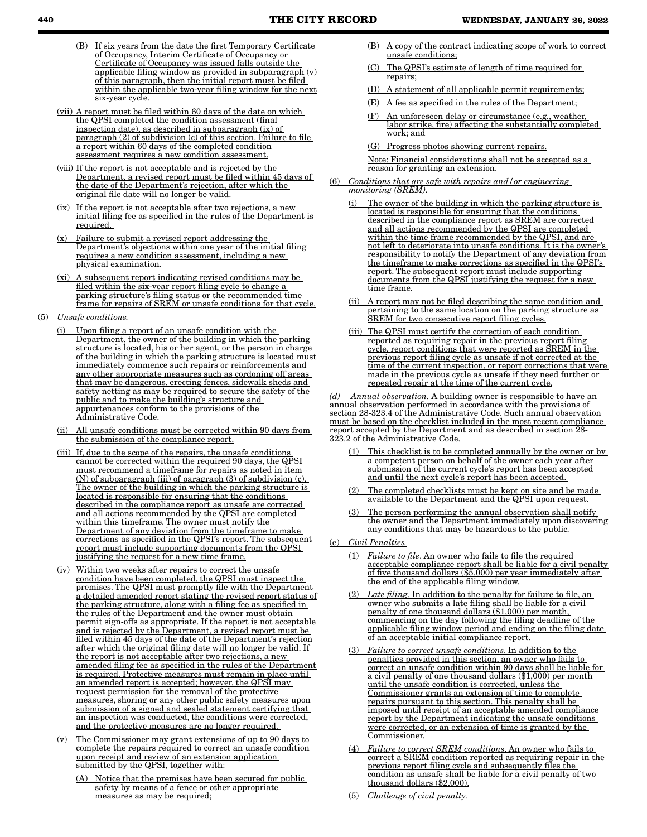- **440 THE CITY RECORD WEDNESDAY, JANUARY 26, 2022** 
	- (B) If six years from the date the first Temporary Certificate of Occupancy, Interim Certificate of Occupancy or Certificate of Occupancy was issued falls outside the applicable filing window as provided in subparagraph (v) of this paragraph, then the initial report must be filed within the applicable two-year filing window for the next six-year cycle.
	- (vii) A report must be filed within 60 days of the date on which the QPSI completed the condition assessment (final inspection date), as described in subparagraph (ix) of paragraph (2) of subdivision (c) of this section. Failure to file a report within 60 days of the completed condition assessment requires a new condition assessment.
	- (viii) If the report is not acceptable and is rejected by the Department, a revised report must be filed within 45 days of the date of the Department's rejection, after which the original file date will no longer be valid.
	- (ix) If the report is not acceptable after two rejections, a new initial filing fee as specified in the rules of the Department is required.
	- (x) Failure to submit a revised report addressing the Department's objections within one year of the initial filing requires a new condition assessment, including a new physical examination.
	- subsequent report indicating revised conditions may be filed within the six-year report filing cycle to change a parking structure's filing status or the recommended time frame for repairs of SREM or unsafe conditions for that cycle.
- (5) *Unsafe conditions.*
	- Upon filing a report of an unsafe condition with the Department, the owner of the building in which the parking structure is located, his or her agent, or the person in charge of the building in which the parking structure is located must immediately commence such repairs or reinforcements and any other appropriate measures such as cordoning off areas that may be dangerous, erecting fences, sidewalk sheds and safety netting as may be required to secure the safety of the public and to make the building's structure and appurtenances conform to the provisions of the Administrative Code.
	- (ii) All unsafe conditions must be corrected within 90 days from the submission of the compliance report.
	- (iii) If, due to the scope of the repairs, the unsafe conditions cannot be corrected within the required 90 days, the QPSI must recommend a timeframe for repairs as noted in item (N) of subparagraph (iii) of paragraph (3) of subdivision (c). The owner of the building in which the parking structure is located is responsible for ensuring that the conditions described in the compliance report as unsafe are corrected and all actions recommended by the QPSI are completed within this timeframe. The owner must notify the Department of any deviation from the timeframe to make corrections as specified in the QPSI's report. The subsequent report must include supporting documents from the QPSI justifying the request for a new time frame.
	- (iv) Within two weeks after repairs to correct the unsafe condition have been completed, the QPSI must inspect the premises. The QPSI must promptly file with the Department a detailed amended report stating the revised report status of the parking structure, along with a filing fee as specified in the rules of the Department and the owner must obtain permit sign-offs as appropriate. If the report is not acceptable and is rejected by the Department, a revised report must be filed within 45 days of the date of the Department's rejection after which the original filing date will no longer be valid. If the report is not acceptable after two rejections, a new amended filing fee as specified in the rules of the Department is required. Protective measures must remain in place until an amended report is accepted; however, the QPSI may request permission for the removal of the protective measures, shoring or any other public safety measures upon submission of a signed and sealed statement certifying that an inspection was conducted, the conditions were corrected, and the protective measures are no longer required.
	- (v) The Commissioner may grant extensions of up to 90 days to complete the repairs required to correct an unsafe condition upon receipt and review of an extension application submitted by the QPSI, together with:
		- Notice that the premises have been secured for public safety by means of a fence or other appropriate measures as may be required;
- (B) A copy of the contract indicating scope of work to correct unsafe conditions;
- (C) The QPSI's estimate of length of time required for repairs;
- (D) A statement of all applicable permit requirements;
- (E) A fee as specified in the rules of the Department;
- An unforeseen delay or circumstance (e.g., weather, labor strike, fire) affecting the substantially completed work; and
- (G) Progress photos showing current repairs.

Note: Financial considerations shall not be accepted as a reason for granting an extension.

- (6) *Conditions that are safe with repairs and/or engineering monitoring (SREM).*
	- The owner of the building in which the parking structure is located is responsible for ensuring that the conditions described in the compliance report as SREM are corrected and all actions recommended by the QPSI are completed within the time frame recommended by the QPSI, and are not left to deteriorate into unsafe conditions. It is the owner's responsibility to notify the Department of any deviation from the timeframe to make corrections as specified in the QPSI's report. The subsequent report must include supporting documents from the QPSI justifying the request for a new time frame.
	- (ii) A report may not be filed describing the same condition and pertaining to the same location on the parking structure as SREM for two consecutive report filing cycles.
	- (iii) The QPSI must certify the correction of each condition reported as requiring repair in the previous report filing cycle, report conditions that were reported as SREM in the previous report filing cycle as unsafe if not corrected at the time of the current inspection, or report corrections that were made in the previous cycle as unsafe if they need further or repeated repair at the time of the current cycle.

*Annual observation.* A building owner is responsible to have an annual observation performed in accordance with the provisions of section 28-323.4 of the Administrative Code. Such annual observation must be based on the checklist included in the most recent compliance report accepted by the Department and as described in section 28- 323.2 of the Administrative Code.

- (1) This checklist is to be completed annually by the owner or by a competent person on behalf of the owner each year after submission of the current cycle's report has been accepted and until the next cycle's report has been accepted.
- (2) The completed checklists must be kept on site and be made available to the Department and the QPSI upon request.
- The person performing the annual observation shall notify the owner and the Department immediately upon discovering any conditions that may be hazardous to the public.
- (e) *Civil Penalties.*
	- (1) *Failure to file*. An owner who fails to file the required acceptable compliance report shall be liable for a civil penalty of five thousand dollars (\$5,000) per year immediately after the end of the applicable filing window.
	- (2) *Late filing*. In addition to the penalty for failure to file, an owner who submits a late filing shall be liable for a civil penalty of one thousand dollars (\$1,000) per month, commencing on the day following the filing deadline of the applicable filing window period and ending on the filing date of an acceptable initial compliance report.
	- (3) *Failure to correct unsafe conditions.* In addition to the penalties provided in this section, an owner who fails to correct an unsafe condition within 90 days shall be liable for a civil penalty of one thousand dollars (\$1,000) per month until the unsafe condition is corrected, unless the Commissioner grants an extension of time to complete repairs pursuant to this section. This penalty shall be imposed until receipt of an acceptable amended compliance report by the Department indicating the unsafe conditions were corrected, or an extension of time is granted by the Commissioner.
	- (4) *Failure to correct SREM conditions*. An owner who fails to correct a SREM condition reported as requiring repair in the previous report filing cycle and subsequently files the condition as unsafe shall be liable for a civil penalty of two thousand dollars (\$2,000).
	- (5) *Challenge of civil penalty*.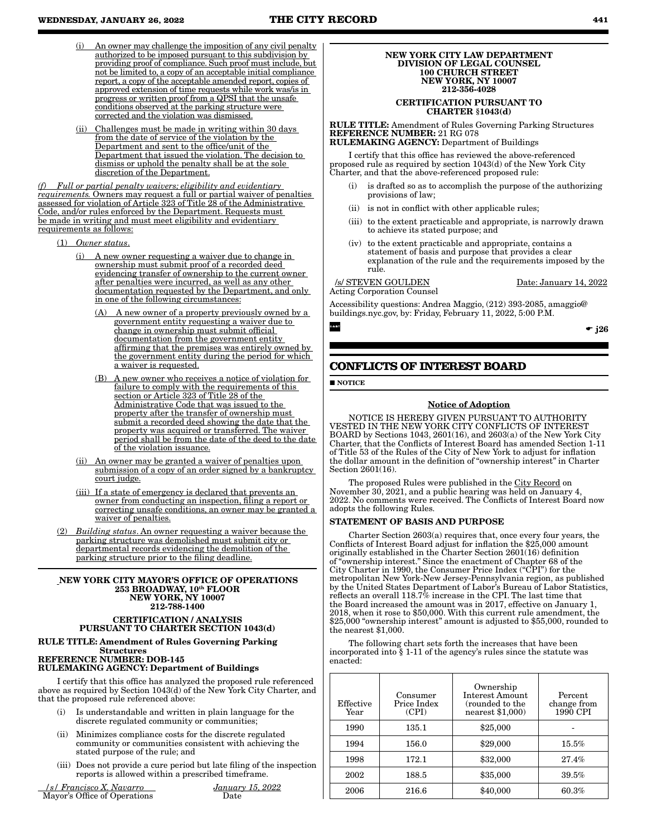- An owner may challenge the imposition of any civil penalty authorized to be imposed pursuant to this subdivision by providing proof of compliance. Such proof must include, but not be limited to, a copy of an acceptable initial compliance report, a copy of the acceptable amended report, copies of approved extension of time requests while work was/is in progress or written proof from a QPSI that the unsafe conditions observed at the parking structure were corrected and the violation was dismissed.
- (ii) Challenges must be made in writing within 30 days from the date of service of the violation by the Department and sent to the office/unit of the Department that issued the violation. The decision to dismiss or uphold the penalty shall be at the sole discretion of the Department.

*(f) Full or partial penalty waivers; eligibility and evidentiary requirements.* Owners may request a full or partial waiver of penalties assessed for violation of Article 323 of Title 28 of the Administrative Code, and/or rules enforced by the Department. Requests must be made in writing and must meet eligibility and evidentiary requirements as follows:

- (1) *Owner status*.
	- A new owner requesting a waiver due to change in ownership must submit proof of a recorded deed evidencing transfer of ownership to the current owner after penalties were incurred, as well as any other documentation requested by the Department, and only in one of the following circumstances:
		- (A) A new owner of a property previously owned by a government entity requesting a waiver due to change in ownership must submit official documentation from the government entity affirming that the premises was entirely owned by the government entity during the period for which a waiver is requested.
		- (B) A new owner who receives a notice of violation for failure to comply with the requirements of this section or Article 323 of Title 28 of the Administrative Code that was issued to the property after the transfer of ownership must submit a recorded deed showing the date that the property was acquired or transferred. The waiver period shall be from the date of the deed to the date of the violation issuance.
	- (ii) An owner may be granted a waiver of penalties upon submission of a copy of an order signed by a bankruptcy court judge.
	- (iii) If a state of emergency is declared that prevents an owner from conducting an inspection, filing a report or correcting unsafe conditions, an owner may be granted a waiver of penalties.
- (2) *Building status*. An owner requesting a waiver because the parking structure was demolished must submit city or departmental records evidencing the demolition of the parking structure prior to the filing deadline.

#### NEW YORK CITY MAYOR'S OFFICE OF OPERATIONS 253 BROADWAY, 10th FLOOR NEW YORK, NY 10007 212-788-1400

#### CERTIFICATION / ANALYSIS PURSUANT TO CHARTER SECTION 1043(d)

#### RULE TITLE: Amendment of Rules Governing Parking Structures REFERENCE NUMBER: DOB-145 RULEMAKING AGENCY: Department of Buildings

I certify that this office has analyzed the proposed rule referenced above as required by Section 1043(d) of the New York City Charter, and that the proposed rule referenced above:

- (i) Is understandable and written in plain language for the discrete regulated community or communities;
- (ii) Minimizes compliance costs for the discrete regulated community or communities consistent with achieving the stated purpose of the rule; and
- (iii) Does not provide a cure period but late filing of the inspection reports is allowed within a prescribed timeframe.

 */s/ Francisco X. Navarro January 15, 2022* Mayor's Office of Operations Date

#### NEW YORK CITY LAW DEPARTMENT DIVISION OF LEGAL COUNSEL 100 CHURCH STREET NEW YORK, NY 10007 212-356-4028

#### CERTIFICATION PURSUANT TO CHARTER §1043(d)

RULE TITLE: Amendment of Rules Governing Parking Structures REFERENCE NUMBER: 21 RG 078 RULEMAKING AGENCY: Department of Buildings

I certify that this office has reviewed the above-referenced proposed rule as required by section 1043(d) of the New York City Charter, and that the above-referenced proposed rule:

- (i) is drafted so as to accomplish the purpose of the authorizing provisions of law;
- (ii) is not in conflict with other applicable rules;
- (iii) to the extent practicable and appropriate, is narrowly drawn to achieve its stated purpose; and
- (iv) to the extent practicable and appropriate, contains a statement of basis and purpose that provides a clear explanation of the rule and the requirements imposed by the rule.

Acting Corporation Counsel

/s/ STEVEN GOULDEN Date: January 14, 2022

Accessibility questions: Andrea Maggio, (212) 393-2085, amaggio@ buildings.nyc.gov, by: Friday, February 11, 2022, 5:00 P.M.

 $\bullet$  j26

# **CONFLICTS OF INTEREST BOARD**

**NOTICE** 

CART

## Notice of Adoption

NOTICE IS HEREBY GIVEN PURSUANT TO AUTHORITY VESTED IN THE NEW YORK CITY CONFLICTS OF INTEREST BOARD by Sections 1043, 2601(16), and 2603(a) of the New York City Charter, that the Conflicts of Interest Board has amended Section 1-11 of Title 53 of the Rules of the City of New York to adjust for inflation the dollar amount in the definition of "ownership interest" in Charter Section 2601(16).

The proposed Rules were published in the City Record on November 30, 2021, and a public hearing was held on January 4, 2022. No comments were received. The Conflicts of Interest Board now adopts the following Rules.

#### STATEMENT OF BASIS AND PURPOSE

Charter Section 2603(a) requires that, once every four years, the Conflicts of Interest Board adjust for inflation the \$25,000 amount originally established in the Charter Section 2601(16) definition of "ownership interest." Since the enactment of Chapter 68 of the City Charter in 1990, the Consumer Price Index ("CPI") for the metropolitan New York-New Jersey-Pennsylvania region, as published by the United States Department of Labor's Bureau of Labor Statistics, reflects an overall 118.7% increase in the CPI. The last time that the Board increased the amount was in 2017, effective on January 1, 2018, when it rose to \$50,000. With this current rule amendment, the \$25,000 "ownership interest" amount is adjusted to \$55,000, rounded to the nearest \$1,000.

The following chart sets forth the increases that have been incorporated into § 1-11 of the agency's rules since the statute was enacted:

| Effective<br>Year | Consumer<br>Price Index<br>(CPI) | Ownership<br>Interest Amount<br>(rounded to the<br>nearest \$1,000) | Percent<br>change from<br>1990 CPI |
|-------------------|----------------------------------|---------------------------------------------------------------------|------------------------------------|
| 1990              | 135.1                            | \$25,000                                                            |                                    |
| 1994              | 156.0                            | \$29,000                                                            | $15.5\%$                           |
| 1998              | 172.1                            | \$32,000                                                            | 27.4%                              |
| 2002              | 188.5                            | \$35,000                                                            | 39.5%                              |
| 2006              | 216.6                            | \$40,000                                                            | $60.3\%$                           |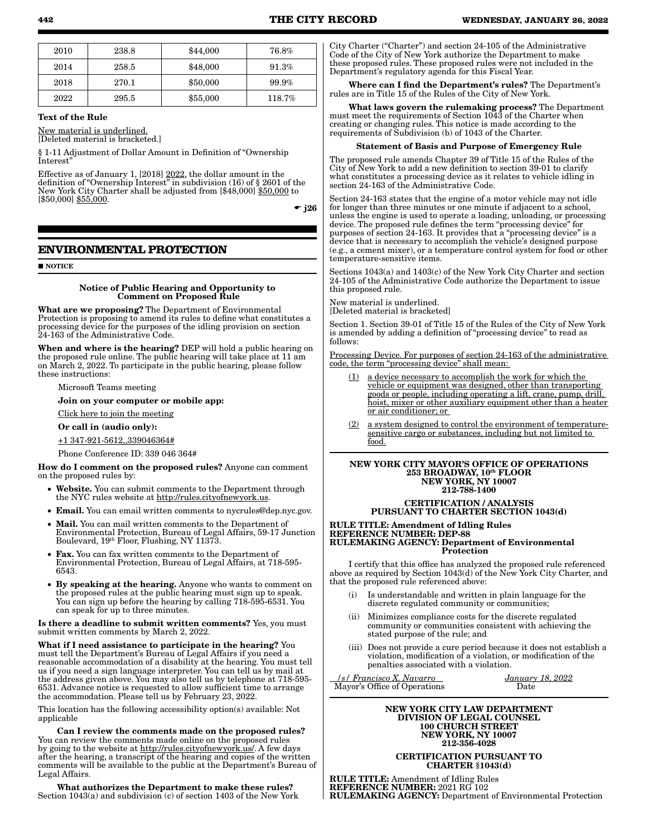| 2010 | 238.8 | \$44,000 | 76.8%    |
|------|-------|----------|----------|
| 2014 | 258.5 | \$48,000 | 91.3%    |
| 2018 | 270.1 | \$50,000 | $99.9\%$ |
| 2022 | 295.5 | \$55,000 | 118.7%   |

#### Text of the Rule

New material is underlined. [Deleted material is bracketed.]

§ 1-11 Adjustment of Dollar Amount in Definition of "Ownership Interest"

Effective as of January 1, [2018] 2022, the dollar amount in the definition of "Ownership Interest" in subdivision (16) of § 2601 of the New York City Charter shall be adjusted from [\$48,000] \$50,000 to  $[$50,000]$  \$55,000.

 $\div$  i26

## **ENVIRONMENTAL PROTECTION**

#### **NOTICE**

#### Notice of Public Hearing and Opportunity to Comment on Proposed Rule

What are we proposing? The Department of Environmental Protection is proposing to amend its rules to define what constitutes a processing device for the purposes of the idling provision on section 24-163 of the Administrative Code.

When and where is the hearing? DEP will hold a public hearing on the proposed rule online. The public hearing will take place at 11 am on March 2, 2022. To participate in the public hearing, please follow these instructions:

Microsoft Teams meeting

Join on your computer or mobile app:

Click here to join the meeting

Or call in (audio only):

+1 347-921-5612,,339046364#

Phone Conference ID: 339 046 364#

How do I comment on the proposed rules? Anyone can comment on the proposed rules by:

- Website. You can submit comments to the Department through the NYC rules website at http://rules.cityofnewyork.us.
- Email. You can email written comments to nycrules@dep.nyc.gov.
- Mail. You can mail written comments to the Department of Environmental Protection, Bureau of Legal Affairs, 59-17 Junction Boulevard, 19th Floor, Flushing, NY 11373.
- Fax. You can fax written comments to the Department of Environmental Protection, Bureau of Legal Affairs, at 718-595- 6543.
- By speaking at the hearing. Anyone who wants to comment on the proposed rules at the public hearing must sign up to speak. You can sign up before the hearing by calling 718-595-6531. You can speak for up to three minutes.

Is there a deadline to submit written comments? Yes, you must submit written comments by March 2, 2022.

What if I need assistance to participate in the hearing? You must tell the Department's Bureau of Legal Affairs if you need a reasonable accommodation of a disability at the hearing. You must tell us if you need a sign language interpreter. You can tell us by mail at the address given above. You may also tell us by telephone at 718-595- 6531. Advance notice is requested to allow sufficient time to arrange the accommodation. Please tell us by February 23, 2022.

This location has the following accessibility option(s) available: Not applicable

Can I review the comments made on the proposed rules? You can review the comments made online on the proposed rules by going to the website at http://rules.cityofnewyork.us/. A few days after the hearing, a transcript of the hearing and copies of the written comments will be available to the public at the Department's Bureau of Legal Affairs.

What authorizes the Department to make these rules? Section 1043(a) and subdivision (c) of section 1403 of the New York City Charter ("Charter") and section 24-105 of the Administrative Code of the City of New York authorize the Department to make these proposed rules. These proposed rules were not included in the Department's regulatory agenda for this Fiscal Year.

Where can I find the Department's rules? The Department's rules are in Title 15 of the Rules of the City of New York.

What laws govern the rulemaking process? The Department must meet the requirements of Section 1043 of the Charter when creating or changing rules. This notice is made according to the requirements of Subdivision (b) of 1043 of the Charter.

#### Statement of Basis and Purpose of Emergency Rule

The proposed rule amends Chapter 39 of Title 15 of the Rules of the City of New York to add a new definition to section 39-01 to clarify what constitutes a processing device as it relates to vehicle idling in section 24-163 of the Administrative Code.

Section 24-163 states that the engine of a motor vehicle may not idle for longer than three minutes or one minute if adjacent to a school, unless the engine is used to operate a loading, unloading, or processing device. The proposed rule defines the term "processing device" for purposes of section 24-163. It provides that a "processing device" is a device that is necessary to accomplish the vehicle's designed purpose (e.g., a cement mixer), or a temperature control system for food or other temperature-sensitive items.

Sections 1043(a) and 1403(c) of the New York City Charter and section 24-105 of the Administrative Code authorize the Department to issue this proposed rule.

New material is underlined. [Deleted material is bracketed]

Section 1. Section 39-01 of Title 15 of the Rules of the City of New York is amended by adding a definition of "processing device" to read as follows:

Processing Device. For purposes of section 24-163 of the administrative code, the term "processing device" shall mean:

- (1) a device necessary to accomplish the work for which the vehicle or equipment was designed, other than transporting goods or people, including operating a lift, crane, pump, drill, hoist, mixer or other auxiliary equipment other than a heater or air conditioner; or
- (2) a system designed to control the environment of temperaturesensitive cargo or substances, including but not limited to food.

#### NEW YORK CITY MAYOR'S OFFICE OF OPERATIONS 253 BROADWAY, 10th FLOOR NEW YORK, NY 10007 212-788-1400

### CERTIFICATION / ANALYSIS PURSUANT TO CHARTER SECTION 1043(d)

RULE TITLE: Amendment of Idling Rules REFERENCE NUMBER: DEP-88 RULEMAKING AGENCY: Department of Environmental **Protection** 

I certify that this office has analyzed the proposed rule referenced above as required by Section 1043(d) of the New York City Charter, and that the proposed rule referenced above:

- (i) Is understandable and written in plain language for the discrete regulated community or communities;
- (ii) Minimizes compliance costs for the discrete regulated community or communities consistent with achieving the stated purpose of the rule; and
- (iii) Does not provide a cure period because it does not establish a violation, modification of a violation, or modification of the penalties associated with a violation.

 */s/ Francisco X. Navarro January 18, 2022* Mayor's Office of Operations

# NEW YORK CITY LAW DEPARTMENT DIVISION OF LEGAL COUNSEL

100 CHURCH STREET NEW YORK, NY 10007 212-356-4028

### CERTIFICATION PURSUANT TO CHARTER §1043(d)

RULE TITLE: Amendment of Idling Rules REFERENCE NUMBER: 2021 RG 102 RULEMAKING AGENCY: Department of Environmental Protection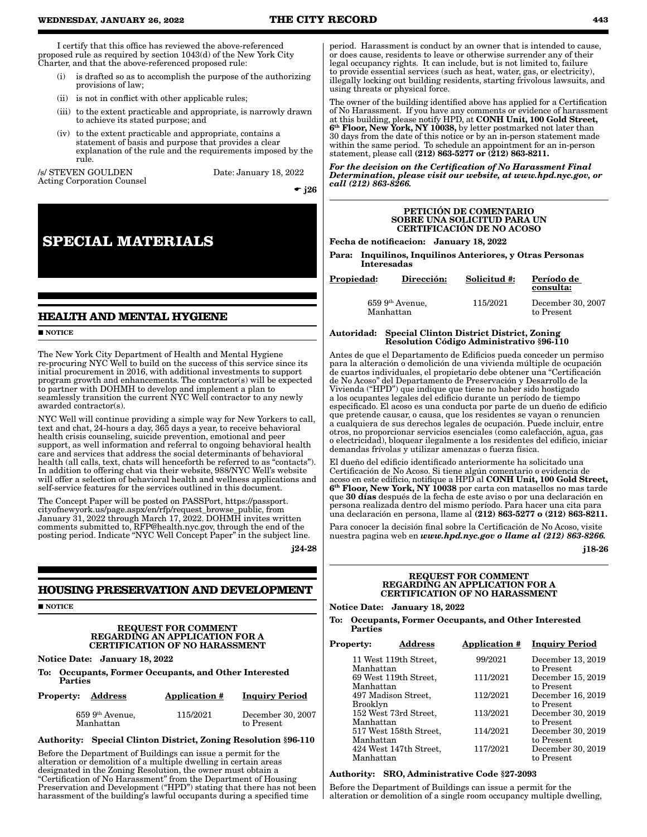I certify that this office has reviewed the above-referenced proposed rule as required by section 1043(d) of the New York City Charter, and that the above-referenced proposed rule:

- (i) is drafted so as to accomplish the purpose of the authorizing provisions of law;
- (ii) is not in conflict with other applicable rules;
- (iii) to the extent practicable and appropriate, is narrowly drawn to achieve its stated purpose; and
- (iv) to the extent practicable and appropriate, contains a statement of basis and purpose that provides a clear explanation of the rule and the requirements imposed by the rule.

/s/ STEVEN GOULDEN Date: January 18, 2022 Acting Corporation Counsel

 $\div$  j26

# **SPECIAL MATERIALS**

## **HEALTH AND MENTAL HYGIENE**

**NOTICE** 

The New York City Department of Health and Mental Hygiene re-procuring NYC Well to build on the success of this service since its initial procurement in 2016, with additional investments to support program growth and enhancements. The contractor(s) will be expected to partner with DOHMH to develop and implement a plan to seamlessly transition the current NYC Well contractor to any newly awarded contractor(s).

NYC Well will continue providing a simple way for New Yorkers to call, text and chat, 24-hours a day, 365 days a year, to receive behavioral health crisis counseling, suicide prevention, emotional and peer support, as well information and referral to ongoing behavioral health care and services that address the social determinants of behavioral health (all calls, text, chats will henceforth be referred to as "contacts"). In addition to offering chat via their website, 988/NYC Well's website will offer a selection of behavioral health and wellness applications and self-service features for the services outlined in this document.

The Concept Paper will be posted on PASSPort, https://passport. cityofnewyork.us/page.aspx/en/rfp/request\_browse\_public, from January 31, 2022 through March 17, 2022. DOHMH invites written comments submitted to, RFP@health.nyc.gov, through the end of the posting period. Indicate "NYC Well Concept Paper" in the subject line.

j24-28

## **HOUSING PRESERVATION AND DEVELOPMENT**

**NOTICE** 

#### REQUEST FOR COMMENT REGARDING AN APPLICATION FOR A CERTIFICATION OF NO HARASSMENT

Notice Date: January 18, 2022

To: Occupants, Former Occupants, and Other Interested Parties

| <b>Property: Address</b>       | Application # | <b>Inquiry Period</b>           |
|--------------------------------|---------------|---------------------------------|
| $659~9th$ Avenue,<br>Manhattan | 115/2021      | December 30, 2007<br>to Present |

#### Authority: Special Clinton District, Zoning Resolution §96-110

Before the Department of Buildings can issue a permit for the alteration or demolition of a multiple dwelling in certain areas designated in the Zoning Resolution, the owner must obtain a "Certification of No Harassment" from the Department of Housing Preservation and Development ("HPD") stating that there has not been harassment of the building's lawful occupants during a specified time

period. Harassment is conduct by an owner that is intended to cause, or does cause, residents to leave or otherwise surrender any of their legal occupancy rights. It can include, but is not limited to, failure to provide essential services (such as heat, water, gas, or electricity), illegally locking out building residents, starting frivolous lawsuits, and using threats or physical force.

The owner of the building identified above has applied for a Certification of No Harassment. If you have any comments or evidence of harassment at this building, please notify HPD, at CONH Unit, 100 Gold Street, 6<sup>th</sup> Floor, New York, NY 10038, by letter postmarked not later than 30 days from the date of this notice or by an in-person statement made within the same period. To schedule an appointment for an in-person statement, please call (212) 863-5277 or (212) 863-8211.

*For the decision on the Certification of No Harassment Final Determination, please visit our website, at www.hpd.nyc.gov, or call (212) 863-8266.*

#### PETICIÓN DE COMENTARIO SOBRE UNA SOLICITUD PARA UN CERTIFICACIÓN DE NO ACOSO

Fecha de notificacion: January 18, 2022

Para: Inquilinos, Inquilinos Anteriores, y Otras Personas Interesadas

| <b>Propiedad:</b> | Dirección:                      | Solicitud #: | Período de<br>consulta:         |
|-------------------|---------------------------------|--------------|---------------------------------|
|                   | $659\;9th$ Avenue,<br>Manhattan | 115/2021     | December 30, 2007<br>to Present |

### Autoridad: Special Clinton District District, Zoning Resolution Código Administrativo §96-110

Antes de que el Departamento de Edificios pueda conceder un permiso para la alteración o demolición de una vivienda múltiple de ocupación de cuartos individuales, el propietario debe obtener una "Certificación de No Acoso" del Departamento de Preservación y Desarrollo de la Vivienda ("HPD") que indique que tiene no haber sido hostigado a los ocupantes legales del edificio durante un período de tiempo especificado. El acoso es una conducta por parte de un dueño de edificio que pretende causar, o causa, que los residentes se vayan o renuncien a cualquiera de sus derechos legales de ocupación. Puede incluir, entre otros, no proporcionar servicios esenciales (como calefacción, agua, gas o electricidad), bloquear ilegalmente a los residentes del edificio, iniciar demandas frívolas y utilizar amenazas o fuerza física.

El dueño del edificio identificado anteriormente ha solicitado una Certificación de No Acoso. Si tiene algún comentario o evidencia de acoso en este edificio, notifique a HPD al CONH Unit, 100 Gold Street, 6th Floor, New York, NY 10038 por carta con matasellos no mas tarde que 30 días después de la fecha de este aviso o por una declaración en persona realizada dentro del mismo período. Para hacer una cita para una declaración en persona, llame al  $(212) 863-5277$  o  $(212) 863-8211$ .

Para conocer la decisión final sobre la Certificación de No Acoso, visite nuestra pagina web en *www.hpd.nyc.gov o llame al (212) 863-8266.* j18-26

### REQUEST FOR COMMENT REGARDING AN APPLICATION FOR A CERTIFICATION OF NO HARASSMENT

Notice Date: January 18, 2022

To: Occupants, Former Occupants, and Other Interested Parties

| <b>Property:</b> | <b>Address</b>         | <b>Application #</b> | <b>Inquiry Period</b>           |
|------------------|------------------------|----------------------|---------------------------------|
| Manhattan        | 11 West 119th Street,  | 99/2021              | December 13, 2019<br>to Present |
| Manhattan        | 69 West 119th Street,  | 111/2021             | December 15, 2019<br>to Present |
| Brooklyn         | 497 Madison Street,    | 112/2021             | December 16, 2019<br>to Present |
| Manhattan        | 152 West 73rd Street,  | 113/2021             | December 30, 2019<br>to Present |
| Manhattan        | 517 West 158th Street, | 114/2021             | December 30, 2019<br>to Present |
| Manhattan        | 424 West 147th Street, | 117/2021             | December 30, 2019<br>to Present |

#### Authority: SRO, Administrative Code §27-2093

Before the Department of Buildings can issue a permit for the alteration or demolition of a single room occupancy multiple dwelling,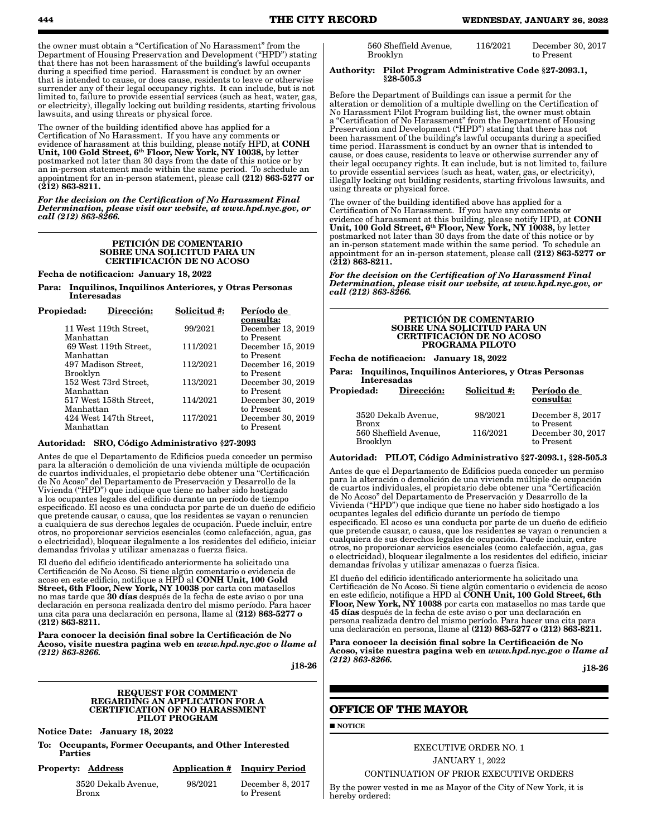the owner must obtain a "Certification of No Harassment" from the Department of Housing Preservation and Development ("HPD") stating that there has not been harassment of the building's lawful occupants during a specified time period. Harassment is conduct by an owner that is intended to cause, or does cause, residents to leave or otherwise surrender any of their legal occupancy rights. It can include, but is not limited to, failure to provide essential services (such as heat, water, gas, or electricity), illegally locking out building residents, starting frivolous

The owner of the building identified above has applied for a Certification of No Harassment. If you have any comments or evidence of harassment at this building, please notify HPD, at CONH Unit, 100 Gold Street, 6<sup>th</sup> Floor, New York, NY 10038, by letter postmarked not later than 30 days from the date of this notice or by an in-person statement made within the same period. To schedule an appointment for an in-person statement, please call (212) 863-5277 or  $(212)$  863-8211.

*For the decision on the Certification of No Harassment Final Determination, please visit our website, at www.hpd.nyc.gov, or call (212) 863-8266.*

#### PETICIÓN DE COMENTARIO SOBRE UNA SOLICITUD PARA UN CERTIFICACIÓN DE NO ACOSO

Fecha de notificacion: January 18, 2022

lawsuits, and using threats or physical force.

Para: Inquilinos, Inquilinos Anteriores, y Otras Personas Interesadas

| Propiedad: | Dirección:             | Solicitud #: | Período de        |
|------------|------------------------|--------------|-------------------|
|            |                        |              | consulta:         |
|            | 11 West 119th Street,  | 99/2021      | December 13, 2019 |
| Manhattan  |                        |              | to Present        |
|            | 69 West 119th Street,  | 111/2021     | December 15, 2019 |
| Manhattan  |                        |              | to Present        |
|            | 497 Madison Street,    | 112/2021     | December 16, 2019 |
| Brooklyn   |                        |              | to Present        |
|            | 152 West 73rd Street,  | 113/2021     | December 30, 2019 |
| Manhattan  |                        |              | to Present        |
|            | 517 West 158th Street, | 114/2021     | December 30, 2019 |
| Manhattan  |                        |              | to Present        |
|            | 424 West 147th Street, | 117/2021     | December 30, 2019 |
| Manhattan  |                        |              | to Present        |
|            |                        |              |                   |

#### Autoridad: SRO, Código Administrativo §27-2093

Antes de que el Departamento de Edificios pueda conceder un permiso para la alteración o demolición de una vivienda múltiple de ocupación de cuartos individuales, el propietario debe obtener una "Certificación de No Acoso" del Departamento de Preservación y Desarrollo de la Vivienda ("HPD") que indique que tiene no haber sido hostigado a los ocupantes legales del edificio durante un período de tiempo especificado. El acoso es una conducta por parte de un dueño de edificio que pretende causar, o causa, que los residentes se vayan o renuncien a cualquiera de sus derechos legales de ocupación. Puede incluir, entre otros, no proporcionar servicios esenciales (como calefacción, agua, gas o electricidad), bloquear ilegalmente a los residentes del edificio, iniciar demandas frívolas y utilizar amenazas o fuerza física.

El dueño del edificio identificado anteriormente ha solicitado una Certificación de No Acoso. Si tiene algún comentario o evidencia de<br>acoso en este edificio, notifique a HPD al **CONH Unit, 100 Gold** Street, 6th Floor, New York, NY 10038 por carta con matasellos no mas tarde que 30 días después de la fecha de este aviso o por una declaración en persona realizada dentro del mismo período. Para hacer una cita para una declaración en persona, llame al (212) 863-5277 o (212) 863-8211.

Para conocer la decisión final sobre la Certificación de No Acoso, visite nuestra pagina web en *www.hpd.nyc.gov o llame al (212) 863-8266.*

j18-26

#### REQUEST FOR COMMENT REGARDING AN APPLICATION FOR A CERTIFICATION OF NO HARASSMENT PILOT PROGRAM

Notice Date: January 18, 2022

To: Occupants, Former Occupants, and Other Interested **Parties** 

| <b>Property: Address</b><br><b>Application # Inquiry Period</b> |
|-----------------------------------------------------------------|
|-----------------------------------------------------------------|

3520 Dekalb Avenue, Bronx

98/2021 December 8, 2017 to Present

| 560 Sheffield Avenue, | 116/2021 | December 30, 2017 |
|-----------------------|----------|-------------------|
| Brooklyn              |          | to Present        |

#### Authority: Pilot Program Administrative Code §27-2093.1, §28-505.3

Before the Department of Buildings can issue a permit for the alteration or demolition of a multiple dwelling on the Certification of No Harassment Pilot Program building list, the owner must obtain a "Certification of No Harassment" from the Department of Housing Preservation and Development ("HPD") stating that there has not been harassment of the building's lawful occupants during a specified time period. Harassment is conduct by an owner that is intended to cause, or does cause, residents to leave or otherwise surrender any of their legal occupancy rights. It can include, but is not limited to, failure to provide essential services (such as heat, water, gas, or electricity), illegally locking out building residents, starting frivolous lawsuits, and using threats or physical force.

The owner of the building identified above has applied for a Certification of No Harassment. If you have any comments or evidence of harassment at this building, please notify HPD, at CONH Unit, 100 Gold Street, 6th Floor, New York, NY 10038, by letter postmarked not later than 30 days from the date of this notice or by an in-person statement made within the same period. To schedule an appointment for an in-person statement, please call (212) 863-5277 or (212) 863-8211.

*For the decision on the Certification of No Harassment Final Determination, please visit our website, at www.hpd.nyc.gov, or call (212) 863-8266.*

#### PETICIÓN DE COMENTARIO SOBRE UNA SOLICITUD PARA UN CERTIFICACIÓN DE NO ACOSO PROGRAMA PILOTO

Fecha de notificacion: January 18, 2022

Para: Inquilinos, Inquilinos Anteriores, y Otras Personas Interesadas

| Propiedad:      | Dirección:            | Solicitud #: | Período de<br>consulta:         |
|-----------------|-----------------------|--------------|---------------------------------|
| Bronx           | 3520 Dekalb Avenue,   | 98/2021      | December 8, 2017<br>to Present  |
| <b>Brooklyn</b> | 560 Sheffield Avenue, | 116/2021     | December 30, 2017<br>to Present |

#### Autoridad: PILOT, Código Administrativo §27-2093.1, §28-505.3

Antes de que el Departamento de Edificios pueda conceder un permiso para la alteración o demolición de una vivienda múltiple de ocupación de cuartos individuales, el propietario debe obtener una "Certificación de No Acoso" del Departamento de Preservación y Desarrollo de la Vivienda ("HPD") que indique que tiene no haber sido hostigado a los ocupantes legales del edificio durante un período de tiempo especificado. El acoso es una conducta por parte de un dueño de edificio que pretende causar, o causa, que los residentes se vayan o renuncien a cualquiera de sus derechos legales de ocupación. Puede incluir, entre otros, no proporcionar servicios esenciales (como calefacción, agua, gas o electricidad), bloquear ilegalmente a los residentes del edificio, iniciar demandas frívolas y utilizar amenazas o fuerza física.

El dueño del edificio identificado anteriormente ha solicitado una Certificación de No Acoso. Si tiene algún comentario o evidencia de acoso en este edificio, notifique a HPD al  $\tilde{\mathbf{CONH}}$  Unit, 100 Gold Street, 6th Floor, New York, NY 10038 por carta con matasellos no mas tarde que 45 días después de la fecha de este aviso o por una declaración en persona realizada dentro del mismo período. Para hacer una cita para una declaración en persona, llame al (212) 863-5277 o (212) 863-8211.

Para conocer la decisión final sobre la Certificación de No Acoso, visite nuestra pagina web en *www.hpd.nyc.gov o llame al (212) 863-8266.*

j18-26

## **OFFICE OF THE MAYOR**

**NOTICE** 

## EXECUTIVE ORDER NO. 1 JANUARY 1, 2022

CONTINUATION OF PRIOR EXECUTIVE ORDERS

By the power vested in me as Mayor of the City of New York, it is hereby ordered: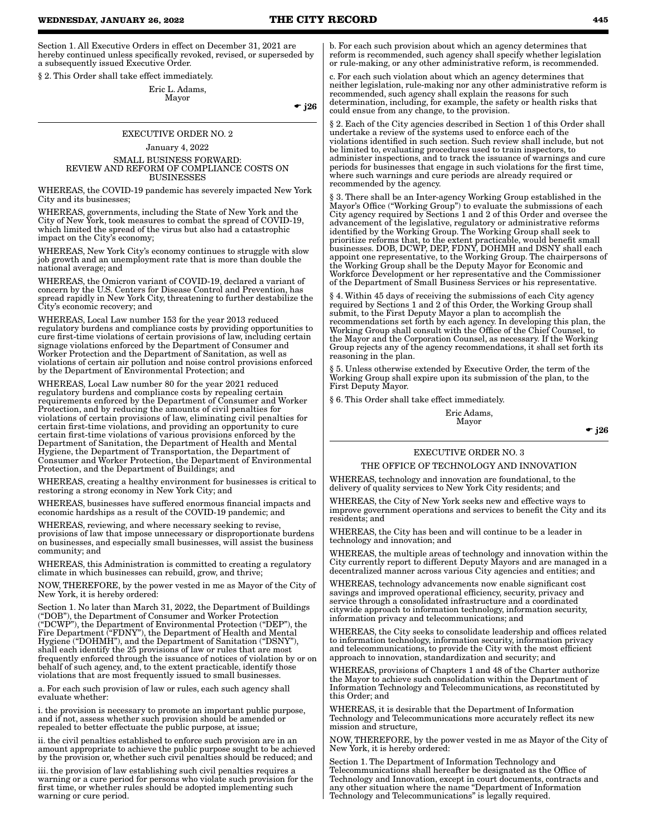Section 1. All Executive Orders in effect on December 31, 2021 are hereby continued unless specifically revoked, revised, or superseded by a subsequently issued Executive Order.

§ 2. This Order shall take effect immediately.

Eric L. Adams, Mayor

 $\div$  j26

## EXECUTIVE ORDER NO. 2 January 4, 2022 SMALL BUSINESS FORWARD: REVIEW AND REFORM OF COMPLIANCE COSTS ON

BUSINESSES WHEREAS, the COVID-19 pandemic has severely impacted New York City and its businesses;

WHEREAS, governments, including the State of New York and the City of New York, took measures to combat the spread of COVID-19, which limited the spread of the virus but also had a catastrophic impact on the City's economy;

WHEREAS, New York City's economy continues to struggle with slow job growth and an unemployment rate that is more than double the national average; and

WHEREAS, the Omicron variant of COVID-19, declared a variant of concern by the U.S. Centers for Disease Control and Prevention, has spread rapidly in New York City, threatening to further destabilize the City's economic recovery; and

WHEREAS, Local Law number 153 for the year 2013 reduced regulatory burdens and compliance costs by providing opportunities to cure first-time violations of certain provisions of law, including certain signage violations enforced by the Department of Consumer and Worker Protection and the Department of Sanitation, as well as violations of certain air pollution and noise control provisions enforced by the Department of Environmental Protection; and

WHEREAS, Local Law number 80 for the year 2021 reduced regulatory burdens and compliance costs by repealing certain requirements enforced by the Department of Consumer and Worker Protection, and by reducing the amounts of civil penalties for violations of certain provisions of law, eliminating civil penalties for certain first-time violations, and providing an opportunity to cure certain first-time violations of various provisions enforced by the Department of Sanitation, the Department of Health and Mental Hygiene, the Department of Transportation, the Department of Consumer and Worker Protection, the Department of Environmental Protection, and the Department of Buildings; and

WHEREAS, creating a healthy environment for businesses is critical to restoring a strong economy in New York City; and

WHEREAS, businesses have suffered enormous financial impacts and economic hardships as a result of the COVID-19 pandemic; and

WHEREAS, reviewing, and where necessary seeking to revise, provisions of law that impose unnecessary or disproportionate burdens on businesses, and especially small businesses, will assist the business community; and

WHEREAS, this Administration is committed to creating a regulatory climate in which businesses can rebuild, grow, and thrive;

NOW, THEREFORE, by the power vested in me as Mayor of the City of New York, it is hereby ordered:

Section 1. No later than March 31, 2022, the Department of Buildings ("DOB"), the Department of Consumer and Worker Protection ("DCWP"), the Department of Environmental Protection ("DEP"), the Fire Department ("FDNY"), the Department of Health and Mental Hygiene ("DOHMH"), and the Department of Sanitation ("DSNY"), shall each identify the 25 provisions of law or rules that are most frequently enforced through the issuance of notices of violation by or on behalf of such agency, and, to the extent practicable, identify those violations that are most frequently issued to small businesses.

a. For each such provision of law or rules, each such agency shall evaluate whether:

i. the provision is necessary to promote an important public purpose, and if not, assess whether such provision should be amended or repealed to better effectuate the public purpose, at issue;

ii. the civil penalties established to enforce such provision are in an amount appropriate to achieve the public purpose sought to be achieved by the provision or, whether such civil penalties should be reduced; and

iii. the provision of law establishing such civil penalties requires a warning or a cure period for persons who violate such provision for the first time, or whether rules should be adopted implementing such warning or cure period.

b. For each such provision about which an agency determines that reform is recommended, such agency shall specify whether legislation or rule-making, or any other administrative reform, is recommended.

c. For each such violation about which an agency determines that neither legislation, rule-making nor any other administrative reform is recommended, such agency shall explain the reasons for such determination, including, for example, the safety or health risks that could ensue from any change, to the provision.

§ 2. Each of the City agencies described in Section 1 of this Order shall undertake a review of the systems used to enforce each of the violations identified in such section. Such review shall include, but not be limited to, evaluating procedures used to train inspectors, to administer inspections, and to track the issuance of warnings and cure periods for businesses that engage in such violations for the first time, where such warnings and cure periods are already required or recommended by the agency.

§ 3. There shall be an Inter-agency Working Group established in the Mayor's Office ("Working Group") to evaluate the submissions of each City agency required by Sections 1 and 2 of this Order and oversee the advancement of the legislative, regulatory or administrative reforms identified by the Working Group. The Working Group shall seek to prioritize reforms that, to the extent practicable, would benefit small businesses. DOB, DCWP, DEP, FDNY, DOHMH and DSNY shall each appoint one representative, to the Working Group. The chairpersons of the Working Group shall be the Deputy Mayor for Economic and Workforce Development or her representative and the Commissioner of the Department of Small Business Services or his representative.

§ 4. Within 45 days of receiving the submissions of each City agency required by Sections 1 and 2 of this Order, the Working Group shall submit, to the First Deputy Mayor a plan to accomplish the recommendations set forth by each agency. In developing this plan, the Working Group shall consult with the Office of the Chief Counsel, to the Mayor and the Corporation Counsel, as necessary. If the Working Group rejects any of the agency recommendations, it shall set forth its reasoning in the plan.

§ 5. Unless otherwise extended by Executive Order, the term of the Working Group shall expire upon its submission of the plan, to the First Deputy Mayor.

§ 6. This Order shall take effect immediately.

Eric Adams, Mayor

 $\bullet$  j26

## EXECUTIVE ORDER NO. 3

## THE OFFICE OF TECHNOLOGY AND INNOVATION

WHEREAS, technology and innovation are foundational, to the delivery of quality services to New York City residents; and

WHEREAS, the City of New York seeks new and effective ways to improve government operations and services to benefit the City and its residents; and

WHEREAS, the City has been and will continue to be a leader in technology and innovation; and

WHEREAS, the multiple areas of technology and innovation within the City currently report to different Deputy Mayors and are managed in a decentralized manner across various City agencies and entities; and

WHEREAS, technology advancements now enable significant cost savings and improved operational efficiency, security, privacy and service through a consolidated infrastructure and a coordinated citywide approach to information technology, information security, information privacy and telecommunications; and

WHEREAS, the City seeks to consolidate leadership and offices related to information technology, information security, information privacy and telecommunications, to provide the City with the most efficient approach to innovation, standardization and security; and

WHEREAS, provisions of Chapters 1 and 48 of the Charter authorize the Mayor to achieve such consolidation within the Department of Information Technology and Telecommunications, as reconstituted by this Order; and

WHEREAS, it is desirable that the Department of Information Technology and Telecommunications more accurately reflect its new mission and structure,

NOW, THEREFORE, by the power vested in me as Mayor of the City of New York, it is hereby ordered:

Section 1. The Department of Information Technology and Telecommunications shall hereafter be designated as the Office of Technology and Innovation, except in court documents, contracts and any other situation where the name "Department of Information Technology and Telecommunications" is legally required.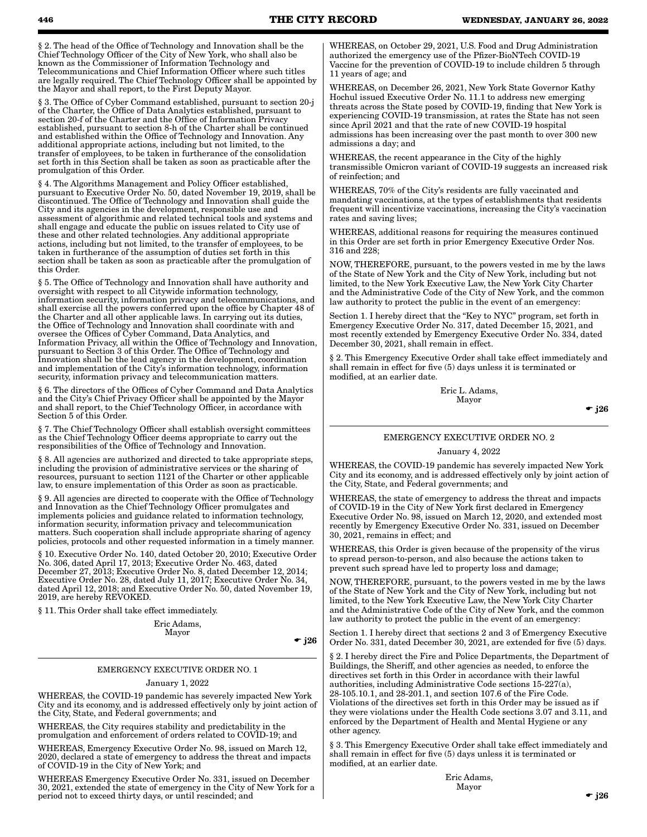§ 2. The head of the Office of Technology and Innovation shall be the Chief Technology Officer of the City of New York, who shall also be known as the Commissioner of Information Technology and Telecommunications and Chief Information Officer where such titles are legally required. The Chief Technology Officer shall be appointed by the Mayor and shall report, to the First Deputy Mayor.

§ 3. The Office of Cyber Command established, pursuant to section 20-j of the Charter, the Office of Data Analytics established, pursuant to section 20-f of the Charter and the Office of Information Privacy established, pursuant to section 8-h of the Charter shall be continued and established within the Office of Technology and Innovation. Any additional appropriate actions, including but not limited, to the transfer of employees, to be taken in furtherance of the consolidation set forth in this Section shall be taken as soon as practicable after the promulgation of this Order.

§ 4. The Algorithms Management and Policy Officer established, pursuant to Executive Order No. 50, dated November 19, 2019, shall be discontinued. The Office of Technology and Innovation shall guide the City and its agencies in the development, responsible use and assessment of algorithmic and related technical tools and systems and shall engage and educate the public on issues related to City use of these and other related technologies. Any additional appropriate actions, including but not limited, to the transfer of employees, to be taken in furtherance of the assumption of duties set forth in this section shall be taken as soon as practicable after the promulgation of this Order.

§ 5. The Office of Technology and Innovation shall have authority and oversight with respect to all Citywide information technology, information security, information privacy and telecommunications, and shall exercise all the powers conferred upon the office by Chapter 48 of the Charter and all other applicable laws. In carrying out its duties, the Office of Technology and Innovation shall coordinate with and oversee the Offices of Cyber Command, Data Analytics, and Information Privacy, all within the Office of Technology and Innovation, pursuant to Section 3 of this Order. The Office of Technology and Innovation shall be the lead agency in the development, coordination and implementation of the City's information technology, information security, information privacy and telecommunication matters.

§ 6. The directors of the Offices of Cyber Command and Data Analytics and the City's Chief Privacy Officer shall be appointed by the Mayor and shall report, to the Chief Technology Officer, in accordance with Section 5 of this Order.

§ 7. The Chief Technology Officer shall establish oversight committees as the Chief Technology Officer deems appropriate to carry out the responsibilities of the Office of Technology and Innovation.

§ 8. All agencies are authorized and directed to take appropriate steps, including the provision of administrative services or the sharing of resources, pursuant to section 1121 of the Charter or other applicable law, to ensure implementation of this Order as soon as practicable.

§ 9. All agencies are directed to cooperate with the Office of Technology and Innovation as the Chief Technology Officer promulgates and implements policies and guidance related to information technology, information security, information privacy and telecommunication matters. Such cooperation shall include appropriate sharing of agency policies, protocols and other requested information in a timely manner.

§ 10. Executive Order No. 140, dated October 20, 2010; Executive Order No. 306, dated April 17, 2013; Executive Order No. 463, dated December 27, 2013; Executive Order No. 8, dated December 12, 2014; Executive Order No. 28, dated July 11, 2017; Executive Order No. 34, dated April 12, 2018; and Executive Order No. 50, dated November 19, 2019, are hereby REVOKED.

§ 11. This Order shall take effect immediately.

Eric Adams, Mayor

 $\div$  j26

## EMERGENCY EXECUTIVE ORDER NO. 1

#### January 1, 2022

WHEREAS, the COVID-19 pandemic has severely impacted New York City and its economy, and is addressed effectively only by joint action of the City, State, and Federal governments; and

WHEREAS, the City requires stability and predictability in the promulgation and enforcement of orders related to COVID-19; and

WHEREAS, Emergency Executive Order No. 98, issued on March 12, 2020, declared a state of emergency to address the threat and impacts of COVID-19 in the City of New York; and

WHEREAS Emergency Executive Order No. 331, issued on December 30, 2021, extended the state of emergency in the City of New York for a period not to exceed thirty days, or until rescinded; and

WHEREAS, on October 29, 2021, U.S. Food and Drug Administration authorized the emergency use of the Pfizer-BioNTech COVID-19 Vaccine for the prevention of COVID-19 to include children 5 through 11 years of age; and

WHEREAS, on December 26, 2021, New York State Governor Kathy Hochul issued Executive Order No. 11.1 to address new emerging threats across the State posed by COVID-19, finding that New York is experiencing COVID-19 transmission, at rates the State has not seen since April 2021 and that the rate of new COVID-19 hospital admissions has been increasing over the past month to over 300 new admissions a day; and

WHEREAS, the recent appearance in the City of the highly transmissible Omicron variant of COVID-19 suggests an increased risk of reinfection; and

WHEREAS, 70% of the City's residents are fully vaccinated and mandating vaccinations, at the types of establishments that residents frequent will incentivize vaccinations, increasing the City's vaccination rates and saving lives;

WHEREAS, additional reasons for requiring the measures continued in this Order are set forth in prior Emergency Executive Order Nos. 316 and 228;

NOW, THEREFORE, pursuant, to the powers vested in me by the laws of the State of New York and the City of New York, including but not limited, to the New York Executive Law, the New York City Charter and the Administrative Code of the City of New York, and the common law authority to protect the public in the event of an emergency:

Section 1. I hereby direct that the "Key to NYC" program, set forth in Emergency Executive Order No. 317, dated December 15, 2021, and most recently extended by Emergency Executive Order No. 334, dated December 30, 2021, shall remain in effect.

§ 2. This Emergency Executive Order shall take effect immediately and shall remain in effect for five (5) days unless it is terminated or modified, at an earlier date.

> Eric L. Adams, Mayor

> > $\bullet$  j26

## EMERGENCY EXECUTIVE ORDER NO. 2 January 4, 2022

WHEREAS, the COVID-19 pandemic has severely impacted New York City and its economy, and is addressed effectively only by joint action of the City, State, and Federal governments; and

WHEREAS, the state of emergency to address the threat and impacts of COVID-19 in the City of New York first declared in Emergency Executive Order No. 98, issued on March 12, 2020, and extended most recently by Emergency Executive Order No. 331, issued on December 30, 2021, remains in effect; and

WHEREAS, this Order is given because of the propensity of the virus to spread person-to-person, and also because the actions taken to prevent such spread have led to property loss and damage;

NOW, THEREFORE, pursuant, to the powers vested in me by the laws of the State of New York and the City of New York, including but not limited, to the New York Executive Law, the New York City Charter and the Administrative Code of the City of New York, and the common law authority to protect the public in the event of an emergency:

Section 1. I hereby direct that sections 2 and 3 of Emergency Executive Order No. 331, dated December 30, 2021, are extended for five (5) days.

§ 2. I hereby direct the Fire and Police Departments, the Department of Buildings, the Sheriff, and other agencies as needed, to enforce the directives set forth in this Order in accordance with their lawful authorities, including Administrative Code sections 15-227(a), 28-105.10.1, and 28-201.1, and section 107.6 of the Fire Code. Violations of the directives set forth in this Order may be issued as if they were violations under the Health Code sections 3.07 and 3.11, and enforced by the Department of Health and Mental Hygiene or any other agency.

§ 3. This Emergency Executive Order shall take effect immediately and shall remain in effect for five (5) days unless it is terminated or modified, at an earlier date.

> Eric Adams, Mayor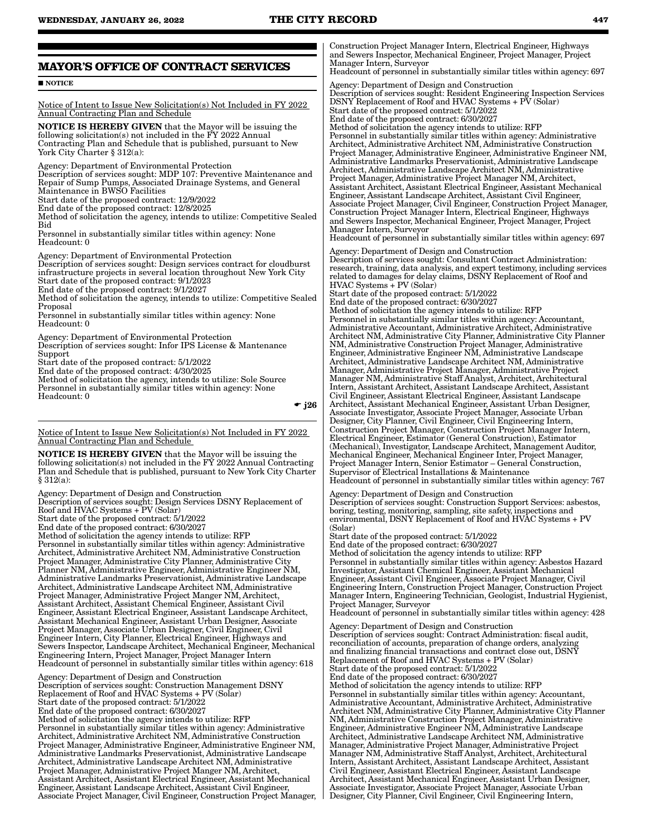## **MAYOR'S OFFICE OF CONTRACT SERVICES**

#### **NOTICE**

Notice of Intent to Issue New Solicitation(s) Not Included in FY 2022 Annual Contracting Plan and Schedule

NOTICE IS HEREBY GIVEN that the Mayor will be issuing the following solicitation(s) not included in the FY 2022 Annual Contracting Plan and Schedule that is published, pursuant to New York City Charter § 312(a):

Agency: Department of Environmental Protection

Description of services sought: MDP 107: Preventive Maintenance and Repair of Sump Pumps, Associated Drainage Systems, and General Maintenance in BWSO Facilities

Start date of the proposed contract: 12/9/2022

End date of the proposed contract: 12/8/2025

Method of solicitation the agency, intends to utilize: Competitive Sealed Bid

Personnel in substantially similar titles within agency: None Headcount: 0

Agency: Department of Environmental Protection

Description of services sought: Design services contract for cloudburst infrastructure projects in several location throughout New York City Start date of the proposed contract: 9/1/2023

End date of the proposed contract: 9/1/2027

Method of solicitation the agency, intends to utilize: Competitive Sealed Proposal

Personnel in substantially similar titles within agency: None Headcount: 0

Agency: Department of Environmental Protection Description of services sought: Infor IPS License & Mantenance Support Start date of the proposed contract: 5/1/2022

End date of the proposed contract: 4/30/2025

Method of solicitation the agency, intends to utilize: Sole Source Personnel in substantially similar titles within agency: None Headcount: 0

 $\div$  j26

Notice of Intent to Issue New Solicitation(s) Not Included in FY 2022 Annual Contracting Plan and Schedule

NOTICE IS HEREBY GIVEN that the Mayor will be issuing the following solicitation(s) not included in the FY 2022 Annual Contracting Plan and Schedule that is published, pursuant to New York City Charter § 312(a):

Agency: Department of Design and Construction

Description of services sought: Design Services DSNY Replacement of Roof and HVAC Systems + PV (Solar) Start date of the proposed contract: 5/1/2022 End date of the proposed contract: 6/30/2027 Method of solicitation the agency intends to utilize: RFP Personnel in substantially similar titles within agency: Administrative Architect, Administrative Architect NM, Administrative Construction Project Manager, Administrative City Planner, Administrative City Planner NM, Administrative Engineer, Administrative Engineer NM, Administrative Landmarks Preservationist, Administrative Landscape Architect, Administrative Landscape Architect NM, Administrative Project Manager, Administrative Project Manger NM, Architect, Assistant Architect, Assistant Chemical Engineer, Assistant Civil Engineer, Assistant Electrical Engineer, Assistant Landscape Architect, Assistant Mechanical Engineer, Assistant Urban Designer, Associate Project Manager, Associate Urban Designer, Civil Engineer, Civil Engineer Intern, City Planner, Electrical Engineer, Highways and Sewers Inspector, Landscape Architect, Mechanical Engineer, Mechanical Engineering Intern, Project Manager, Project Manager Intern Headcount of personnel in substantially similar titles within agency: 618

Agency: Department of Design and Construction Description of services sought: Construction Management DSNY Replacement of Roof and HVAC Systems + PV (Solar) Start date of the proposed contract: 5/1/2022 End date of the proposed contract: 6/30/2027 Method of solicitation the agency intends to utilize: RFP Personnel in substantially similar titles within agency: Administrative Architect, Administrative Architect NM, Administrative Construction Project Manager, Administrative Engineer, Administrative Engineer NM, Administrative Landmarks Preservationist, Administrative Landscape Architect, Administrative Landscape Architect NM, Administrative Project Manager, Administrative Project Manger NM, Architect, Assistant Architect, Assistant Electrical Engineer, Assistant Mechanical Engineer, Assistant Landscape Architect, Assistant Civil Engineer, Associate Project Manager, Civil Engineer, Construction Project Manager, Construction Project Manager Intern, Electrical Engineer, Highways and Sewers Inspector, Mechanical Engineer, Project Manager, Project Manager Intern, Surveyor

Headcount of personnel in substantially similar titles within agency: 697 Agency: Department of Design and Construction Description of services sought: Resident Engineering Inspection Services DSNY Replacement of Roof and HVAC Systems + PV (Solar) Start date of the proposed contract: 5/1/2022 End date of the proposed contract: 6/30/2027 Method of solicitation the agency intends to utilize: RFP Personnel in substantially similar titles within agency: Administrative Architect, Administrative Architect NM, Administrative Construction Project Manager, Administrative Engineer, Administrative Engineer NM, Administrative Landmarks Preservationist, Administrative Landscape Architect, Administrative Landscape Architect NM, Administrative Project Manager, Administrative Project Manager NM, Architect, Assistant Architect, Assistant Electrical Engineer, Assistant Mechanical Engineer, Assistant Landscape Architect, Assistant Civil Engineer, Associate Project Manager, Civil Engineer, Construction Project Manager, Construction Project Manager Intern, Electrical Engineer, Highways and Sewers Inspector, Mechanical Engineer, Project Manager, Project Manager Intern, Surveyor Headcount of personnel in substantially similar titles within agency: 697

Agency: Department of Design and Construction Description of services sought: Consultant Contract Administration: research, training, data analysis, and expert testimony, including services related to damages for delay claims, DSNY Replacement of Roof and HVAC Systems + PV (Solar) Start date of the proposed contract: 5/1/2022

End date of the proposed contract: 6/30/2027

Method of solicitation the agency intends to utilize: RFP Personnel in substantially similar titles within agency: Accountant, Administrative Accountant, Administrative Architect, Administrative Architect NM, Administrative City Planner, Administrative City Planner NM, Administrative Construction Project Manager, Administrative Engineer, Administrative Engineer NM, Administrative Landscape Architect, Administrative Landscape Architect NM, Administrative Manager, Administrative Project Manager, Administrative Project Manager NM, Administrative Staff Analyst, Architect, Architectural Intern, Assistant Architect, Assistant Landscape Architect, Assistant Civil Engineer, Assistant Electrical Engineer, Assistant Landscape Architect, Assistant Mechanical Engineer, Assistant Urban Designer, Associate Investigator, Associate Project Manager, Associate Urban Designer, City Planner, Civil Engineer, Civil Engineering Intern, Construction Project Manager, Construction Project Manager Intern, Electrical Engineer, Estimator (General Construction), Estimator (Mechanical), Investigator, Landscape Architect, Management Auditor, Mechanical Engineer, Mechanical Engineer Inter, Project Manager, Project Manager Intern, Senior Estimator – General Construction, Supervisor of Electrical Installations & Maintenance Headcount of personnel in substantially similar titles within agency: 767

Agency: Department of Design and Construction Description of services sought: Construction Support Services: asbestos, boring, testing, monitoring, sampling, site safety, inspections and environmental, DSNY Replacement of Roof and HVAC Systems + PV (Solar)

Start date of the proposed contract: 5/1/2022

End date of the proposed contract: 6/30/2027

Method of solicitation the agency intends to utilize: RFP Personnel in substantially similar titles within agency: Asbestos Hazard Investigator, Assistant Chemical Engineer, Assistant Mechanical Engineer, Assistant Civil Engineer, Associate Project Manager, Civil Engineering Intern, Construction Project Manager, Construction Project Manager Intern, Engineering Technician, Geologist, Industrial Hygienist, Project Manager, Surveyor

Headcount of personnel in substantially similar titles within agency: 428

Agency: Department of Design and Construction Description of services sought: Contract Administration: fiscal audit, reconciliation of accounts, preparation of change orders, analyzing and finalizing financial transactions and contract close out, DSNY Replacement of Roof and HVAC Systems + PV (Solar) Start date of the proposed contract: 5/1/2022 End date of the proposed contract: 6/30/2027 Method of solicitation the agency intends to utilize: RFP Personnel in substantially similar titles within agency: Accountant, Administrative Accountant, Administrative Architect, Administrative Architect NM, Administrative City Planner, Administrative City Planner NM, Administrative Construction Project Manager, Administrative Engineer, Administrative Engineer NM, Administrative Landscape Architect, Administrative Landscape Architect NM, Administrative Manager, Administrative Project Manager, Administrative Project Manager NM, Administrative Staff Analyst, Architect, Architectural Intern, Assistant Architect, Assistant Landscape Architect, Assistant Civil Engineer, Assistant Electrical Engineer, Assistant Landscape Architect, Assistant Mechanical Engineer, Assistant Urban Designer, Associate Investigator, Associate Project Manager, Associate Urban Designer, City Planner, Civil Engineer, Civil Engineering Intern,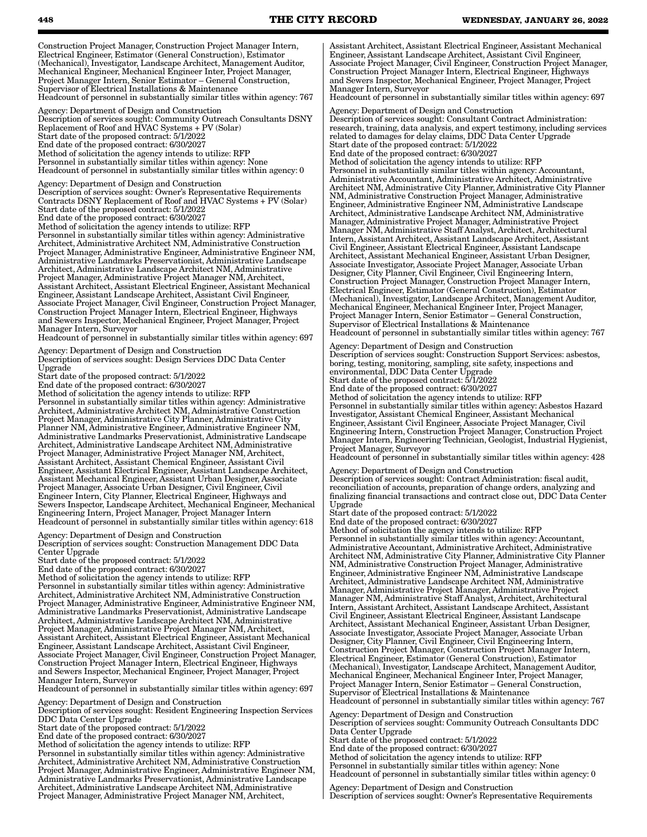Construction Project Manager, Construction Project Manager Intern, Electrical Engineer, Estimator (General Construction), Estimator (Mechanical), Investigator, Landscape Architect, Management Auditor, Mechanical Engineer, Mechanical Engineer Inter, Project Manager, Project Manager Intern, Senior Estimator – General Construction, Supervisor of Electrical Installations & Maintenance Headcount of personnel in substantially similar titles within agency: 767

Agency: Department of Design and Construction Description of services sought: Community Outreach Consultants DSNY Replacement of Roof and HVAC Systems + PV (Solar) Start date of the proposed contract: 5/1/2022 End date of the proposed contract: 6/30/2027 Method of solicitation the agency intends to utilize: RFP Personnel in substantially similar titles within agency: None Headcount of personnel in substantially similar titles within agency: 0

Agency: Department of Design and Construction Description of services sought: Owner's Representative Requirements Contracts DSNY Replacement of Roof and HVAC Systems + PV (Solar) Start date of the proposed contract: 5/1/2022 End date of the proposed contract: 6/30/2027 Method of solicitation the agency intends to utilize: RFP Personnel in substantially similar titles within agency: Administrative Architect, Administrative Architect NM, Administrative Construction Project Manager, Administrative Engineer, Administrative Engineer NM, Administrative Landmarks Preservationist, Administrative Landscape

Architect, Administrative Landscape Architect NM, Administrative Project Manager, Administrative Project Manager NM, Architect, Assistant Architect, Assistant Electrical Engineer, Assistant Mechanical Engineer, Assistant Landscape Architect, Assistant Civil Engineer, Associate Project Manager, Civil Engineer, Construction Project Manager, Construction Project Manager Intern, Electrical Engineer, Highways and Sewers Inspector, Mechanical Engineer, Project Manager, Project Manager Intern, Surveyor

Headcount of personnel in substantially similar titles within agency: 697

Agency: Department of Design and Construction Description of services sought: Design Services DDC Data Center Upgrade

Start date of the proposed contract: 5/1/2022

End date of the proposed contract: 6/30/2027

Method of solicitation the agency intends to utilize: RFP Personnel in substantially similar titles within agency: Administrative Architect, Administrative Architect NM, Administrative Construction Project Manager, Administrative City Planner, Administrative City Planner NM, Administrative Engineer, Administrative Engineer NM, Administrative Landmarks Preservationist, Administrative Landscape Architect, Administrative Landscape Architect NM, Administrative Project Manager, Administrative Project Manager NM, Architect, Assistant Architect, Assistant Chemical Engineer, Assistant Civil Engineer, Assistant Electrical Engineer, Assistant Landscape Architect, Assistant Mechanical Engineer, Assistant Urban Designer, Associate Project Manager, Associate Urban Designer, Civil Engineer, Civil Engineer Intern, City Planner, Electrical Engineer, Highways and Sewers Inspector, Landscape Architect, Mechanical Engineer, Mechanical Engineering Intern, Project Manager, Project Manager Intern Headcount of personnel in substantially similar titles within agency: 618

Agency: Department of Design and Construction

Description of services sought: Construction Management DDC Data Center Upgrade

Start date of the proposed contract: 5/1/2022

End date of the proposed contract: 6/30/2027

Method of solicitation the agency intends to utilize: RFP Personnel in substantially similar titles within agency: Administrative Architect, Administrative Architect NM, Administrative Construction Project Manager, Administrative Engineer, Administrative Engineer NM, Administrative Landmarks Preservationist, Administrative Landscape Architect, Administrative Landscape Architect NM, Administrative Project Manager, Administrative Project Manager NM, Architect, Assistant Architect, Assistant Electrical Engineer, Assistant Mechanical Engineer, Assistant Landscape Architect, Assistant Civil Engineer, Associate Project Manager, Civil Engineer, Construction Project Manager, Construction Project Manager Intern, Electrical Engineer, Highways and Sewers Inspector, Mechanical Engineer, Project Manager, Project Manager Intern, Surveyor

Headcount of personnel in substantially similar titles within agency: 697

Agency: Department of Design and Construction Description of services sought: Resident Engineering Inspection Services DDC Data Center Upgrade

Start date of the proposed contract: 5/1/2022

End date of the proposed contract: 6/30/2027

Method of solicitation the agency intends to utilize: RFP

Personnel in substantially similar titles within agency: Administrative Architect, Administrative Architect NM, Administrative Construction Project Manager, Administrative Engineer, Administrative Engineer NM, Administrative Landmarks Preservationist, Administrative Landscape Architect, Administrative Landscape Architect NM, Administrative Project Manager, Administrative Project Manager NM, Architect,

Assistant Architect, Assistant Electrical Engineer, Assistant Mechanical Engineer, Assistant Landscape Architect, Assistant Civil Engineer, Associate Project Manager, Civil Engineer, Construction Project Manager, Construction Project Manager Intern, Electrical Engineer, Highways and Sewers Inspector, Mechanical Engineer, Project Manager, Project Manager Intern, Surveyor

Headcount of personnel in substantially similar titles within agency: 697

Agency: Department of Design and Construction Description of services sought: Consultant Contract Administration: research, training, data analysis, and expert testimony, including services related to damages for delay claims, DDC Data Center Upgrade Start date of the proposed contract: 5/1/2022 End date of the proposed contract: 6/30/2027 Method of solicitation the agency intends to utilize: RFP Personnel in substantially similar titles within agency: Accountant, Administrative Accountant, Administrative Architect, Administrative Architect NM, Administrative City Planner, Administrative City Planner NM, Administrative Construction Project Manager, Administrative Engineer, Administrative Engineer NM, Administrative Landscape Architect, Administrative Landscape Architect NM, Administrative Manager, Administrative Project Manager, Administrative Project Manager NM, Administrative Staff Analyst, Architect, Architectural Intern, Assistant Architect, Assistant Landscape Architect, Assistant Civil Engineer, Assistant Electrical Engineer, Assistant Landscape Architect, Assistant Mechanical Engineer, Assistant Urban Designer, Associate Investigator, Associate Project Manager, Associate Urban Designer, City Planner, Civil Engineer, Civil Engineering Intern, Construction Project Manager, Construction Project Manager Intern, Electrical Engineer, Estimator (General Construction), Estimator (Mechanical), Investigator, Landscape Architect, Management Auditor, Mechanical Engineer, Mechanical Engineer Inter, Project Manager, Project Manager Intern, Senior Estimator – General Construction, Supervisor of Electrical Installations & Maintenance

Headcount of personnel in substantially similar titles within agency: 767

Agency: Department of Design and Construction Description of services sought: Construction Support Services: asbestos, boring, testing, monitoring, sampling, site safety, inspections and environmental, DDC Data Center Upgrade Start date of the proposed contract: 5/1/2022 End date of the proposed contract: 6/30/2027 Method of solicitation the agency intends to utilize: RFP Personnel in substantially similar titles within agency: Asbestos Hazard Investigator, Assistant Chemical Engineer, Assistant Mechanical Engineer, Assistant Civil Engineer, Associate Project Manager, Civil Engineering Intern, Construction Project Manager, Construction Project Manager Intern, Engineering Technician, Geologist, Industrial Hygienist, Project Manager, Surveyor

Headcount of personnel in substantially similar titles within agency: 428

Agency: Department of Design and Construction Description of services sought: Contract Administration: fiscal audit, reconciliation of accounts, preparation of change orders, analyzing and finalizing financial transactions and contract close out, DDC Data Center Upgrade

Start date of the proposed contract: 5/1/2022

End date of the proposed contract: 6/30/2027

Method of solicitation the agency intends to utilize: RFP Personnel in substantially similar titles within agency: Accountant, Administrative Accountant, Administrative Architect, Administrative Architect NM, Administrative City Planner, Administrative City Planner NM, Administrative Construction Project Manager, Administrative Engineer, Administrative Engineer NM, Administrative Landscape Architect, Administrative Landscape Architect NM, Administrative Manager, Administrative Project Manager, Administrative Project Manager NM, Administrative Staff Analyst, Architect, Architectural Intern, Assistant Architect, Assistant Landscape Architect, Assistant Civil Engineer, Assistant Electrical Engineer, Assistant Landscape Architect, Assistant Mechanical Engineer, Assistant Urban Designer, Associate Investigator, Associate Project Manager, Associate Urban Designer, City Planner, Civil Engineer, Civil Engineering Intern, Construction Project Manager, Construction Project Manager Intern, Electrical Engineer, Estimator (General Construction), Estimator (Mechanical), Investigator, Landscape Architect, Management Auditor, Mechanical Engineer, Mechanical Engineer Inter, Project Manager, Project Manager Intern, Senior Estimator – General Construction, Supervisor of Electrical Installations & Maintenance Headcount of personnel in substantially similar titles within agency: 767

Agency: Department of Design and Construction Description of services sought: Community Outreach Consultants DDC Data Center Upgrade Start date of the proposed contract: 5/1/2022 End date of the proposed contract: 6/30/2027 Method of solicitation the agency intends to utilize: RFP

Personnel in substantially similar titles within agency: None Headcount of personnel in substantially similar titles within agency: 0

Agency: Department of Design and Construction Description of services sought: Owner's Representative Requirements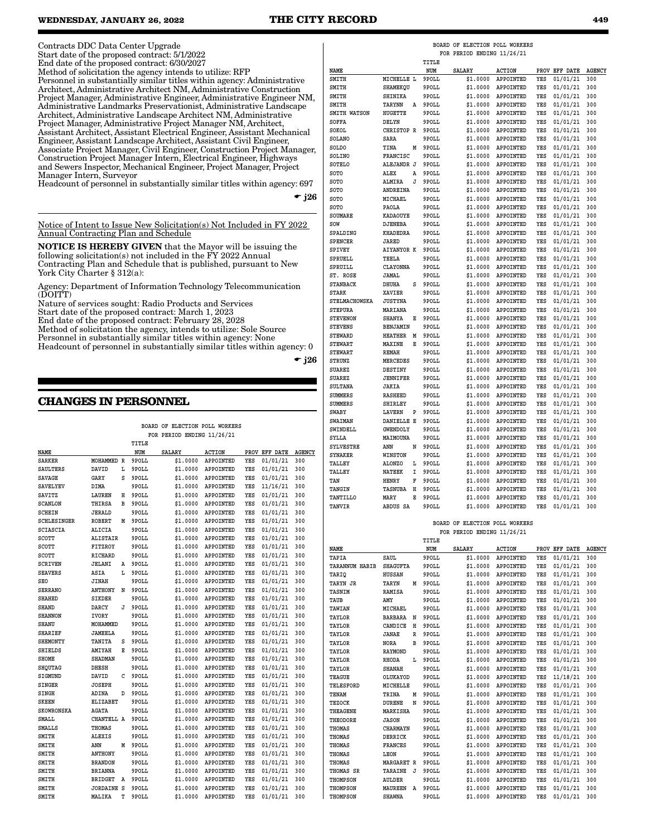Contracts DDC Data Center Upgrade

Start date of the proposed contract: 5/1/2022

End date of the proposed contract: 6/30/2027 Method of solicitation the agency intends to utilize: RFP Personnel in substantially similar titles within agency: Administrative Architect, Administrative Architect NM, Administrative Construction Project Manager, Administrative Engineer, Administrative Engineer NM, Administrative Landmarks Preservationist, Administrative Landscape Architect, Administrative Landscape Architect NM, Administrative Project Manager, Administrative Project Manager NM, Architect, Assistant Architect, Assistant Electrical Engineer, Assistant Mechanical Engineer, Assistant Landscape Architect, Assistant Civil Engineer, Associate Project Manager, Civil Engineer, Construction Project Manager, Construction Project Manager Intern, Electrical Engineer, Highways and Sewers Inspector, Mechanical Engineer, Project Manager, Project Manager Intern, Surveyor

Headcount of personnel in substantially similar titles within agency: 697

 $-$  j26

Notice of Intent to Issue New Solicitation(s) Not Included in FY 2022 Contracting Plan and Schedule

NOTICE IS HEREBY GIVEN that the Mayor will be issuing the following solicitation(s) not included in the FY 2022 Annual Contracting Plan and Schedule that is published, pursuant to New York City Charter § 312(a):

Agency: Department of Information Technology Telecommunication  $(DOITT)$ 

Nature of services sought: Radio Products and Services

Start date of the proposed contract: March 1, 2023

End date of the proposed contract: February 28, 2028

Method of solicitation the agency, intends to utilize: Sole Source Personnel in substantially similar titles within agency: None

Headcount of personnel in substantially similar titles within agency: 0

 $\bullet$  j26

## **CHANGES IN PERSONNEL**

|                    |                   |   |       | BOARD OF ELECTION POLL WORKERS |               |     |               |               |
|--------------------|-------------------|---|-------|--------------------------------|---------------|-----|---------------|---------------|
|                    |                   |   |       | FOR PERIOD ENDING 11/26/21     |               |     |               |               |
|                    |                   |   | TITLE |                                |               |     |               |               |
| NAME               |                   |   | NUM   | <b>SALARY</b>                  | <b>ACTION</b> |     | PROV EFF DATE | <b>AGENCY</b> |
| <b>SARKER</b>      | MOHAMMED R        |   | 9POLL | \$1,0000                       | APPOINTED     | YES | 01/01/21      | 300           |
| SAULTERS           | DAVID             | L | 9POLL | \$1,0000                       | APPOINTED     | YES | 01/01/21      | 300           |
| <b>SAVAGE</b>      | GARY              | S | 9POLL | \$1.0000                       | APPOINTED     | YES | 01/01/21      | 300           |
| <b>SAVELYEV</b>    | DIMA              |   | 9POLL | \$1.0000                       | APPOINTED     | YES | 11/16/21      | 300           |
| SAVITZ             | LAUREN            | н | 9POLL | \$1.0000                       | APPOINTED     | YES | 01/01/21      | 300           |
| <b>SCANLON</b>     | THIRSA            | в | 9POLL | \$1.0000                       | APPOINTED     | YES | 01/01/21      | 300           |
| SCHEIN             | <b>JERALD</b>     |   | 9POLL | \$1.0000                       | APPOINTED     | YES | 01/01/21      | 300           |
| <b>SCHLESINGER</b> | <b>ROBERT</b>     | M | 9POLL | \$1.0000                       | APPOINTED     | YES | 01/01/21      | 300           |
| <b>SCIASCIA</b>    | ALICIA            |   | 9POLL | \$1.0000                       | APPOINTED     | YES | 01/01/21      | 300           |
| SCOTT              | <b>ALISTAIR</b>   |   | 9POLL | \$1.0000                       | APPOINTED     | YES | 01/01/21      | 300           |
| SCOTT              | FITZROY           |   | 9POLL | \$1.0000                       | APPOINTED     | YES | 01/01/21      | 300           |
| SCOTT              | RICHARD           |   | 9POLL | \$1.0000                       | APPOINTED     | YES | 01/01/21      | 300           |
| SCRIVEN            | <b>JELANI</b>     | Α | 9POLL | \$1.0000                       | APPOINTED     | YES | 01/01/21      | 300           |
| <b>SEAVERS</b>     | ASIA              | L | 9POLL | \$1,0000                       | APPOINTED     | YES | 01/01/21      | 300           |
| <b>SEO</b>         | JINAH             |   | 9POLL | \$1.0000                       | APPOINTED     | YES | 01/01/21      | 300           |
| <b>SERRANO</b>     | <b>ANTHONY</b>    | N | 9POLL | \$1.0000                       | APPOINTED     | YES | 01/01/21      | 300           |
| <b>SHAHED</b>      | <b>SIKDER</b>     |   | 9POLL | \$1.0000                       | APPOINTED     | YES | 01/01/21      | 300           |
| <b>SHAND</b>       | DARCY             | J | 9POLL | \$1,0000                       | APPOINTED     | YES | 01/01/21      | 300           |
| <b>SHANNON</b>     | IVORY             |   | 9POLL | \$1.0000                       | APPOINTED     | YES | 01/01/21      | 300           |
| <b>SHANU</b>       | MOHAMMED          |   | 9POLL | \$1.0000                       | APPOINTED     | YES | 01/01/21      | 300           |
| <b>SHARIEF</b>     | <b>JAMEELA</b>    |   | 9POLL | \$1,0000                       | APPOINTED     | YES | 01/01/21      | 300           |
| <b>SHEMONTY</b>    | TANITA            | S | 9POLL | \$1.0000                       | APPOINTED     | YES | 01/01/21      | 300           |
| <b>SHIELDS</b>     | AMIYAH            | E | 9POLL | \$1.0000                       | APPOINTED     | YES | 01/01/21      | 300           |
| <b>SHOME</b>       | <b>SHADMAN</b>    |   | 9POLL | \$1.0000                       | APPOINTED     | YES | 01/01/21      | 300           |
| SHQUTAG            | <b>DHESH</b>      |   | 9POLL | \$1,0000                       | APPOINTED     | YES | 01/01/21      | 300           |
| SIGMUND            | DAVID             | C | 9POLL | \$1,0000                       | APPOINTED     | YES | 01/01/21      | 300           |
| SINGER             | <b>JOSEPH</b>     |   | 9POLL | \$1.0000                       | APPOINTED     | YES | 01/01/21      | 300           |
| <b>SINGH</b>       | ADINA             | D | 9POLL | \$1.0000                       | APPOINTED     | YES | 01/01/21      | 300           |
| <b>SKEEN</b>       | <b>ELIZABET</b>   |   | 9POLL | \$1.0000                       | APPOINTED     | YES | 01/01/21      | 300           |
| <b>SKOWRONSKA</b>  | <b>AGATA</b>      |   | 9POLL | \$1.0000                       | APPOINTED     | YES | 01/01/21      | 300           |
| SMALL              | CHANTELL A        |   | 9POLL | \$1.0000                       | APPOINTED     | YES | 01/01/21      | 300           |
| <b>SMALLS</b>      | THOMAS            |   | 9POLL | \$1.0000                       | APPOINTED     | YES | 01/01/21      | 300           |
| SMITH              | <b>ALEXIS</b>     |   | 9POLL | \$1.0000                       | APPOINTED     | YES | 01/01/21      | 300           |
| SMITH              | ANN               | M | 9POLL | \$1,0000                       | APPOINTED     | YES | 01/01/21      | 300           |
| SMITH              | <b>ANTHONY</b>    |   | 9POLL | \$1.0000                       | APPOINTED     | YES | 01/01/21      | 300           |
| SMITH              | <b>BRANDON</b>    |   | 9POLL | \$1.0000                       | APPOINTED     | YES | 01/01/21      | 300           |
| SMITH              | <b>BRIANNA</b>    |   | 9POLL | \$1.0000                       | APPOINTED     | YES | 01/01/21      | 300           |
| SMITH              | <b>BRIDGET</b>    | Α | 9POLL | \$1.0000                       | APPOINTED     | YES | 01/01/21      | 300           |
| SMITH              | <b>JORDAINE S</b> |   | 9POLL | \$1.0000                       | APPOINTED     | YES | 01/01/21      | 300           |
| SMITH              | MALIKA            | T | 9POLL | \$1.0000                       | APPOINTED     | YES | 01/01/21      | 300           |

|                  |                   |   | TITLE |               |               |     |               |               |
|------------------|-------------------|---|-------|---------------|---------------|-----|---------------|---------------|
| NAME             |                   |   | NUM   | <b>SALARY</b> | <b>ACTION</b> |     | PROV EFF DATE | <b>AGENCY</b> |
| SMITH            | MICHELLE L        |   | 9POLL | \$1.0000      | APPOINTED     | YES | 01/01/21      | 300           |
| SMITH            | SHAMEKQU          |   | 9POLL | \$1.0000      | APPOINTED     | YES | 01/01/21      | 300           |
| SMITH            | SHINIKA           |   | 9POLL | \$1.0000      | APPOINTED     | YES | 01/01/21      | 300           |
| SMITH            | TARYNN            | A | 9POLL | \$1,0000      | APPOINTED     | YES | 01/01/21      | 300           |
| SMITH WATSON     | HUGETTE           |   | 9POLL | \$1.0000      | APPOINTED     | YES | 01/01/21      | 300           |
| SOFFA            | DELYN             |   | 9POLL | \$1.0000      | APPOINTED     | YES | 01/01/21      | 300           |
| SOKOL            | CHRISTOP R        |   | 9POLL | \$1.0000      | APPOINTED     | YES | 01/01/21      | 300           |
| SOLANO           | SARA              |   | 9POLL | \$1.0000      | APPOINTED     | YES | 01/01/21      | 300           |
| SOLDO            | TINA              | М | 9POLL | \$1.0000      | APPOINTED     | YES | 01/01/21      | 300           |
| <b>SOLINO</b>    | FRANCISC          |   | 9POLL | \$1.0000      | APPOINTED     | YES | 01/01/21      | 300           |
| SOTELO           | ALEJANDR J        |   | 9POLL | \$1.0000      | APPOINTED     | YES | 01/01/21      | 300           |
| SOTO             | ALEX              | A | 9POLL | \$1.0000      | APPOINTED     | YES | 01/01/21      | 300           |
| SOTO             | ALMIRA            | J | 9POLL | \$1,0000      | APPOINTED     | YES | 01/01/21      | 300           |
| SOTO             | ANDREINA          |   | 9POLL | \$1.0000      | APPOINTED     | YES | 01/01/21      | 300           |
| SOTO             | MICHAEL           |   | 9POLL | \$1.0000      | APPOINTED     | YES | 01/01/21      | 300           |
| SOTO             | PAOLA             |   | 9POLL | \$1.0000      | APPOINTED     | YES | 01/01/21      | 300           |
| <b>SOUMARE</b>   | <b>KADAOUYE</b>   |   | 9POLL | \$1.0000      | APPOINTED     | YES | 01/01/21      | 300           |
| SOW              | <b>DJENEBA</b>    |   | 9POLL | \$1.0000      | APPOINTED     | YES | 01/01/21      | 300           |
| SPALDING         | <b>KHADEDRA</b>   |   | 9POLL | \$1.0000      | APPOINTED     | YES | 01/01/21      | 300           |
| <b>SPENCER</b>   | JARED             |   | 9POLL | \$1,0000      | APPOINTED     | YES | 01/01/21      | 300           |
| SPIVEY           | <b>AIYANYOR K</b> |   | 9POLL | \$1.0000      | APPOINTED     | YES | 01/01/21      | 300           |
| SPRUELL          | TEELA             |   | 9POLL | \$1.0000      | APPOINTED     | YES | 01/01/21      | 300           |
| SPRUILL          | CLAYONNA          |   | 9POLL | \$1.0000      | APPOINTED     | YES | 01/01/21      | 300           |
| ST. ROSE         | JAMAL             |   | 9POLL | \$1.0000      | APPOINTED     | YES | 01/01/21      | 300           |
| <b>STANBACK</b>  | DHUHA             | S | 9POLL | \$1.0000      | APPOINTED     | YES | 01/01/21      | 300           |
| STARK            | XAVIER            |   | 9POLL | \$1.0000      | APPOINTED     | YES | 01/01/21      | 300           |
| STELMACHOWSKA    | <b>JUSTYNA</b>    |   | 9POLL | \$1.0000      | APPOINTED     | YES | 01/01/21      | 300           |
| <b>STEPURA</b>   | MARIANA           |   | 9POLL | \$1.0000      | APPOINTED     | YES | 01/01/21      | 300           |
| <b>STEVENON</b>  | <b>SHANYA</b>     | Е | 9POLL | \$1.0000      | APPOINTED     | YES | 01/01/21      | 300           |
| <b>STEVENS</b>   | BENJAMIN          |   | 9POLL | \$1.0000      | APPOINTED     | YES | 01/01/21      | 300           |
| <b>STEWARD</b>   | <b>HEATHER</b>    | М | 9POLL | \$1.0000      | APPOINTED     | YES | 01/01/21      | 300           |
| <b>STEWART</b>   | <b>MAXINE</b>     | Е | 9POLL | \$1.0000      | APPOINTED     | YES | 01/01/21      | 300           |
| <b>STEWART</b>   | <b>REMAH</b>      |   | 9POLL | \$1.0000      | APPOINTED     | YES | 01/01/21      | 300           |
| STRUNZ           | MERCEDES          |   | 9POLL | \$1.0000      | APPOINTED     | YES | 01/01/21      | 300           |
| SUAREZ           | <b>DESTINY</b>    |   | 9POLL | \$1.0000      | APPOINTED     | YES | 01/01/21      | 300           |
| <b>SUAREZ</b>    | <b>JENNIFER</b>   |   | 9POLL | \$1,0000      | APPOINTED     | YES | 01/01/21      | 300           |
| <b>SULTANA</b>   | JAKIA             |   | 9POLL | \$1.0000      | APPOINTED     | YES | 01/01/21      | 300           |
| SUMMERS          | <b>RASHEED</b>    |   | 9POLL | \$1.0000      | APPOINTED     | YES | 01/01/21      | 300           |
| SUMMERS          | SHIRLEY           |   | 9POLL | \$1.0000      | APPOINTED     | YES | 01/01/21      | 300           |
| <b>SWABY</b>     | <b>LAVERN</b>     | P | 9POLL | \$1.0000      | APPOINTED     | YES | 01/01/21      | 300           |
| <b>SWAIMAN</b>   | DANIELLE E        |   | 9POLL | \$1.0000      | APPOINTED     | YES | 01/01/21      | 300           |
| SWINDELL         | <b>GWENDOLY</b>   |   | 9POLL | \$1.0000      | APPOINTED     | YES | 01/01/21      | 300           |
| SYLLA            | MAIMOUNA          |   | 9POLL | \$1.0000      | APPOINTED     | YES | 01/01/21      | 300           |
| <b>SYLVESTRE</b> | ANN               | N | 9POLL | \$1.0000      | APPOINTED     | YES | 01/01/21      | 300           |
| <b>SYNAKER</b>   | WINSTON           |   | 9POLL | \$1.0000      | APPOINTED     | YES | 01/01/21      | 300           |
| <b>TALLEY</b>    | <b>ALONZO</b>     | L | 9POLL | \$1.0000      | APPOINTED     | YES | 01/01/21      | 300           |
| TALLEY           | <b>NATEEK</b>     | I | 9POLL | \$1.0000      | APPOINTED     | YES | 01/01/21      | 300           |
| TAN              | HENRY             | F | 9POLL | \$1.0000      | APPOINTED     | YES | 01/01/21      | 300           |
| <b>TANGIN</b>    | <b>TASNUBA</b>    | Η | 9POLL | \$1.0000      | APPOINTED     | YES | 01/01/21      | 300           |
| <b>TANTILLO</b>  | MARY              | E | 9POLL | \$1.0000      | APPOINTED     | YES | 01/01/21      | 300           |
| <b>TANVIR</b>    | ABDUS SA          |   | 9POLL | \$1.0000      | APPOINTED     | YES | 01/01/21      | 300           |
|                  |                   |   |       |               |               |     |               |               |

 **BOARD OF ELECTION POLL WORKERS FOR PERIOD ENDING 11/26/21**

 **BOARD OF ELECTION POLL WORKERS FOR PERIOD ENDING 11/26/21**

**TITLE**<br>
NAME **NUM SALARY ACTION PROV EFF DATE AGENCY**<br>**9POLL** \$1.0000 APPOINTED YES 01/01/21 300 **TAPIA SAUL 9POLL \$1.0000 APPOINTED YES 01/01/21 300 TARANNUM HABIB SHAGUFTA 9POLL \$1.0000 APPOINTED YES 01/01/21 300 TARIQ HUSSAN 9POLL \$1.0000 APPOINTED YES 01/01/21 300 TARYN JR TARYN M 9POLL \$1.0000 APPOINTED YES 01/01/21 300**  $$1.0000$  **APPOINTED TAUB AMY 9POLL \$1.0000 APPOINTED YES 01/01/21 300 TAWIAN MICHAEL 9POLL \$1.0000 APPOINTED YES 01/01/21 300 TAYLOR BARBARA N 9POLL \$1.0000 APPOINTED YES 01/01/21 300** \$1.0000 APPOINTED YES 01/01/21 300 **TAYLOR JANAE R 9POLL \$1.0000 APPOINTED YES 01/01/21 300 TAYLOR NORA B 9POLL \$1.0000 APPOINTED YES 01/01/21 300 TAYLOR RAYMOND 9POLL \$1.0000 APPOINTED YES 01/01/21 300 TAYLOR RHODA L 9POLL \$1.0000 APPOINTED YES 01/01/21 300 TAYLOR SHANAH 9POLL \$1.0000 APPOINTED YES 01/01/21 300 TEAGUE OLUKAYOD 9POLL \$1.0000 APPOINTED YES 11/18/21 300 MICHELLE 9POLL \$1.0000 APPOINTED YES 01/01/21 300**<br>**TRINA M 9POLL \$1.0000 APPOINTED YES 01/01/21 300 TENAM TRINA M 9POLL \$1.0000 APPOINTED YES 01/01/21 300 TEZOCK DURENE N 9POLL \$1.0000 APPOINTED YES 01/01/21 300 THEAGENE MARKISHA 9POLL \$1.0000 APPOINTED YES 01/01/21 300 THEODORE JASON 9POLL \$1.0000 APPOINTED YES 01/01/21 300 THOMAS CHARMAYN 9POLL \$1.0000 APPOINTED YES 01/01/21 300 THOMAS DERRICK 9POLL \$1.0000 APPOINTED YES 01/01/21 300 THOMAS FRANCES 9POLL \$1.0000 APPOINTED YES 01/01/21 300 THOMAS LEON 9POLL \$1.0000 APPOINTED YES 01/01/21 300 THOMAS MARGARET R 9POLL \$1.0000 APPOINTED YES 01/01/21 300 THOMAS SR TARAINE J 9POLL \$1.0000 APPOINTED YES 01/01/21 300 THOMPSON AULDER 9POLL \$1.0000 APPOINTED YES 01/01/21 300 THOMPSON MAUREEN A 9POLL \$1.0000 APPOINTED YES 01/01/21 300 THOMPSON SHAWNA 9POLL \$1.0000 APPOINTED YES 01/01/21 300**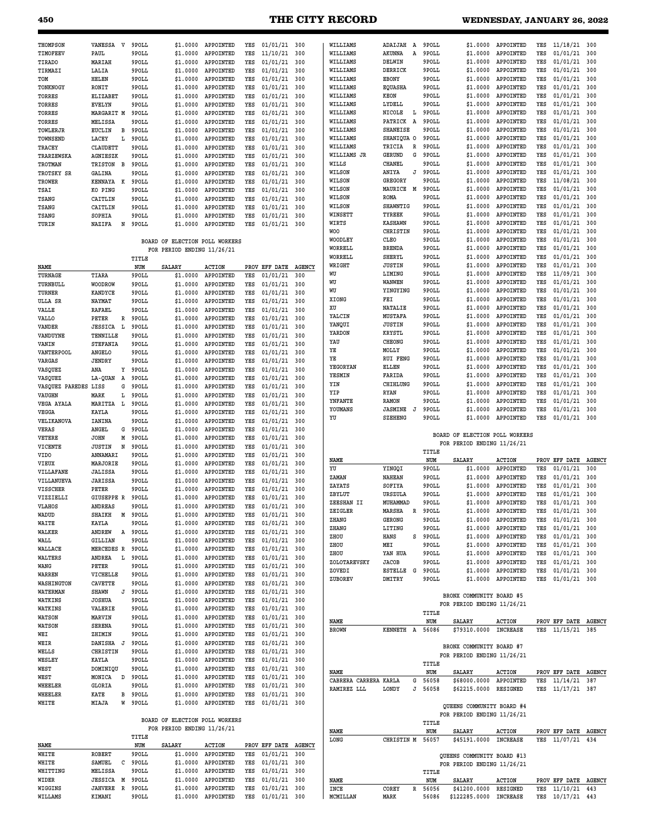| 450                            |                              |        |                |                                |                        |            |                                  |               | <b>THE CITY RECORD</b>               |                                  |   |                  |                                                          | WEDNESDAY, JANUARY 26, 2022     |            |                                  |               |
|--------------------------------|------------------------------|--------|----------------|--------------------------------|------------------------|------------|----------------------------------|---------------|--------------------------------------|----------------------------------|---|------------------|----------------------------------------------------------|---------------------------------|------------|----------------------------------|---------------|
|                                |                              |        |                |                                |                        |            |                                  |               |                                      |                                  |   |                  |                                                          |                                 |            |                                  |               |
| <b>THOMPSON</b>                | VANESSA V                    |        | 9POLL          | \$1,0000                       | APPOINTED              | YES        | $01/01/21$ 300                   |               | WILLIAMS                             | ADAIJAH                          | A | 9POLL            | \$1,0000                                                 | APPOINTED                       | YES        | $11/18/21$ 300                   |               |
| TIMOFEEV                       | PAUL                         |        | 9POLL          | \$1.0000                       | APPOINTED              | YES        | 11/10/21                         | 300           | WILLIAMS                             | AKUNNA                           | Α | 9POLL            | \$1.0000                                                 | APPOINTED                       | YES        | 01/01/21                         | 300           |
| TIRADO                         | MARIAH                       |        | 9POLL          | \$1.0000                       | APPOINTED              | YES        | 01/01/21                         | 300           | WILLIAMS                             | DELWIN                           |   | 9POLL            | \$1.0000                                                 | APPOINTED                       | YES        | 01/01/21                         | 300           |
| TIRMAZI                        | LALIA                        |        | 9POLL          | \$1.0000                       | APPOINTED              | YES        | 01/01/21                         | 300           | WILLIAMS                             | DERRICK                          |   | 9POLL            | \$1.0000                                                 | APPOINTED                       | YES        | 01/01/21                         | 300           |
| TOM                            | HELEN                        |        | 9POLL          | \$1.0000                       | APPOINTED              | YES        | 01/01/21                         | 300           | WILLIAMS                             | EBONY                            |   | 9POLL            | \$1.0000                                                 | APPOINTED                       | YES        | 01/01/21                         | 300           |
| TONKNOGY                       | RONIT                        |        | 9POLL          | \$1.0000                       | APPOINTED              | YES        | 01/01/21                         | 300           | WILLIAMS                             | <b>EQUASHA</b>                   |   | 9POLL            | \$1.0000                                                 | APPOINTED                       | YES        | 01/01/21                         | 300           |
| TORRES                         | ELIZABET                     |        | 9POLL          | \$1.0000                       | APPOINTED              | YES        | 01/01/21                         | 300           | WILLIAMS                             | <b>KEON</b>                      |   | 9POLL            | \$1.0000                                                 | APPOINTED                       | YES<br>YES | 01/01/21                         | 300           |
| <b>TORRES</b><br><b>TORRES</b> | <b>EVELYN</b><br>MARGARIT M  |        | 9POLL<br>9POLL | \$1.0000<br>\$1.0000           | APPOINTED<br>APPOINTED | YES<br>YES | 01/01/21<br>01/01/21             | 300<br>300    | WILLIAMS<br>WILLIAMS                 | LYDELL<br>NICOLE                 | L | 9POLL<br>9POLL   | \$1.0000<br>\$1.0000                                     | APPOINTED<br>APPOINTED          | YES        | 01/01/21<br>01/01/21             | 300<br>300    |
| <b>TORRES</b>                  | MELISSA                      |        | 9POLL          | \$1.0000                       | APPOINTED              | YES        | 01/01/21                         | 300           | WILLIAMS                             | PATRICK                          | A | 9POLL            | \$1.0000                                                 | APPOINTED                       | YES        | 01/01/21                         | 300           |
| TOWLERJR                       | <b>EUCLIN</b>                | в      | 9POLL          | \$1.0000                       | APPOINTED              | YES        | 01/01/21                         | 300           | WILLIAMS                             | <b>SHANEISE</b>                  |   | 9POLL            | \$1.0000                                                 | APPOINTED                       | YES        | 01/01/21                         | 300           |
| TOWNSEND                       | LACEY                        | L      | 9POLL          | \$1.0000                       | APPOINTED              | YES        | 01/01/21                         | 300           | WILLIAMS                             | SHANIQUA O                       |   | 9POLL            | \$1.0000                                                 | APPOINTED                       | YES        | 01/01/21                         | 300           |
| <b>TRACEY</b>                  | <b>CLAUDETT</b>              |        | 9POLL          | \$1.0000                       | APPOINTED              | YES        | 01/01/21                         | 300           | WILLIAMS                             | TRICIA                           | R | 9POLL            | \$1.0000                                                 | APPOINTED                       | YES        | 01/01/21                         | 300           |
| TRARZEWSKA                     | AGNIESZK                     |        | 9POLL          | \$1.0000                       | APPOINTED              | YES        | 01/01/21                         | 300           | WILLIAMS JR                          | <b>GERUND</b>                    | G | 9POLL            | \$1.0000                                                 | APPOINTED                       | YES        | 01/01/21                         | 300           |
| TROTMAN                        | <b>TRISTON</b>               | в      | 9POLL          | \$1.0000                       | APPOINTED              | YES        | 01/01/21                         | 300           | WILLS                                | <b>CHANEL</b>                    |   | 9POLL            | \$1.0000                                                 | APPOINTED                       | YES        | 01/01/21                         | 300           |
| TROTSKY SR                     | <b>GALINA</b>                |        | 9POLL          | \$1.0000                       | APPOINTED              | YES        | 01/01/21                         | 300           | WILSON                               | ANIYA                            | J | 9POLL            | \$1.0000                                                 | APPOINTED                       | YES        | 01/01/21                         | 300           |
| TROWER                         | KENNAYA                      | K      | 9POLL          | \$1.0000                       | APPOINTED              | YES        | 01/01/21                         | 300           | WILSON                               | GREGORY                          |   | 9POLL            | \$1.0000                                                 | APPOINTED                       | YES        | 11/08/21                         | 300           |
| TSAI                           | KO PING                      |        | 9POLL          | \$1.0000                       | APPOINTED              | YES        | 01/01/21                         | 300           | WILSON                               | MAURICE                          | M | 9POLL            | \$1.0000                                                 | APPOINTED                       | YES        | 01/01/21                         | 300           |
| <b>TSANG</b>                   | CAITLIN                      |        | 9POLL          | \$1.0000                       | APPOINTED              | YES        | 01/01/21                         | 300           | WILSON                               | <b>ROMA</b>                      |   | 9POLL            | \$1.0000                                                 | APPOINTED                       | YES        | 01/01/21                         | 300           |
| <b>TSANG</b>                   | CAITLIN                      |        | 9POLL          | \$1.0000                       | APPOINTED              | YES        | 01/01/21                         | 300           | WILSON                               | SHAWNTIG                         |   | 9POLL            | \$1.0000                                                 | APPOINTED                       | YES<br>YES | 01/01/21                         | 300           |
| TSANG                          | SOPHIA                       |        | 9POLL          | \$1.0000                       | APPOINTED              | YES        | 01/01/21                         | 300           | WINSETT<br>WIRTS                     | <b>TYREEK</b><br><b>KASHAWN</b>  |   | 9POLL<br>9POLL   | \$1.0000<br>\$1.0000                                     | APPOINTED<br>APPOINTED          | YES        | 01/01/21<br>01/01/21             | 300<br>300    |
| TURIN                          | NAZIFA                       | N      | 9POLL          | \$1.0000                       | APPOINTED              | YES        | 01/01/21                         | 300           | <b>WOO</b>                           | CHRISTIN                         |   | 9POLL            | \$1.0000                                                 | APPOINTED                       | YES        | 01/01/21                         | 300           |
|                                |                              |        |                | BOARD OF ELECTION POLL WORKERS |                        |            |                                  |               | WOODLEY                              | CLEO                             |   | 9POLL            | \$1.0000                                                 | APPOINTED                       | YES        | 01/01/21                         | 300           |
|                                |                              |        |                | FOR PERIOD ENDING 11/26/21     |                        |            |                                  |               | WORRELL                              | <b>BRENDA</b>                    |   | 9POLL            | \$1.0000                                                 | APPOINTED                       | YES        | 01/01/21                         | 300           |
|                                |                              |        | TITLE          |                                |                        |            |                                  |               | WORRELL                              | <b>SHERYL</b>                    |   | 9POLL            | \$1.0000                                                 | APPOINTED                       | YES        | 01/01/21                         | 300           |
| NAME                           |                              |        | NUM            | <b>SALARY</b>                  | <b>ACTION</b>          |            | PROV EFF DATE                    | <b>AGENCY</b> | WRIGHT                               | <b>JUSTIN</b>                    |   | 9POLL            | \$1.0000                                                 | APPOINTED                       | YES        | 01/01/21                         | 300           |
| TURNAGE                        | TIARA                        |        | 9POLL          | \$1.0000                       | APPOINTED              | YES        | 01/01/21                         | 300           | WU                                   | LIMING                           |   | 9POLL            | \$1.0000                                                 | APPOINTED                       | YES        | 11/09/21                         | 300           |
| TURNBULL                       | <b>WOODROW</b>               |        | 9POLL          | \$1.0000                       | APPOINTED              | YES        | 01/01/21                         | 300           | WU                                   | <b>WANWEN</b>                    |   | 9POLL            | \$1.0000                                                 | APPOINTED                       | YES        | 01/01/21                         | 300           |
| TURNER                         | <b>KANDYCE</b>               |        | 9POLL          | \$1.0000                       | APPOINTED              | YES        | 01/01/21                         | 300           | WU                                   | YINGYING                         |   | 9POLL            | \$1.0000                                                 | APPOINTED                       | YES        | 01/01/21                         | 300           |
| ULLA SR                        | <b>NAYMAT</b>                |        | 9POLL          | \$1,0000                       | APPOINTED              | YES        | 01/01/21                         | 300           | XIONG                                | FEI                              |   | 9POLL            | \$1.0000                                                 | APPOINTED                       | YES        | 01/01/21                         | 300           |
| VALLE                          | <b>RAFAEL</b>                |        | 9POLL          | \$1.0000                       | APPOINTED              | YES        | 01/01/21                         | 300           | XU                                   | <b>NATALIE</b>                   |   | 9POLL            | \$1.0000                                                 | APPOINTED                       | YES        | 01/01/21                         | 300           |
| <b>VALLO</b>                   | PETER                        | R      | 9POLL          | \$1.0000                       | APPOINTED              | YES        | 01/01/21                         | 300           | YALCIN                               | MUSTAFA                          |   | 9POLL            | \$1.0000                                                 | APPOINTED                       | YES        | 01/01/21                         | 300           |
| VANDER                         | <b>JESSICA</b>               | L      | 9POLL          | \$1.0000                       | APPOINTED              | YES        | 01/01/21                         | 300           | YANQUI<br>YARDON                     | <b>JUSTIN</b><br><b>KRYSTL</b>   |   | 9POLL<br>9POLL   | \$1.0000<br>\$1,0000                                     | APPOINTED<br>APPOINTED          | YES<br>YES | 01/01/21<br>01/01/21             | 300<br>300    |
| VANDUYNE                       | TENNILLE                     |        | 9POLL          | \$1.0000                       | APPOINTED              | YES        | 01/01/21                         | 300           | YAU                                  | CHEONG                           |   | 9POLL            | \$1.0000                                                 | APPOINTED                       | YES        | 01/01/21                         | 300           |
| VANIN                          | <b>STEFANIA</b>              |        | 9POLL          | \$1.0000                       | APPOINTED              | YES        | 01/01/21                         | 300           | ΥE                                   | MOLLY                            |   | 9POLL            | \$1.0000                                                 | APPOINTED                       | YES        | 01/01/21                         | 300           |
| VANTERPOOL<br><b>VARGAS</b>    | ANGELO<br><b>JENDRY</b>      |        | 9POLL<br>9POLL | \$1.0000<br>\$1.0000           | APPOINTED<br>APPOINTED | YES<br>YES | 01/01/21<br>01/01/21             | 300<br>300    | ΥE                                   | <b>RUI FENG</b>                  |   | 9POLL            | \$1.0000                                                 | APPOINTED                       | YES        | 01/01/21                         | 300           |
| VASQUEZ                        | ANA                          | Y      | 9POLL          | \$1,0000                       | APPOINTED              | YES        | 01/01/21                         | 300           | YEGORYAN                             | ELLEN                            |   | 9POLL            | \$1.0000                                                 | APPOINTED                       | YES        | 01/01/21                         | 300           |
| VASQUEZ                        | <b>LA-QUAN</b>               | A      | 9POLL          | \$1.0000                       | APPOINTED              | YES        | 01/01/21                         | 300           | YESMIN                               | FARIDA                           |   | 9POLL            | \$1.0000                                                 | APPOINTED                       | YES        | 01/01/21                         | 300           |
| VASQUEZ PAREDES                | LISS                         | G      | 9POLL          | \$1.0000                       | APPOINTED              | YES        | 01/01/21                         | 300           | YIN                                  | CHIHLUNG                         |   | 9POLL            | \$1.0000                                                 | APPOINTED                       | YES        | 01/01/21                         | 300           |
| VAUGHN                         | MARK                         | L      | 9POLL          | \$1.0000                       | APPOINTED              | YES        | 01/01/21                         | 300           | YIP                                  | <b>RYAN</b>                      |   | 9POLL            | \$1.0000                                                 | APPOINTED                       | YES        | 01/01/21                         | 300           |
| <b>VEGA AYALA</b>              | MARITZA                      | L.     | 9POLL          | \$1.0000                       | APPOINTED              | YES        | 01/01/21                         | 300           | YNFANTE                              | RAMON                            |   | 9POLL            | \$1.0000                                                 | APPOINTED                       | YES        | 01/01/21                         | 300           |
| VEGGA                          | <b>KAYLA</b>                 |        | 9POLL          | \$1,0000                       | APPOINTED              | YES        | 01/01/21                         | 300           | YOUMANS<br>YU                        | <b>JASMINE</b><br><b>SZEHENG</b> | J | 9POLL<br>9POLL   | \$1.0000<br>\$1.0000                                     | APPOINTED<br>APPOINTED          | YES<br>YES | 01/01/21<br>01/01/21             | 300<br>300    |
| VELIKANOVA                     | IANINA                       |        | 9POLL          | \$1.0000                       | APPOINTED              | YES        | 01/01/21                         | 300           |                                      |                                  |   |                  |                                                          |                                 |            |                                  |               |
| VERAS                          | ANGEL                        | G      | 9POLL          | \$1.0000                       | APPOINTED              | YES        | 01/01/21                         | 300           |                                      |                                  |   |                  | BOARD OF ELECTION POLL WORKERS                           |                                 |            |                                  |               |
| VETERE<br>VICENTE              | <b>JOHN</b><br><b>JUSTIN</b> | М<br>N | 9POLL<br>9POLL | \$1.0000<br>\$1.0000           | APPOINTED<br>APPOINTED | YES<br>YES | 01/01/21<br>01/01/21             | 300<br>300    |                                      |                                  |   |                  | FOR PERIOD ENDING 11/26/21                               |                                 |            |                                  |               |
| <b>VIDO</b>                    | ANNAMARI                     |        | 9POLL          | \$1.0000                       | APPOINTED              | YES        | 01/01/21                         | 300           |                                      |                                  |   | TITLE            |                                                          |                                 |            |                                  |               |
| VIEUX                          | MARJORIE                     |        | 9POLL          | \$1.0000                       | APPOINTED              | YES        | 01/01/21                         | 300           | NAME                                 |                                  |   | NUM              | <b>SALARY</b>                                            | <b>ACTION</b>                   |            | PROV EFF DATE                    | <b>AGENCY</b> |
| VILLAFANE                      | <b>JALISSA</b>               |        | 9POLL          | \$1.0000                       | APPOINTED              | YES        | 01/01/21                         | 300           | YU                                   | YINGQI                           |   | 9POLL            | \$1.0000                                                 | APPOINTED                       | YES        | 01/01/21                         | 300           |
| VILLANUEVA                     | <b>JARISSA</b>               |        | 9POLL          | \$1.0000                       | APPOINTED              | YES        | 01/01/21                         | 300           | ZAMAN                                | <b>NAHEAN</b>                    |   | 9POLL            | \$1.0000                                                 | APPOINTED                       | YES        | 01/01/21                         | 300           |
| <b>VISSCHER</b>                | PETER                        |        | 9POLL          | \$1.0000                       | APPOINTED              | YES        | 01/01/21                         | 300           | ZAYATS                               | SOFIYA                           |   | 9POLL            | \$1.0000                                                 | APPOINTED                       | YES        | 01/01/21                         | 300           |
| VIZZIELLI                      | GIUSEPPE R                   |        | 9POLL          | \$1,0000                       | APPOINTED              | YES        | $01/01/21$ 300                   |               | ZBYLUT<br>ZEESHAN II                 | URSZULA<br>MUHAMMAD              |   | 9POLL<br>9POLL   | \$1.0000                                                 | \$1.0000 APPOINTED<br>APPOINTED | YES<br>YES | $01/01/21$ 300<br>$01/01/21$ 300 |               |
| VLAHOS                         | <b>ANDREAS</b>               |        | 9POLL          | \$1,0000                       | APPOINTED              | YES        | $01/01/21$ 300                   |               | ZEIGLER                              | MARSHA                           | R | 9POLL            | \$1.0000                                                 | APPOINTED                       | YES        | $01/01/21$ 300                   |               |
| WADUD                          | SHAIKH                       | м      | 9POLL          | \$1.0000                       | APPOINTED              | YES        | $01/01/21$ 300                   |               | ZHANG                                | <b>GERONG</b>                    |   | 9POLL            | \$1,0000                                                 | APPOINTED                       | YES        | 01/01/21                         | 300           |
| WAITE                          | KAYLA                        |        | 9POLL          | \$1,0000                       | APPOINTED              | YES        | $01/01/21$ 300                   |               | ZHANG                                | LITING                           |   | 9POLL            | \$1.0000                                                 | APPOINTED                       | YES        | $01/01/21$ 300                   |               |
| WALKER                         | ANDREW                       | A      | 9POLL          | \$1,0000<br>\$1,0000           | APPOINTED              | YES        | $01/01/21$ 300                   |               | ZHOU                                 | <b>HANS</b>                      |   | S 9POLL          | \$1.0000                                                 | APPOINTED                       | YES        | $01/01/21$ 300                   |               |
| WALL                           | <b>GILLIAN</b><br>MERCEDES R |        | 9POLL<br>9POLL | \$1,0000                       | APPOINTED<br>APPOINTED | YES<br>YES | 01/01/21<br>$01/01/21$ 300       | 300           | ZHOU                                 | MEI                              |   | 9POLL            | \$1,0000                                                 | APPOINTED                       | YES        | 01/01/21                         | 300           |
| WALLACE<br>WALTERS             | ANDREA                       | - L    | 9POLL          | \$1.0000                       | APPOINTED              | YES        | $01/01/21$ 300                   |               | ZHOU                                 | YAN HUA                          |   | 9POLL            | \$1,0000                                                 | APPOINTED                       | YES        | $01/01/21$ 300                   |               |
| WANG                           | PETER                        |        | 9POLL          | \$1,0000                       | APPOINTED              | YES        | $01/01/21$ 300                   |               | ZOLOTAREVSKY                         | <b>JACOB</b>                     |   | 9POLL            | \$1,0000                                                 | APPOINTED                       | YES        | $01/01/21$ 300                   |               |
| WARREN                         | VICHELLE                     |        | 9POLL          | \$1.0000                       | APPOINTED              | YES        | $01/01/21$ 300                   |               | ZOVEDI                               | <b>ESTELLE</b>                   | G | 9POLL            | \$1,0000                                                 | APPOINTED                       | YES        | $01/01/21$ 300                   |               |
| WASHINGTON                     | <b>CAVETTE</b>               |        | 9POLL          | \$1.0000                       | APPOINTED              | YES        | $01/01/21$ 300                   |               | ZUBOREV                              | DMITRY                           |   | 9POLL            | \$1.0000                                                 | APPOINTED                       | YES        | 01/01/21 300                     |               |
| WATERMAN                       | <b>SHAWN</b>                 | J      | 9POLL          | \$1.0000                       | APPOINTED              | YES        | $01/01/21$ 300                   |               |                                      |                                  |   |                  | BRONX COMMUNITY BOARD #5                                 |                                 |            |                                  |               |
| WATKINS                        | <b>JOSHUA</b>                |        | 9POLL          | \$1.0000                       | APPOINTED              | YES        | $01/01/21$ 300                   |               |                                      |                                  |   |                  | FOR PERIOD ENDING 11/26/21                               |                                 |            |                                  |               |
| WATKINS                        | VALERIE                      |        | 9POLL          | \$1,0000                       | APPOINTED              | YES        | $01/01/21$ 300                   |               |                                      |                                  |   | TITLE            |                                                          |                                 |            |                                  |               |
| <b>WATSON</b>                  | MARVIN                       |        | 9POLL          | \$1.0000                       | APPOINTED              | YES        | $01/01/21$ 300                   |               | NAME                                 |                                  |   | NUM              | <b>SALARY</b>                                            | <b>ACTION</b>                   |            | PROV EFF DATE AGENCY             |               |
| <b>WATSON</b>                  | <b>SERENA</b>                |        | 9POLL          | \$1.0000                       | APPOINTED              | YES        | $01/01/21$ 300                   |               | <b>BROWN</b>                         | KENNETH A                        |   | 56086            | \$79310.0000                                             | <b>INCREASE</b>                 |            | YES 11/15/21 385                 |               |
| WEI                            | ZHIMIN                       |        | 9POLL          | \$1,0000                       | APPOINTED<br>APPOINTED | YES        | 01/01/21 300                     |               |                                      |                                  |   |                  |                                                          |                                 |            |                                  |               |
| WEIR<br>WELLS                  | DANISHA J<br>CHRISTIN        |        | 9POLL<br>9POLL | \$1.0000<br>\$1,0000           | APPOINTED              | YES<br>YES | $01/01/21$ 300<br>$01/01/21$ 300 |               |                                      |                                  |   |                  | BRONX COMMUNITY BOARD #7                                 |                                 |            |                                  |               |
| WESLEY                         | KAYLA                        |        | 9POLL          | \$1.0000                       | APPOINTED              | YES        | $01/01/21$ 300                   |               |                                      |                                  |   |                  | FOR PERIOD ENDING 11/26/21                               |                                 |            |                                  |               |
| WEST                           | DOMINIQU                     |        | 9POLL          | \$1.0000                       | APPOINTED              | YES        | $01/01/21$ 300                   |               |                                      |                                  |   | TITLE            |                                                          |                                 |            |                                  |               |
| WEST                           | MONICA                       | D      | 9POLL          | \$1,0000                       | APPOINTED              | YES        | 01/01/21 300                     |               | NAME                                 |                                  |   | NUM              | SALARY                                                   | <b>ACTION</b>                   |            | PROV EFF DATE AGENCY             |               |
| WHEELER                        | GLORIA                       |        | 9POLL          | \$1,0000                       | APPOINTED              | YES        | $01/01/21$ 300                   |               | CABRERA CARRERA KARLA<br>RAMIREZ LLL | LONDY                            | G | 56058<br>J 56058 | \$68000.0000<br>\$62215.0000                             | APPOINTED<br>RESIGNED           | YES        | 11/14/21<br>YES 11/17/21 387     | 387           |
| WHEELER                        | KATE                         | в      | 9POLL          | \$1,0000                       | APPOINTED              | YES        | $01/01/21$ 300                   |               |                                      |                                  |   |                  |                                                          |                                 |            |                                  |               |
| WHITE                          | MIAJA                        | W      | 9POLL          | \$1.0000                       | APPOINTED              | YES        | $01/01/21$ 300                   |               |                                      |                                  |   |                  | QUEENS COMMUNITY BOARD #4                                |                                 |            |                                  |               |
|                                |                              |        |                |                                |                        |            |                                  |               |                                      |                                  |   |                  | FOR PERIOD ENDING 11/26/21                               |                                 |            |                                  |               |
|                                |                              |        |                | BOARD OF ELECTION POLL WORKERS |                        |            |                                  |               |                                      |                                  |   | TITLE            |                                                          |                                 |            |                                  |               |
|                                |                              |        |                | FOR PERIOD ENDING 11/26/21     |                        |            |                                  |               | NAME                                 |                                  |   | NUM              | SALARY                                                   | <b>ACTION</b>                   |            | PROV EFF DATE AGENCY             |               |
| NAME                           |                              |        | TITLE<br>NUM   | SALARY                         | <b>ACTION</b>          |            | PROV EFF DATE AGENCY             |               | LONG                                 | CHRISTIN M 56057                 |   |                  | \$45191.0000 INCREASE                                    |                                 |            | YES 11/07/21 434                 |               |
| WHITE                          | <b>ROBERT</b>                |        | 9POLL          | \$1,0000                       | APPOINTED              | YES        | 01/01/21                         | 300           |                                      |                                  |   |                  |                                                          |                                 |            |                                  |               |
| WHITE                          | SAMUEL                       | c      | 9POLL          | \$1,0000                       | APPOINTED              | YES        | $01/01/21$ 300                   |               |                                      |                                  |   |                  | QUEENS COMMUNITY BOARD #13<br>FOR PERIOD ENDING 11/26/21 |                                 |            |                                  |               |
| WHITTING                       | MELISSA                      |        | 9POLL          | \$1.0000                       | APPOINTED              | YES        | $01/01/21$ 300                   |               |                                      |                                  |   | TITLE            |                                                          |                                 |            |                                  |               |
| WIDER                          | <b>JESSICA</b>               | М      | 9POLL          | \$1.0000                       | APPOINTED              | YES        | $01/01/21$ 300                   |               | NAME                                 |                                  |   | NUM              | SALARY                                                   | <b>ACTION</b>                   |            | PROV EFF DATE AGENCY             |               |
| WIGGINS                        | <b>JAHVERE</b>               | R      | 9POLL          | \$1.0000                       | APPOINTED              | YES        | 01/01/21 300                     |               | INCE                                 | COREY                            | R | 56056            | \$41200.0000                                             | RESIGNED                        | YES        | 11/10/21 443                     |               |
| WILLAMS                        | KIMANI                       |        | 9POLL          | \$1.0000                       | APPOINTED              |            | YES 01/01/21 300                 |               | MCMILLAN                             | MARK                             |   | 56086            | \$122285.0000 INCREASE                                   |                                 |            | YES 10/17/21 443                 |               |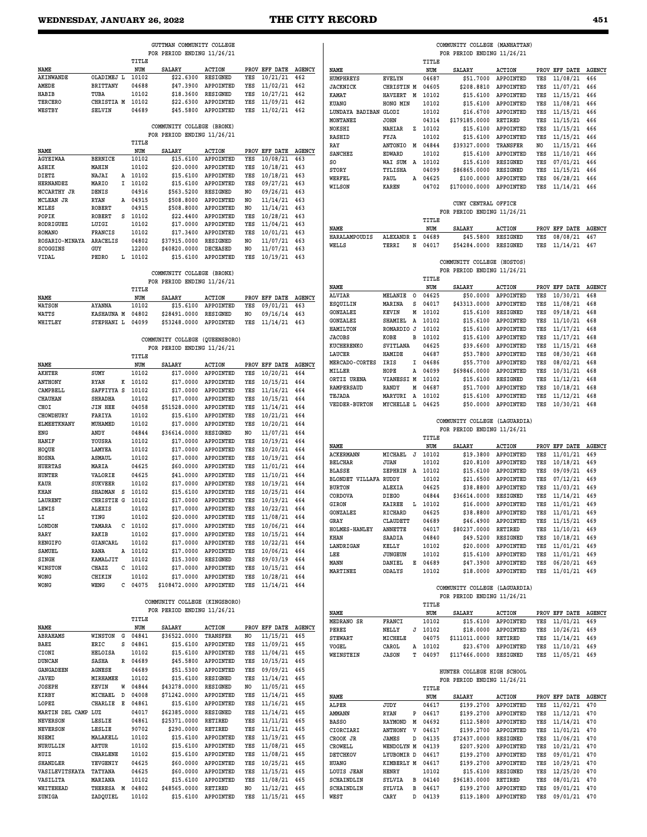**NAME SALARY ACTION PROV EFF DATE AGENCY** 

|                                    |                              |                    | GUTTMAN COMMUNITY COLLEGE      |                           |                       |                                      |            |                                |                            |   |                    | COMMUNITY COLLEGE (MANHATTAN                                |                                 |            |                               |            |
|------------------------------------|------------------------------|--------------------|--------------------------------|---------------------------|-----------------------|--------------------------------------|------------|--------------------------------|----------------------------|---|--------------------|-------------------------------------------------------------|---------------------------------|------------|-------------------------------|------------|
|                                    |                              | TITLE              | FOR PERIOD ENDING 11/26/21     |                           |                       |                                      |            |                                |                            |   | TITLE              | FOR PERIOD ENDING 11/26/21                                  |                                 |            |                               |            |
| NAME                               |                              | NUM                | <b>SALARY</b>                  | <b>ACTION</b>             |                       | PROV EFF DATE AGENCY                 |            | NAME                           |                            |   | NUM                | SALARY                                                      | <b>ACTION</b>                   |            | PROV EFF DATE AGE             |            |
| <b>AKINWANDE</b>                   | OLADIMEJ L                   | 10102              | \$22.6300                      | RESIGNED                  | YES                   | $10/21/21$ 462                       |            | HUMPHREYS                      | <b>EVELYN</b>              |   | 04687              |                                                             | \$51.7000 APPOINTED             | YES        | 11/08/21                      | 466        |
| AMEDE                              | <b>BRITTANY</b>              | 04688              | \$47.3900                      | APPOINTED                 | YES                   | 11/02/21                             | 462        | <b>JACKNICK</b>                | CHRISTIN M                 |   | 04605              | \$208.8810                                                  | APPOINTED                       | YES        | 11/07/21                      | 466        |
| HABIB<br><b>TERCERO</b>            | TUBA<br>CHRISTIA M           | 10102<br>10102     | \$18.3600<br>\$22.6300         | RESIGNED<br>APPOINTED     | YES<br>YES            | 10/27/21<br>11/09/21                 | 462        | KAMAT                          | HAVZERT M                  |   | 10102              | \$15,6100                                                   | APPOINTED                       | YES        | 11/15/21                      | 466        |
| WESTBY                             | <b>SELVIN</b>                | 04689              | \$45,5800                      | APPOINTED                 | YES                   | 11/02/21                             | 462<br>462 | KUANG<br>LUNDAYA BADIBAN GLODI | HONG MIN                   |   | 10102<br>10102     | \$15,6100<br>\$16,6700                                      | APPOINTED<br>APPOINTED          | YES<br>YES | 11/08/21<br>11/15/21          | 466<br>466 |
|                                    |                              |                    |                                |                           |                       |                                      |            | MONTANEZ                       | <b>JOHN</b>                |   | 04314              | \$179185.0000                                               | RETIRED                         | YES        | 11/15/21                      | 466        |
|                                    |                              |                    | COMMUNITY COLLEGE (BRONX)      |                           |                       |                                      |            | NOKSHI                         | NAHIAR                     |   | Z 10102            | \$15.6100                                                   | APPOINTED                       | YES        | 11/15/21                      | 466        |
|                                    |                              |                    | FOR PERIOD ENDING 11/26/21     |                           |                       |                                      |            | RASHID                         | FYJA                       |   | 10102              | \$15.6100                                                   | APPOINTED                       | YES        | 11/15/21 466                  |            |
| NAME                               |                              | TITLE<br>NUM       | <b>SALARY</b>                  | <b>ACTION</b>             |                       | PROV EFF DATE AGENCY                 |            | RAY                            | ANTONIO M 04844            |   |                    | \$39327.0000                                                | <b>TRANSFER</b>                 | NO.        | 11/15/21 466                  |            |
| <b>AGYEIWAA</b>                    | <b>BERNICE</b>               | 10102              | \$15,6100                      | APPOINTED                 | YES                   | 10/08/21                             | 463        | <b>SANCHEZ</b>                 | <b>EDWARD</b>              |   | 10102              | \$15,6100                                                   | APPOINTED                       | YES        | 11/10/21 466                  |            |
| ASHIK                              | MAHIN                        | 10102              | \$20,0000                      | APPOINTED                 | YES                   | 10/18/21                             | 463        | SO<br>STORY                    | WAI SUM A 10102<br>TYLISHA |   | 04099              | \$15,6100<br>\$86865.0000                                   | RESIGNED<br>RESIGNED            | YES<br>YES | 07/01/21<br>11/15/21 466      | 466        |
| DIETZ                              | NAJAI                        | A 10102            | \$15,6100                      | APPOINTED                 | YES                   | 10/18/21                             | 463        | WERFEL                         | PAUL                       |   | A 04625            | \$100.0000                                                  | APPOINTED                       | YES        | 06/28/21                      | 466        |
| <b>HERNANDEZ</b>                   | MARIO<br>Ι.                  | 10102              | \$15,6100                      | APPOINTED                 | YES                   | 09/27/21                             | 463        | WILSON                         | <b>KAREN</b>               |   | 04702              | \$170000.0000                                               | APPOINTED                       | YES        | 11/14/21 466                  |            |
| MCCARTHY JR                        | DENIS                        | 04916              | \$563.5200                     | RESIGNED                  | N <sub>O</sub>        | 09/26/21                             | 463        |                                |                            |   |                    |                                                             |                                 |            |                               |            |
| MCLEAN JR<br>MILES                 | RYAN<br>ROBERT               | A 04915<br>04915   | \$508.8000<br>\$508.8000       | APPOINTED<br>APPOINTED    | NO.<br>N <sub>O</sub> | 11/14/21<br>11/14/21                 | 463<br>463 |                                |                            |   |                    | CUNY CENTRAL OFFICE                                         |                                 |            |                               |            |
| POPIK                              | <b>ROBERT</b><br>s           | 10102              | \$22,4400                      | APPOINTED                 | YES                   | 10/28/21                             | 463        |                                |                            |   |                    | FOR PERIOD ENDING 11/26/21                                  |                                 |            |                               |            |
| RODRIGUEZ                          | LUIGI                        | 10102              | \$17.0000                      | APPOINTED                 | YES                   | 11/04/21                             | 463        |                                |                            |   | TITLE              |                                                             |                                 |            |                               |            |
| ROMANO                             | <b>FRANCIS</b>               | 10102              | \$17.3400                      | APPOINTED                 | YES                   | 10/01/21                             | 463        | NAME<br>HARALAMPOUDIS          | ALEXANDR Z                 |   | NUM<br>04689       | SALARY<br>\$45.5800                                         | <b>ACTION</b><br>RESIGNED       | YES        | PROV EFF DATE AGE<br>08/08/21 | 467        |
| ROSARIO-MINAYA                     | ARACELIS                     | 04802              | \$37915.0000                   | RESIGNED                  | N <sub>O</sub>        | 11/07/21                             | 463        | WELLS                          | TERRI                      | N | 04017              | \$54284.0000                                                | RESIGNED                        | YES        | 11/14/21 467                  |            |
| SCOGGINS                           | GUY                          | 12200              | \$40820.0000                   | <b>DECEASED</b>           | N <sub>O</sub>        | 11/07/21                             | 463        |                                |                            |   |                    |                                                             |                                 |            |                               |            |
| VIDAL                              | PEDRO<br>L                   | 10102              | \$15.6100                      | APPOINTED                 | YES                   | 10/19/21 463                         |            |                                |                            |   |                    | COMMUNITY COLLEGE (HOSTOS)                                  |                                 |            |                               |            |
|                                    |                              |                    | COMMUNITY COLLEGE (BRONX)      |                           |                       |                                      |            |                                |                            |   |                    | FOR PERIOD ENDING 11/26/21                                  |                                 |            |                               |            |
|                                    |                              |                    | FOR PERIOD ENDING 11/26/21     |                           |                       |                                      |            |                                |                            |   | TITLE              |                                                             |                                 |            |                               |            |
|                                    |                              | TITLE              |                                |                           |                       |                                      |            | <b>NAME</b>                    | <b>MELANIE</b><br>$\circ$  |   | NUM<br>04625       | SALARY<br>\$50.0000                                         | <b>ACTION</b><br>APPOINTED      | YES        | PROV EFF DATE AGE<br>10/30/21 | 468        |
| NAME                               |                              | NUM                | SALARY                         | <b>ACTION</b>             |                       | PROV EFF DATE AGENCY                 |            | ALVIAR<br>ESQUILIN             | MARINA<br>s                |   | 04017              | \$43313.0000                                                | APPOINTED                       | YES        | 11/08/21                      | 468        |
| <b>WATSON</b>                      | <b>AYANNA</b>                | 10102<br>04802     | \$15,6100                      | APPOINTED<br>RESIGNED     | YES                   | 09/01/21                             | 463        | GONZALEZ                       | KEVIN                      | М | 10102              | \$15.6100                                                   | RESIGNED                        | YES        | 09/18/21                      | 468        |
| WATTS<br>WHITLEY                   | KASHAUNA M<br>STEPHANI L     | 04099              | \$28491.0000<br>\$53248.0000   | APPOINTED                 | NO.<br>YES            | 09/16/14<br>11/14/21                 | 463<br>463 | GONZALEZ                       | SHAMIEL<br>A               |   | 10102              | \$15.6100                                                   | APPOINTED                       | YES        | $11/10/21$ 468                |            |
|                                    |                              |                    |                                |                           |                       |                                      |            | <b>HAMILTON</b>                | ROMARDIO J                 |   | 10102              | \$15,6100                                                   | APPOINTED                       | YES        | $11/17/21$ 468                |            |
|                                    |                              |                    | COMMUNITY COLLEGE (QUEENSBORO) |                           |                       |                                      |            | <b>JACOBS</b>                  | KOBE<br>в                  |   | 10102              | \$15.6100                                                   | APPOINTED                       | YES        | 11/17/21                      | 468        |
|                                    |                              |                    | FOR PERIOD ENDING 11/26/21     |                           |                       |                                      |            | KUCHERENKO                     | SVITLANA                   |   | 04625              | \$39.6600                                                   | APPOINTED                       | YES        | 11/15/21                      | 468        |
|                                    |                              | TITLE              |                                |                           |                       |                                      |            | LAUCER                         | HAMIDE                     |   | 04687              | \$53.7800                                                   | APPOINTED                       | YES        | 08/30/21 468                  |            |
| NAME                               |                              | NUM                | SALARY                         | <b>ACTION</b>             |                       | PROV EFF DATE AGENCY                 |            | MERCADO-CORTES                 | IRIS                       |   | I 04686            | \$55.7700                                                   | APPOINTED<br>APPOINTED          | YES        | 08/02/21                      | 468        |
| AKHTER                             | SUMY                         | 10102              | \$17,0000                      | APPOINTED                 | YES                   | 10/20/21                             | 464        | MILLER<br>ORTIZ URENA          | HOPE<br>VIANESSI M 10102   |   | A 04099            | \$69846.0000<br>\$15.6100                                   | RESIGNED                        | YES<br>YES | 10/31/21<br>11/12/21          | 468<br>468 |
| <b>ANTHONY</b>                     | <b>RYAN</b><br>к             | 10102              | \$17,0000                      | APPOINTED                 | YES                   | 10/15/21                             | 464        | RAMPERSAUD                     | RANDY                      | М | 04687              | \$51.7000                                                   | APPOINTED                       | YES        | $10/18/21$ 468                |            |
| CAMPBELL<br>CHAUHAN                | SAFFIYYA S<br><b>SHRADHA</b> | 10102<br>10102     | \$17.0000<br>\$17.0000         | APPOINTED<br>APPOINTED    | YES<br>YES            | 11/16/21<br>10/15/21                 | 464<br>464 | TEJADA                         | MARYURI<br>A               |   | 10102              | \$15.6100                                                   | APPOINTED                       | YES        | 11/12/21                      | 468        |
| CHOI                               | <b>JIN HEE</b>               | 04058              | \$51528.0000                   | APPOINTED                 | YES                   | 11/14/21                             | 464        | <b>VEDDER-BURTON</b>           | MYCHELLE L 04625           |   |                    |                                                             | \$50.0000 APPOINTED             | YES        | 10/30/21 468                  |            |
| CHOWDHURY                          | FARIYA                       | 10102              | \$15.6100                      | APPOINTED                 | YES                   | 10/21/21                             | 464        |                                |                            |   |                    |                                                             |                                 |            |                               |            |
| <b>ELMEETKNANY</b>                 | MUHAMED                      | 10102              | \$17,0000                      | APPOINTED                 | YES                   | 10/20/21                             | 464        |                                |                            |   |                    | COMMUNITY COLLEGE (LAGUARDIA)                               |                                 |            |                               |            |
| ENG                                | ANDY                         | 04844              | \$36614.0000                   | RESIGNED                  | NO.                   | 11/07/21                             | 464        |                                |                            |   |                    | FOR PERIOD ENDING 11/26/21                                  |                                 |            |                               |            |
| HANIF                              | YOUSRA                       | 10102              | \$17.0000                      | APPOINTED                 | YES                   | 10/19/21                             | 464        |                                |                            |   | TITLE              |                                                             |                                 |            |                               |            |
| HOQUE                              | LAMYEA                       | 10102              | \$17,0000                      | APPOINTED                 | YES                   | 10/20/21                             | 464        | NAME<br><b>ACKERMANN</b>       | MICHAEL J                  |   | NUM<br>10102       | <b>SALARY</b><br>\$19,3800                                  | <b>ACTION</b><br>APPOINTED      | YES        | PROV EFF DATE AGE<br>11/01/21 | 469        |
| HOSNA                              | <b>ASMAUL</b>                | 10102              | \$17,0000                      | APPOINTED                 | YES                   | 10/19/21                             | 464        | <b>BELCHAR</b>                 | <b>JUAN</b>                |   | 10102              | \$20,8100                                                   | APPOINTED                       | YES        | 10/18/21 469                  |            |
| <b>HUERTAS</b>                     | MARIA                        | 04625              | \$60.0000                      | APPOINTED                 | YES                   | 11/01/21                             | 464        | <b>BLASSE</b>                  | ZEPHRIN A 10102            |   |                    | \$15.6100                                                   | APPOINTED                       | YES        | 09/09/21 469                  |            |
| HUNTER                             | VALORIE                      | 04625              | \$41,0000                      | APPOINTED                 | YES                   | 11/10/21                             | 464        | BLONDET VILLAFA RUDDY          |                            |   | 10102              | \$21.6500                                                   | APPOINTED                       | YES        | 07/12/21                      | 469        |
| KAUR<br>KHAN                       | <b>SUKVEER</b><br>SHADMAN S  | 10102<br>10102     | \$17,0000<br>\$15,6100         | APPOINTED<br>APPOINTED    | YES<br>YES            | 10/19/21<br>10/25/21                 | 464<br>464 | <b>BURTON</b>                  | <b>ALEXIA</b>              |   | 04625              | \$38,8800                                                   | APPOINTED                       | YES        | 11/03/21                      | 469        |
| LAURENT                            | CHRISTIE G                   | 10102              | \$17,0000                      | APPOINTED                 | YES                   | 10/19/21                             | 464        | CORDOVA                        | <b>DIEGO</b>               |   | 04844              | \$36614.0000                                                | RESIGNED                        | YES        | 11/14/21 469                  |            |
| LEWIS                              | <b>ALEXIS</b>                | 10102              | \$17,0000                      | APPOINTED                 | YES                   | 10/22/21 464                         |            | GIRON                          | KAIREE                     |   | L 10102            |                                                             | \$16.0000 APPOINTED             | YES        | 11/01/21 469                  |            |
| LI                                 | YING                         | 10102              | \$20.0000                      | APPOINTED                 | YES                   | 11/08/21 464                         |            | GONZALEZ<br>GRAY               | RICHARD<br><b>CLAUDETT</b> |   | 04625              | \$38.8800                                                   | APPOINTED                       |            | YES 11/01/21<br>11/15/21 469  | 469        |
| LONDON                             | TAMARA                       | $C$ 10102          | \$17.0000                      | APPOINTED                 | YES                   | 10/06/21 464                         |            | HOLMES-HANLEY                  | <b>ANNETTE</b>             |   | 04689<br>04017     | \$80237.0000                                                | \$46.4900 APPOINTED<br>RETIRED  | YES<br>YES | 11/10/21 469                  |            |
| RARY                               | RAKIB                        | 10102              | \$17.0000                      | APPOINTED                 | YES                   | 10/15/21 464                         |            | KHAN                           | SAADIA                     |   | 04840              | \$49.5200                                                   | RESIGNED                        | YES        | 10/18/21 469                  |            |
| <b>RENGIFO</b>                     | GIANCARL                     | 10102              | \$17.0000                      | APPOINTED                 | YES                   | $10/22/21$ 464                       |            | LANDRIGAN                      | KELLY                      |   | 10102              | \$20.0000                                                   | APPOINTED                       | YES        | 11/01/21 469                  |            |
| SAMUEL                             | RANA                         | A 10102            | \$17.0000                      | APPOINTED                 | YES                   | 10/06/21 464                         |            | LEE                            | <b>JUNGEUN</b>             |   | 10102              | \$15.6100                                                   | APPOINTED                       | YES        | 11/01/21 469                  |            |
| SINGH                              | KAMALJIT                     | 10102              | \$15.3000                      | RESIGNED                  | YES                   | 09/03/19 464<br>$10/15/21$ 464       |            | MANN                           | DANIEL                     |   | E 04689            |                                                             | \$47.3900 APPOINTED             | YES        | 06/20/21 469                  |            |
| WINSTON<br>WONG                    | CHAZZ<br>CHIKIN              | $C$ 10102<br>10102 | \$17.0000<br>\$17.0000         | APPOINTED<br>APPOINTED    | YES<br>YES            | 10/28/21 464                         |            | MARTINEZ                       | ODALYS                     |   | 10102              |                                                             | \$18.0000 APPOINTED             | YES        | 11/01/21 469                  |            |
| WONG                               | WENG                         | $C$ 04075          | \$108472.0000                  | APPOINTED                 | YES                   | 11/14/21 464                         |            |                                |                            |   |                    |                                                             |                                 |            |                               |            |
|                                    |                              |                    |                                |                           |                       |                                      |            |                                |                            |   |                    | COMMUNITY COLLEGE (LAGUARDIA)<br>FOR PERIOD ENDING 11/26/21 |                                 |            |                               |            |
|                                    |                              |                    | COMMUNITY COLLEGE (KINGSBORO)  |                           |                       |                                      |            |                                |                            |   | TITLE              |                                                             |                                 |            |                               |            |
|                                    |                              |                    | FOR PERIOD ENDING 11/26/21     |                           |                       |                                      |            | NAME                           |                            |   | NUM                | SALARY                                                      | <b>ACTION</b>                   |            | PROV EFF DATE AGE             |            |
|                                    |                              | TITLE              |                                |                           |                       |                                      |            | MEDRANO SR                     | FRANCI                     |   | 10102              |                                                             | \$15.6100 APPOINTED             | YES        | 11/01/21 469                  |            |
| NAME<br>ABRAHAMS                   | WINSTON G                    | NUM<br>04841       | SALARY<br>\$36522.0000         | <b>ACTION</b><br>TRANSFER | NO                    | PROV EFF DATE AGENCY<br>11/15/21 465 |            | PEREZ                          | NELLY                      |   | $J$ 10102          | \$18.0000                                                   | APPOINTED                       | YES        | 10/26/21 469                  |            |
| BAEZ                               | s<br>ERIC                    | 04861              | \$15.6100                      | APPOINTED                 | YES                   | 11/09/21 465                         |            | <b>STEWART</b>                 | MICHELE                    |   | 04075              | \$111011.0000                                               | RETIRED                         | YES        | 11/14/21 469                  |            |
| CIONI                              | HELOISA                      | 10102              | \$15.6100                      | APPOINTED                 | YES                   | 11/04/21 465                         |            | VOGEL<br>WEINSTEIN             | CAROL<br><b>JASON</b>      |   | A 10102<br>T 04097 | \$117466.0000                                               | \$23.6700 APPOINTED<br>RESIGNED | YES<br>YES | 11/10/21 469<br>11/05/21 469  |            |
| <b>DUNCAN</b>                      | SASHA<br>R                   | 04689              | \$45.5800                      | APPOINTED                 | YES                   | $10/15/21$ 465                       |            |                                |                            |   |                    |                                                             |                                 |            |                               |            |
| GANGADEEN                          | AGNESE                       | 04689              | \$51.5300                      | APPOINTED                 | YES                   | 09/09/21 465                         |            |                                |                            |   |                    | HUNTER COLLEGE HIGH SCHOOL                                  |                                 |            |                               |            |
| <b>JAVED</b>                       | MIRHAMEE                     | 10102              | \$15.6100                      | RESIGNED                  | YES                   | 11/14/21 465                         |            |                                |                            |   |                    | FOR PERIOD ENDING 11/26/21                                  |                                 |            |                               |            |
| JOSEPH                             | KEVIN<br>W                   | 04844              | \$43278.0000                   | RESIGNED                  | NO.                   | 11/05/21 465                         |            |                                |                            |   | TITLE              |                                                             |                                 |            |                               |            |
| KIRBY                              | D<br>MICHAEL                 | 04008              | \$71242.0000                   | APPOINTED                 | YES                   | $11/14/21$ 465                       |            | NAME                           |                            |   | NUM                | SALARY                                                      | <b>ACTION</b>                   |            | PROV EFF DATE AGE             |            |
| LOPEZ                              | CHARLIE E                    | 04861              | \$15.6100                      | APPOINTED                 | YES                   | 11/16/21 465                         |            | ALPER                          | JUDY                       |   | 04617              | \$199.2700                                                  | APPOINTED                       | YES        | 11/02/21 470                  |            |
| MARTIN DEL CAMP LUZ                |                              | 04017              | \$62385.0000                   | RESIGNED                  | YES                   | 11/14/21 465                         |            | AMMANN                         | <b>RYAN</b>                | P | 04617              | \$199.2700 APPOINTED                                        |                                 | YES        | 11/12/21 470                  |            |
| <b>NEVERSON</b><br><b>NEVERSON</b> | LESLIE<br>LESLIE             | 04861<br>90702     | \$25371.0000<br>\$290.0000     | RETIRED<br>RETIRED        | YES<br>YES            | 11/11/21 465<br>11/11/21 465         |            | <b>BASSO</b>                   | RAYMOND M                  |   | 04692              | \$112.5800 APPOINTED                                        |                                 | YES        | 11/14/21 470                  |            |
| NSEMI                              | MALAKELL                     | 10102              | \$15.6100                      | APPOINTED                 | YES                   | 11/19/21 465                         |            | CIORCIARI<br>CROOK JR          | ANTHONY<br>V<br>JAMES<br>D |   | 04617<br>04135     | \$199.2700<br>\$72437.0000                                  | APPOINTED<br>RESIGNED           | YES<br>YES | 11/01/21 470<br>11/06/21 470  |            |
| NURULLIN                           | ARTUR                        | 10102              | \$15.6100                      | APPOINTED                 | YES                   | 11/08/21 465                         |            | CROWELL                        | WENDOLYN M 04139           |   |                    | \$207.9200                                                  | APPOINTED                       | YES        | 10/21/21 470                  |            |
| RUIZ                               | CHARLENE                     | 10102              | \$15.6100                      | APPOINTED                 | YES                   | 11/08/21 465                         |            | DETCHKOV                       | LYUBOMIR D                 |   | 04617              | \$199.2700                                                  | APPOINTED                       | YES        | 09/01/21 470                  |            |
| SHANDLER                           | YEVGENIY                     | 04625              | \$60.0000                      | APPOINTED                 | YES                   | $10/25/21$ 465                       |            | HUANG                          | KIMBERLY M 04617           |   |                    | \$199.2700                                                  | APPOINTED                       | YES        | 10/29/21 470                  |            |
| VASILEVITSKAYA                     | TATYANA                      | 04625              | \$60.0000                      | APPOINTED                 | YES                   | $11/15/21$ 465                       |            | LOUIS JEAN                     | HENRY                      |   | 10102              | \$15.6100                                                   | RESIGNED                        | YES        | 12/25/20 470                  |            |
| VASILITA                           | MARIANA                      | 10102              | \$15.6100                      | APPOINTED                 | YES                   | 11/08/21 465                         |            | SCHAINDLIN                     | SYLVIA<br>в                |   | 04140              | \$96183.0000                                                | RETIRED                         | YES        | 08/01/21 470                  |            |
| WHITEHEAD                          | THERESA M                    | 04802              | \$48565.0000                   | RETIRED                   | NO.                   | $11/12/21$ 465                       |            | SCHAINDLIN                     | SYLVIA                     | в | 04617              | \$199.2700                                                  | APPOINTED                       | YES        | 09/01/21 470                  |            |
| ZUNIGA                             | ZADQUIEL                     | 10102              |                                | \$15.6100 APPOINTED       |                       | YES 11/15/21 465                     |            | WEST                           | CARY                       |   | D 04139            | \$119.1800 APPOINTED                                        |                                 | YES        | 09/01/21 470                  |            |

| <b>NOKSHI</b>         | <b>NAHIAR</b>   | z       | 10102 | \$15.6100                     | APPOINTED       | YES | 11/15/21      | 466           |
|-----------------------|-----------------|---------|-------|-------------------------------|-----------------|-----|---------------|---------------|
| <b>RASHID</b>         | FYJA            |         | 10102 | \$15.6100                     | APPOINTED       | YES | 11/15/21      | 466           |
| RAY                   | <b>ANTONIO</b>  | М       | 04844 | \$39327.0000                  | TRANSFER        | NO. | 11/15/21      | 466           |
| <b>SANCHEZ</b>        | <b>EDWARD</b>   |         | 10102 | \$15.6100                     | APPOINTED       | YES | 11/10/21      | 466           |
| so                    | WAI SUM         | А       | 10102 | \$15.6100                     | RESIGNED        | YES | 07/01/21      | 466           |
| STORY                 | TYLISHA         |         | 04099 | \$86865.0000                  | RESIGNED        | YES | 11/15/21      | 466           |
| WERFEL                | PAUL            | Α       | 04625 | \$100.0000                    | APPOINTED       | YES | 06/28/21      | 466           |
| WILSON                | <b>KAREN</b>    |         | 04702 | \$170000.0000                 | APPOINTED       | YES | 11/14/21      | 466           |
|                       |                 |         |       |                               |                 |     |               |               |
|                       |                 |         |       | CUNY CENTRAL OFFICE           |                 |     |               |               |
|                       |                 |         |       | FOR PERIOD ENDING 11/26/21    |                 |     |               |               |
|                       |                 |         | TITLE |                               |                 |     |               |               |
| NAME                  |                 |         | NUM   | <b>SALARY</b>                 | <b>ACTION</b>   |     | PROV EFF DATE | <b>AGENCY</b> |
| <b>HARALAMPOUDIS</b>  | ALEXANDR Z      |         | 04689 | \$45.5800                     | <b>RESIGNED</b> | YES | 08/08/21      | 467           |
| WELLS                 | TERRI           | N       | 04017 | \$54284.0000                  | RESIGNED        | YES | 11/14/21      | 467           |
|                       |                 |         |       |                               |                 |     |               |               |
|                       |                 |         |       | COMMUNITY COLLEGE (HOSTOS)    |                 |     |               |               |
|                       |                 |         |       | FOR PERIOD ENDING 11/26/21    |                 |     |               |               |
|                       |                 |         | TITLE |                               |                 |     |               |               |
| NAME                  |                 |         | NUM   | <b>SALARY</b>                 | <b>ACTION</b>   |     | PROV EFF DATE | <b>AGENCY</b> |
| ALVIAR                | MELANIE         | $\circ$ | 04625 | \$50.0000                     | APPOINTED       | YES | 10/30/21      | 468           |
| ESQUILIN              | MARINA          | s       | 04017 | \$43313.0000                  | APPOINTED       | YES | 11/08/21      | 468           |
| <b>GONZALEZ</b>       | KEVIN           | М       | 10102 | \$15.6100                     | RESIGNED        | YES | 09/18/21      | 468           |
| <b>GONZALEZ</b>       | SHAMIEL         | A       | 10102 | \$15.6100                     | APPOINTED       | YES | 11/10/21      | 468           |
| <b>HAMILTON</b>       | ROMARDIO J      |         | 10102 | \$15.6100                     | APPOINTED       | YES | 11/17/21      | 468           |
| JACOBS                | KOBE            | в       | 10102 | \$15.6100                     | APPOINTED       | YES | 11/17/21      | 468           |
| KUCHERENKO            | SVITLANA        |         | 04625 | \$39.6600                     | APPOINTED       | YES | 11/15/21      | 468           |
| <b>LAUCER</b>         | HAMIDE          |         | 04687 | \$53.7800                     | APPOINTED       | YES | 08/30/21      | 468           |
| <b>MERCADO-CORTES</b> | IRIS            | I       | 04686 | \$55.7700                     | APPOINTED       | YES | 08/02/21      | 468           |
| MILLER                | HOPE            | A       | 04099 | \$69846.0000                  | APPOINTED       | YES | 10/31/21      | 468           |
| ORTIZ URENA           | VIANESSI M      |         | 10102 | \$15.6100                     | RESIGNED        | YES | 11/12/21      | 468           |
| RAMPERSAUD            | RANDY           | М       | 04687 | \$51.7000                     | APPOINTED       | YES | 10/18/21      | 468           |
| TEJADA                | MARYURI         | A       | 10102 | \$15.6100                     | APPOINTED       | YES | 11/12/21      | 468           |
| <b>VEDDER-BURTON</b>  | MYCHELLE L      |         | 04625 | \$50.0000                     | APPOINTED       | YES | 10/30/21      | 468           |
|                       |                 |         |       |                               |                 |     |               |               |
|                       |                 |         |       | COMMUNITY COLLEGE (LAGUARDIA) |                 |     |               |               |
|                       |                 |         |       | FOR PERIOD ENDING 11/26/21    |                 |     |               |               |
|                       |                 |         | TITLE |                               |                 |     |               |               |
| NAME                  |                 |         | NUM   | <b>SALARY</b>                 | <b>ACTION</b>   |     | PROV EFF DATE | <b>AGENCY</b> |
| ACKERMANN             | MICHAEL         | J       | 10102 | \$19.3800                     | APPOINTED       | YES | 11/01/21      | 469           |
| <b>BELCHAR</b>        | <b>JUAN</b>     |         | 10102 | \$20.8100                     | APPOINTED       | YES | 10/18/21      | 469           |
|                       | ZEPHRIN         |         | 10102 | \$15.6100                     |                 | YES | 09/09/21      | 469           |
| BLASSE                |                 | Α       | 10102 |                               | APPOINTED       |     | 07/12/21      | 469           |
| BLONDET VILLAFA RUDDY |                 |         |       | \$21.6500                     | APPOINTED       | YES |               |               |
| <b>BURTON</b>         | <b>ALEXIA</b>   |         | 04625 | \$38.8800                     | APPOINTED       | YES | 11/03/21      | 469           |
| CORDOVA               | <b>DIEGO</b>    |         | 04844 | \$36614.0000                  | RESIGNED        | YES | 11/14/21      | 469           |
| <b>GIRON</b>          | KAIREE          | L       | 10102 | \$16.0000                     | APPOINTED       | YES | 11/01/21      | 469           |
| <b>GONZALEZ</b>       | RICHARD         |         | 04625 | \$38.8800                     | APPOINTED       | YES | 11/01/21      | 469           |
| <b>GRAY</b>           | <b>CLAUDETT</b> |         | 04689 | \$46.4900                     | APPOINTED       | YES | 11/15/21      | 469           |
| <b>HOLMES-HANLEY</b>  | <b>ANNETTE</b>  |         | 04017 | \$80237.0000                  | RETIRED         | YES | 11/10/21      | 469           |
| KHAN                  | SAADIA          |         | 04840 | \$49.5200                     | <b>RESIGNED</b> | YES | 10/18/21      | 469           |

|                   |                   |   | 11 I LB |                            |                  |     |               |               |
|-------------------|-------------------|---|---------|----------------------------|------------------|-----|---------------|---------------|
| NAME              |                   |   | NUM     | <b>SALARY</b>              | <b>ACTION</b>    |     | PROV EFF DATE | <b>AGENCY</b> |
| <b>MEDRANO SR</b> | FRANCI            |   | 10102   | \$15.6100                  | <b>APPOINTED</b> | YES | 11/01/21      | 469           |
| PEREZ             | NELLY             | J | 10102   | \$18,0000                  | <b>APPOINTED</b> | YES | 10/26/21      | 469           |
| <b>STEWART</b>    | MICHELE           |   | 04075   | \$111011.0000              | <b>RETIRED</b>   | YES | 11/14/21      | 469           |
| VOGEL             | CAROL             | A | 10102   | \$23,6700                  | <b>APPOINTED</b> | YES | 11/10/21      | 469           |
| WEINSTEIN         | <b>JASON</b>      | т | 04097   | \$117466.0000              | <b>RESIGNED</b>  | YES | 11/05/21      | 469           |
|                   |                   |   |         | HUNTER COLLEGE HIGH SCHOOL |                  |     |               |               |
|                   |                   |   |         | FOR PERIOD ENDING 11/26/21 |                  |     |               |               |
|                   |                   |   | TITLE   |                            |                  |     |               |               |
| NAME              |                   |   | NUM     | <b>SALARY</b>              | <b>ACTION</b>    |     | PROV EFF DATE | <b>AGENCY</b> |
| ALPER             | JUDY              |   | 04617   | \$199,2700                 | APPOINTED        | YES | 11/02/21      | 470           |
| AMMANN            | <b>RYAN</b>       | P | 04617   | \$199,2700                 | APPOINTED        | YES | 11/12/21      | 470           |
| <b>BASSO</b>      | <b>RAYMOND</b>    | M | 04692   | \$112,5800                 | <b>APPOINTED</b> | YES | 11/14/21      | 470           |
| CIORCIARI         | <b>ANTHONY</b>    | v | 04617   | \$199,2700                 | APPOINTED        | YES | 11/01/21      | 470           |
| CROOK JR          | <b>JAMES</b>      | D | 04135   | \$72437.0000               | <b>RESIGNED</b>  | YES | 11/06/21      | 470           |
| CROWELL           | WENDOLYN M        |   | 04139   | \$207.9200                 | <b>APPOINTED</b> | YES | 10/21/21      | 470           |
| <b>DETCHKOV</b>   | LYUBOMIR D        |   | 04617   | \$199,2700                 | APPOINTED        | YES | 09/01/21      | 470           |
| HUANG             | <b>KIMBERLY M</b> |   | 04617   | \$199,2700                 | <b>APPOINTED</b> | YES | 10/29/21      | 470           |
| LOUIS JEAN        | <b>HENRY</b>      |   | 10102   | \$15.6100                  | RESIGNED         | YES | 12/25/20      | 470           |
| <b>SCHAINDLIN</b> | SYLVIA            | в | 04140   | \$96183.0000               | <b>RETIRED</b>   | YES | 08/01/21      | 470           |
| <b>SCHAINDLIN</b> | <b>SYLVIA</b>     | в | 04617   | \$199.2700                 | <b>APPOINTED</b> | YES | 09/01/21      | 470           |
| WEST              | CARY              | D | 04139   | \$119.1800                 | <b>APPOINTED</b> | YES | 09/01/21      | 470           |